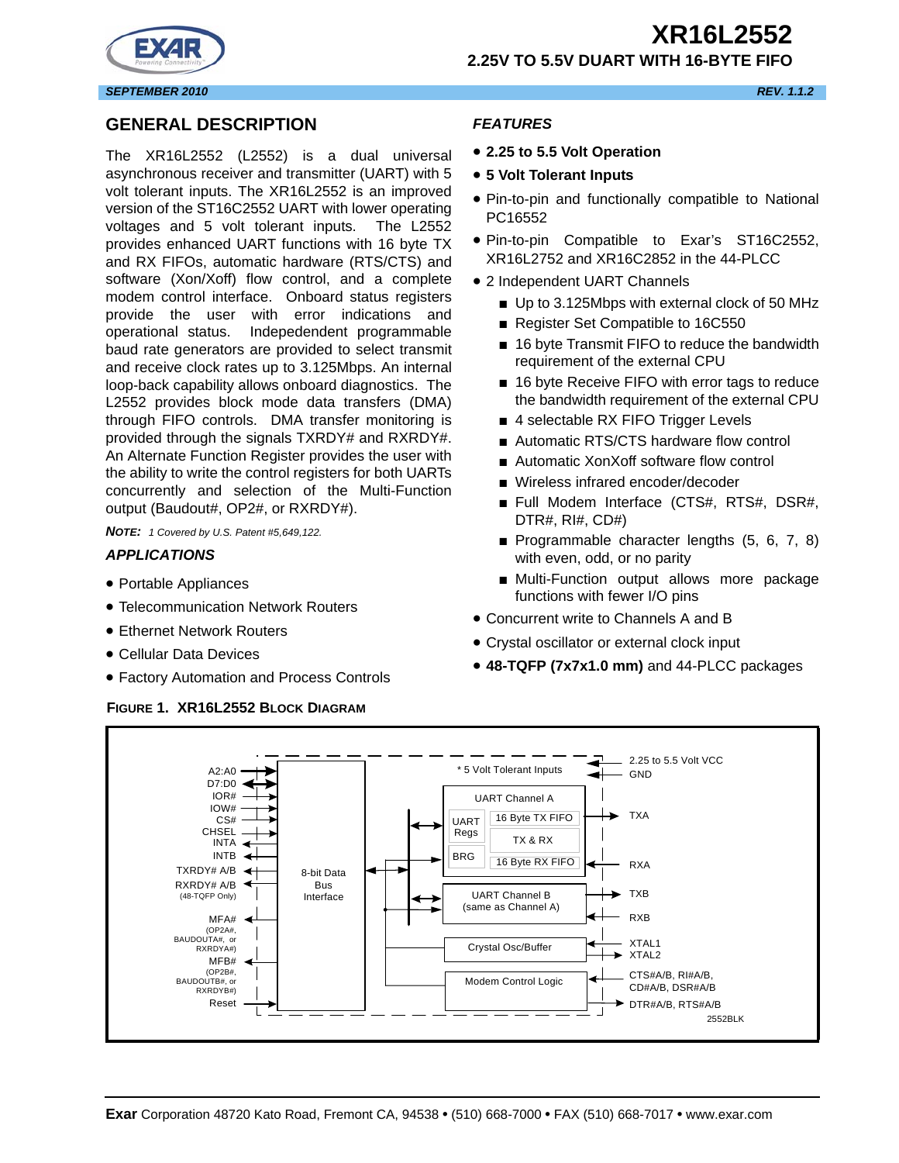**2.25V TO 5.5V DUART WITH 16-BYTE FIFO**



## **GENERAL DESCRIPTION**

The XR16L2552 (L2552) is a dual universal asynchronous receiver and transmitter (UART) with 5 volt tolerant inputs. The XR16L2552 is an improved version of the ST16C2552 UART with lower operating voltages and 5 volt tolerant inputs. The L2552 provides enhanced UART functions with 16 byte TX and RX FIFOs, automatic hardware (RTS/CTS) and software (Xon/Xoff) flow control, and a complete modem control interface. Onboard status registers provide the user with error indications and operational status. Indepedendent programmable baud rate generators are provided to select transmit and receive clock rates up to 3.125Mbps. An internal loop-back capability allows onboard diagnostics. The L2552 provides block mode data transfers (DMA) through FIFO controls. DMA transfer monitoring is provided through the signals TXRDY# and RXRDY#. An Alternate Function Register provides the user with the ability to write the control registers for both UARTs concurrently and selection of the Multi-Function output (Baudout#, OP2#, or RXRDY#).

*NOTE: 1 Covered by U.S. Patent #5,649,122.*

#### *APPLICATIONS*

- Portable Appliances
- Telecommunication Network Routers
- Ethernet Network Routers
- Cellular Data Devices
- Factory Automation and Process Controls

#### **FIGURE 1. XR16L2552 BLOCK DIAGRAM**

#### *FEATURES*

- **2.25 to 5.5 Volt Operation**
- **5 Volt Tolerant Inputs**
- Pin-to-pin and functionally compatible to National PC16552
- Pin-to-pin Compatible to Exar's ST16C2552, XR16L2752 and XR16C2852 in the 44-PLCC
- 2 Independent UART Channels
	- Up to 3.125Mbps with external clock of 50 MHz
	- Register Set Compatible to 16C550
	- 16 byte Transmit FIFO to reduce the bandwidth requirement of the external CPU
	- 16 byte Receive FIFO with error tags to reduce the bandwidth requirement of the external CPU
	- 4 selectable RX FIFO Trigger Levels
	- Automatic RTS/CTS hardware flow control
	- Automatic XonXoff software flow control
	- Wireless infrared encoder/decoder
	- Full Modem Interface (CTS#, RTS#, DSR#, DTR#, RI#, CD#)
	- Programmable character lengths (5, 6, 7, 8) with even, odd, or no parity
	- Multi-Function output allows more package functions with fewer I/O pins
- Concurrent write to Channels A and B
- Crystal oscillator or external clock input
- **48-TQFP (7x7x1.0 mm)** and 44-PLCC packages

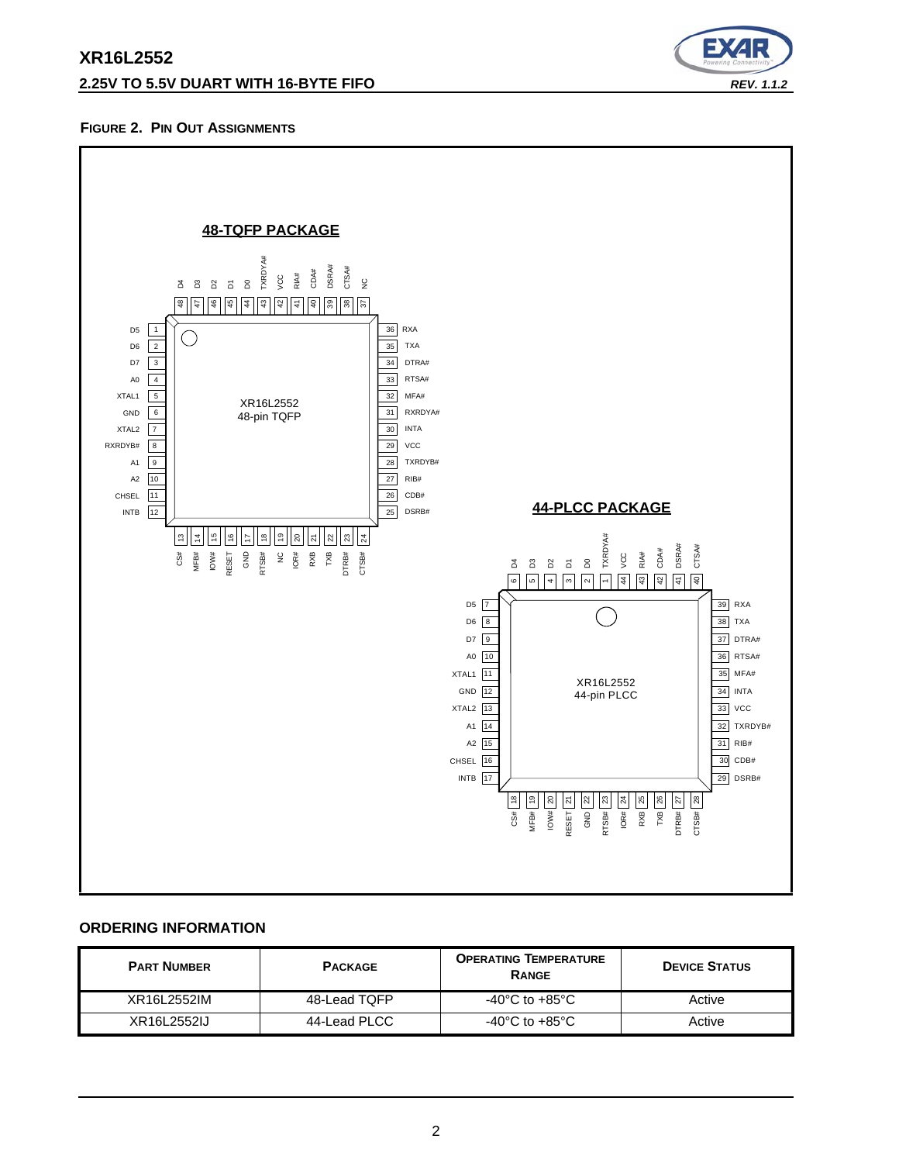## **2.25V TO 5.5V DUART WITH 16-BYTE FIFO** *REV. 1.1.2*



## **FIGURE 2. PIN OUT ASSIGNMENTS**



#### **ORDERING INFORMATION**

| <b>PART NUMBER</b> | <b>PACKAGE</b> | <b>OPERATING TEMPERATURE</b><br><b>RANGE</b> | <b>DEVICE STATUS</b> |
|--------------------|----------------|----------------------------------------------|----------------------|
| XR16L2552IM        | 48-Lead TOFP   | -40 $^{\circ}$ C to +85 $^{\circ}$ C         | Active               |
| XR16L2552IJ        | 44-Lead PLCC   | -40 $^{\circ}$ C to +85 $^{\circ}$ C         | Active               |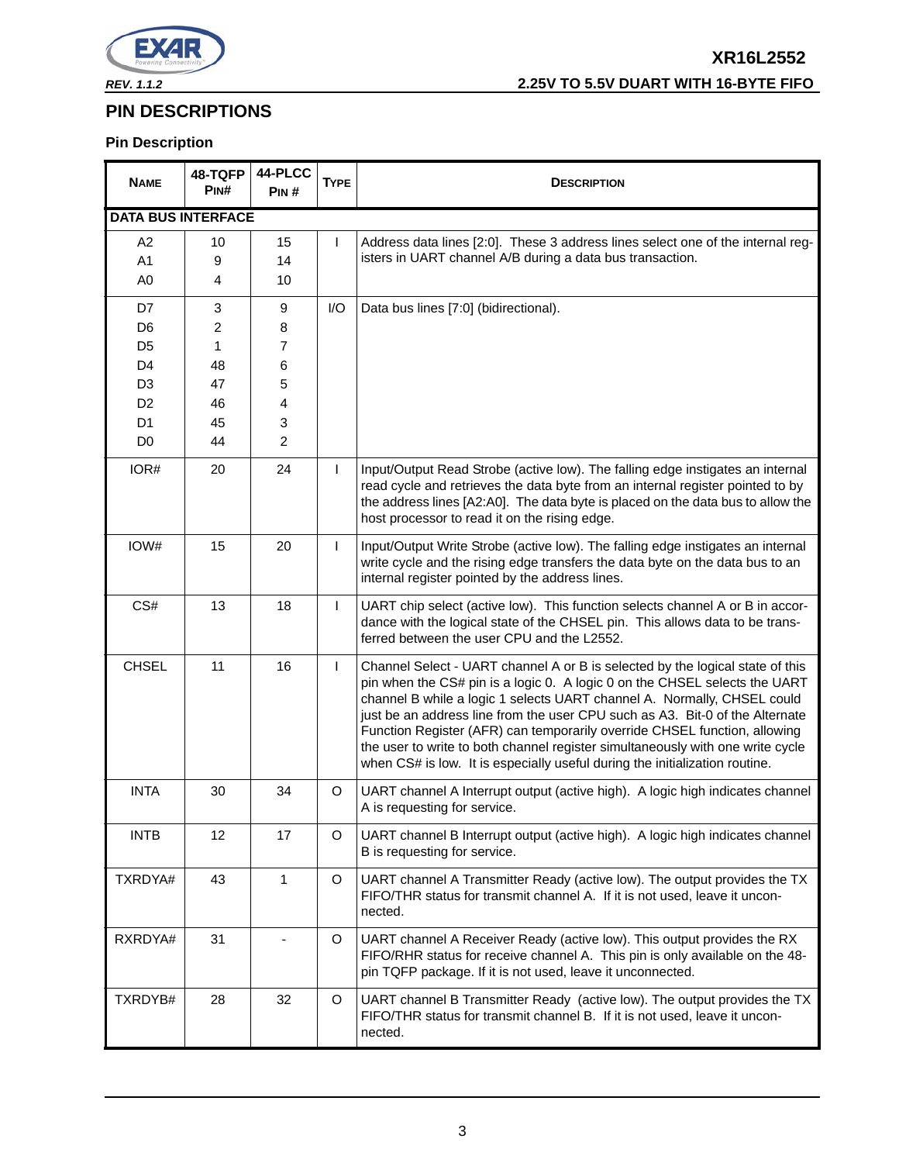

# **PIN DESCRIPTIONS**

# **Pin Description**

| <b>NAME</b>               | 48-TQFP<br>PIN# | 44-PLCC<br>PIN# | <b>TYPE</b>    | <b>DESCRIPTION</b>                                                                                                                                                                                                                                                                                                                                                                                                                                                                                                                                                   |  |
|---------------------------|-----------------|-----------------|----------------|----------------------------------------------------------------------------------------------------------------------------------------------------------------------------------------------------------------------------------------------------------------------------------------------------------------------------------------------------------------------------------------------------------------------------------------------------------------------------------------------------------------------------------------------------------------------|--|
| <b>DATA BUS INTERFACE</b> |                 |                 |                |                                                                                                                                                                                                                                                                                                                                                                                                                                                                                                                                                                      |  |
| A2                        | 10              | 15              | $\overline{1}$ | Address data lines [2:0]. These 3 address lines select one of the internal reg-                                                                                                                                                                                                                                                                                                                                                                                                                                                                                      |  |
| A1                        | 9               | 14              |                | isters in UART channel A/B during a data bus transaction.                                                                                                                                                                                                                                                                                                                                                                                                                                                                                                            |  |
| A <sub>0</sub>            | 4               | 10              |                |                                                                                                                                                                                                                                                                                                                                                                                                                                                                                                                                                                      |  |
| D7                        | 3               | 9               | I/O            | Data bus lines [7:0] (bidirectional).                                                                                                                                                                                                                                                                                                                                                                                                                                                                                                                                |  |
| D <sub>6</sub>            | $\overline{c}$  | 8               |                |                                                                                                                                                                                                                                                                                                                                                                                                                                                                                                                                                                      |  |
| D <sub>5</sub>            | 1               | $\overline{7}$  |                |                                                                                                                                                                                                                                                                                                                                                                                                                                                                                                                                                                      |  |
| D <sub>4</sub>            | 48              | 6               |                |                                                                                                                                                                                                                                                                                                                                                                                                                                                                                                                                                                      |  |
| D <sub>3</sub>            | 47              | 5               |                |                                                                                                                                                                                                                                                                                                                                                                                                                                                                                                                                                                      |  |
| D <sub>2</sub>            | 46              | 4               |                |                                                                                                                                                                                                                                                                                                                                                                                                                                                                                                                                                                      |  |
| D <sub>1</sub>            | 45              | 3               |                |                                                                                                                                                                                                                                                                                                                                                                                                                                                                                                                                                                      |  |
| D <sub>0</sub>            | 44              | $\overline{2}$  |                |                                                                                                                                                                                                                                                                                                                                                                                                                                                                                                                                                                      |  |
| IOR#                      | 20              | 24              | $\mathbf{I}$   | Input/Output Read Strobe (active low). The falling edge instigates an internal<br>read cycle and retrieves the data byte from an internal register pointed to by<br>the address lines [A2:A0]. The data byte is placed on the data bus to allow the<br>host processor to read it on the rising edge.                                                                                                                                                                                                                                                                 |  |
| IOW#                      | 15              | 20              | L              | Input/Output Write Strobe (active low). The falling edge instigates an internal<br>write cycle and the rising edge transfers the data byte on the data bus to an<br>internal register pointed by the address lines.                                                                                                                                                                                                                                                                                                                                                  |  |
| CS#                       | 13              | 18              | $\mathbf{I}$   | UART chip select (active low). This function selects channel A or B in accor-<br>dance with the logical state of the CHSEL pin. This allows data to be trans-<br>ferred between the user CPU and the L2552.                                                                                                                                                                                                                                                                                                                                                          |  |
| <b>CHSEL</b>              | 11              | 16              | $\mathbf{I}$   | Channel Select - UART channel A or B is selected by the logical state of this<br>pin when the CS# pin is a logic 0. A logic 0 on the CHSEL selects the UART<br>channel B while a logic 1 selects UART channel A. Normally, CHSEL could<br>just be an address line from the user CPU such as A3. Bit-0 of the Alternate<br>Function Register (AFR) can temporarily override CHSEL function, allowing<br>the user to write to both channel register simultaneously with one write cycle<br>when CS# is low. It is especially useful during the initialization routine. |  |
| <b>INTA</b>               | 30              | 34              | $\circ$        | UART channel A Interrupt output (active high). A logic high indicates channel<br>A is requesting for service.                                                                                                                                                                                                                                                                                                                                                                                                                                                        |  |
| <b>INTB</b>               | 12              | 17              | $\mathsf O$    | UART channel B Interrupt output (active high). A logic high indicates channel<br>B is requesting for service.                                                                                                                                                                                                                                                                                                                                                                                                                                                        |  |
| TXRDYA#                   | 43              | $\mathbf{1}$    | $\circ$        | UART channel A Transmitter Ready (active low). The output provides the TX<br>FIFO/THR status for transmit channel A. If it is not used, leave it uncon-<br>nected.                                                                                                                                                                                                                                                                                                                                                                                                   |  |
| RXRDYA#                   | 31              |                 | O              | UART channel A Receiver Ready (active low). This output provides the RX<br>FIFO/RHR status for receive channel A. This pin is only available on the 48-<br>pin TQFP package. If it is not used, leave it unconnected.                                                                                                                                                                                                                                                                                                                                                |  |
| TXRDYB#                   | 28              | 32              | O              | UART channel B Transmitter Ready (active low). The output provides the TX<br>FIFO/THR status for transmit channel B. If it is not used, leave it uncon-<br>nected.                                                                                                                                                                                                                                                                                                                                                                                                   |  |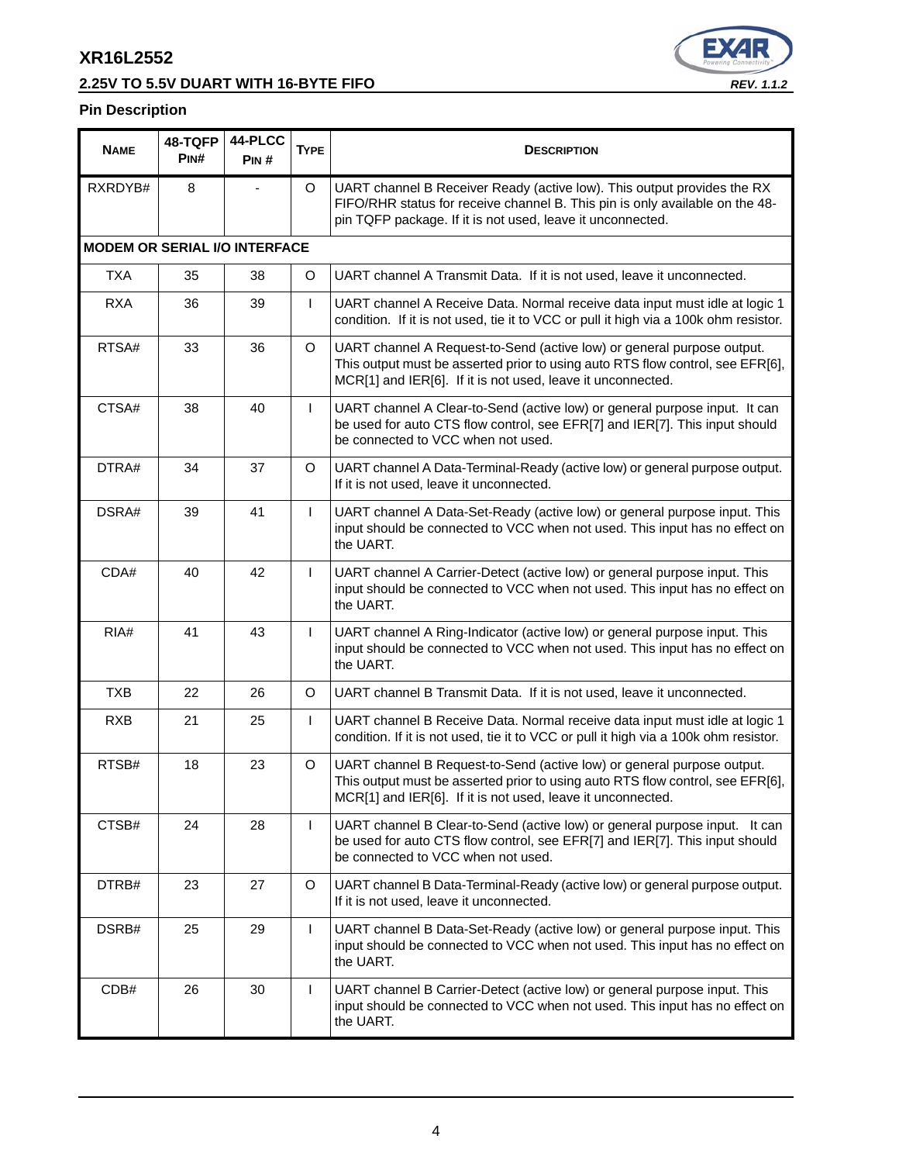# **2.25V TO 5.5V DUART WITH 16-BYTE FIFO** *REV. 1.1.2*



## **Pin Description**

| <b>NAME</b>                          | 48-TQFP<br>PINH | 44-PLCC<br>PIN# | <b>TYPE</b>  | <b>DESCRIPTION</b>                                                                                                                                                                                                      |  |
|--------------------------------------|-----------------|-----------------|--------------|-------------------------------------------------------------------------------------------------------------------------------------------------------------------------------------------------------------------------|--|
| RXRDYB#                              | 8               |                 | O            | UART channel B Receiver Ready (active low). This output provides the RX<br>FIFO/RHR status for receive channel B. This pin is only available on the 48-<br>pin TQFP package. If it is not used, leave it unconnected.   |  |
| <b>MODEM OR SERIAL I/O INTERFACE</b> |                 |                 |              |                                                                                                                                                                                                                         |  |
| <b>TXA</b>                           | 35              | 38              | O            | UART channel A Transmit Data. If it is not used, leave it unconnected.                                                                                                                                                  |  |
| <b>RXA</b>                           | 36              | 39              | T            | UART channel A Receive Data. Normal receive data input must idle at logic 1<br>condition. If it is not used, tie it to VCC or pull it high via a 100k ohm resistor.                                                     |  |
| RTSA#                                | 33              | 36              | $\circ$      | UART channel A Request-to-Send (active low) or general purpose output.<br>This output must be asserted prior to using auto RTS flow control, see EFR[6],<br>MCR[1] and IER[6]. If it is not used, leave it unconnected. |  |
| CTSA#                                | 38              | 40              | $\mathsf{I}$ | UART channel A Clear-to-Send (active low) or general purpose input. It can<br>be used for auto CTS flow control, see EFR[7] and IER[7]. This input should<br>be connected to VCC when not used.                         |  |
| DTRA#                                | 34              | 37              | O            | UART channel A Data-Terminal-Ready (active low) or general purpose output.<br>If it is not used, leave it unconnected.                                                                                                  |  |
| DSRA#                                | 39              | 41              | $\mathsf{L}$ | UART channel A Data-Set-Ready (active low) or general purpose input. This<br>input should be connected to VCC when not used. This input has no effect on<br>the UART.                                                   |  |
| CDA#                                 | 40              | 42              | $\mathsf{I}$ | UART channel A Carrier-Detect (active low) or general purpose input. This<br>input should be connected to VCC when not used. This input has no effect on<br>the UART.                                                   |  |
| RIA#                                 | 41              | 43              | L            | UART channel A Ring-Indicator (active low) or general purpose input. This<br>input should be connected to VCC when not used. This input has no effect on<br>the UART.                                                   |  |
| <b>TXB</b>                           | 22              | 26              | O            | UART channel B Transmit Data. If it is not used, leave it unconnected.                                                                                                                                                  |  |
| <b>RXB</b>                           | 21              | 25              | $\mathsf{L}$ | UART channel B Receive Data. Normal receive data input must idle at logic 1<br>condition. If it is not used, tie it to VCC or pull it high via a 100k ohm resistor.                                                     |  |
| RTSB#                                | 18              | 23              | O            | UART channel B Request-to-Send (active low) or general purpose output.<br>This output must be asserted prior to using auto RTS flow control, see EFR[6],<br>MCR[1] and IER[6]. If it is not used, leave it unconnected. |  |
| CTSB#                                | 24              | 28              | L            | UART channel B Clear-to-Send (active low) or general purpose input. It can<br>be used for auto CTS flow control, see EFR[7] and IER[7]. This input should<br>be connected to VCC when not used.                         |  |
| DTRB#                                | 23              | 27              | O            | UART channel B Data-Terminal-Ready (active low) or general purpose output.<br>If it is not used, leave it unconnected.                                                                                                  |  |
| DSRB#                                | 25              | 29              | L            | UART channel B Data-Set-Ready (active low) or general purpose input. This<br>input should be connected to VCC when not used. This input has no effect on<br>the UART.                                                   |  |
| CDB#                                 | 26              | 30              | L            | UART channel B Carrier-Detect (active low) or general purpose input. This<br>input should be connected to VCC when not used. This input has no effect on<br>the UART.                                                   |  |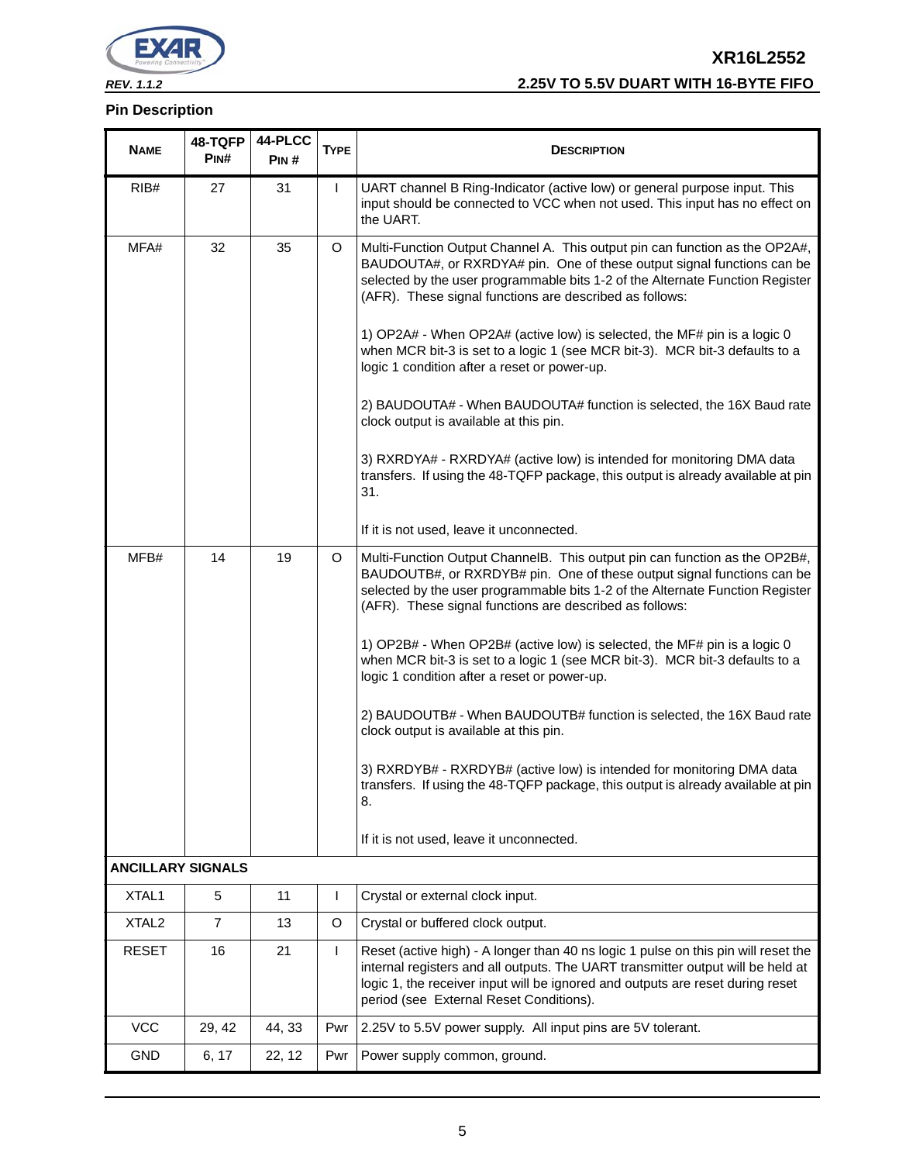

## **Pin Description**

# **XR16L2552** *REV. 1.1.2* **2.25V TO 5.5V DUART WITH 16-BYTE FIFO**

| <b>NAME</b>              | 48-TQFP<br>PIN# | 44-PLCC<br>PIN# | <b>TYPE</b>  | <b>DESCRIPTION</b>                                                                                                                                                                                                                                                                                                                                                                                                                                                                                                                                                                                                                                                                                                                                                                                                                            |  |
|--------------------------|-----------------|-----------------|--------------|-----------------------------------------------------------------------------------------------------------------------------------------------------------------------------------------------------------------------------------------------------------------------------------------------------------------------------------------------------------------------------------------------------------------------------------------------------------------------------------------------------------------------------------------------------------------------------------------------------------------------------------------------------------------------------------------------------------------------------------------------------------------------------------------------------------------------------------------------|--|
| RIB#                     | 27              | 31              | T            | UART channel B Ring-Indicator (active low) or general purpose input. This<br>input should be connected to VCC when not used. This input has no effect on<br>the UART.                                                                                                                                                                                                                                                                                                                                                                                                                                                                                                                                                                                                                                                                         |  |
| MFA#                     | 32              | 35              | O            | Multi-Function Output Channel A. This output pin can function as the OP2A#,<br>BAUDOUTA#, or RXRDYA# pin. One of these output signal functions can be<br>selected by the user programmable bits 1-2 of the Alternate Function Register<br>(AFR). These signal functions are described as follows:<br>1) OP2A# - When OP2A# (active low) is selected, the MF# pin is a logic 0<br>when MCR bit-3 is set to a logic 1 (see MCR bit-3). MCR bit-3 defaults to a<br>logic 1 condition after a reset or power-up.<br>2) BAUDOUTA# - When BAUDOUTA# function is selected, the 16X Baud rate<br>clock output is available at this pin.                                                                                                                                                                                                               |  |
|                          |                 |                 |              | 3) RXRDYA# - RXRDYA# (active low) is intended for monitoring DMA data<br>transfers. If using the 48-TQFP package, this output is already available at pin<br>31.                                                                                                                                                                                                                                                                                                                                                                                                                                                                                                                                                                                                                                                                              |  |
|                          |                 |                 |              | If it is not used, leave it unconnected.                                                                                                                                                                                                                                                                                                                                                                                                                                                                                                                                                                                                                                                                                                                                                                                                      |  |
| MFB#                     | 14              | 19              | O            | Multi-Function Output ChannelB. This output pin can function as the OP2B#,<br>BAUDOUTB#, or RXRDYB# pin. One of these output signal functions can be<br>selected by the user programmable bits 1-2 of the Alternate Function Register<br>(AFR). These signal functions are described as follows:<br>1) OP2B# - When OP2B# (active low) is selected, the MF# pin is a logic 0<br>when MCR bit-3 is set to a logic 1 (see MCR bit-3). MCR bit-3 defaults to a<br>logic 1 condition after a reset or power-up.<br>2) BAUDOUTB# - When BAUDOUTB# function is selected, the 16X Baud rate<br>clock output is available at this pin.<br>3) RXRDYB# - RXRDYB# (active low) is intended for monitoring DMA data<br>transfers. If using the 48-TQFP package, this output is already available at pin<br>8.<br>If it is not used, leave it unconnected. |  |
| <b>ANCILLARY SIGNALS</b> |                 |                 |              |                                                                                                                                                                                                                                                                                                                                                                                                                                                                                                                                                                                                                                                                                                                                                                                                                                               |  |
| XTAL1                    | 5               | 11              | $\mathbf{I}$ | Crystal or external clock input.                                                                                                                                                                                                                                                                                                                                                                                                                                                                                                                                                                                                                                                                                                                                                                                                              |  |
| XTAL <sub>2</sub>        | $\overline{7}$  | 13              | O            | Crystal or buffered clock output.                                                                                                                                                                                                                                                                                                                                                                                                                                                                                                                                                                                                                                                                                                                                                                                                             |  |
| <b>RESET</b>             | 16              | 21              | T            | Reset (active high) - A longer than 40 ns logic 1 pulse on this pin will reset the<br>internal registers and all outputs. The UART transmitter output will be held at<br>logic 1, the receiver input will be ignored and outputs are reset during reset<br>period (see External Reset Conditions).                                                                                                                                                                                                                                                                                                                                                                                                                                                                                                                                            |  |
| <b>VCC</b>               | 29, 42          | 44, 33          | Pwr          | 2.25V to 5.5V power supply. All input pins are 5V tolerant.                                                                                                                                                                                                                                                                                                                                                                                                                                                                                                                                                                                                                                                                                                                                                                                   |  |
| <b>GND</b>               | 6, 17           | 22, 12          | Pwr          | Power supply common, ground.                                                                                                                                                                                                                                                                                                                                                                                                                                                                                                                                                                                                                                                                                                                                                                                                                  |  |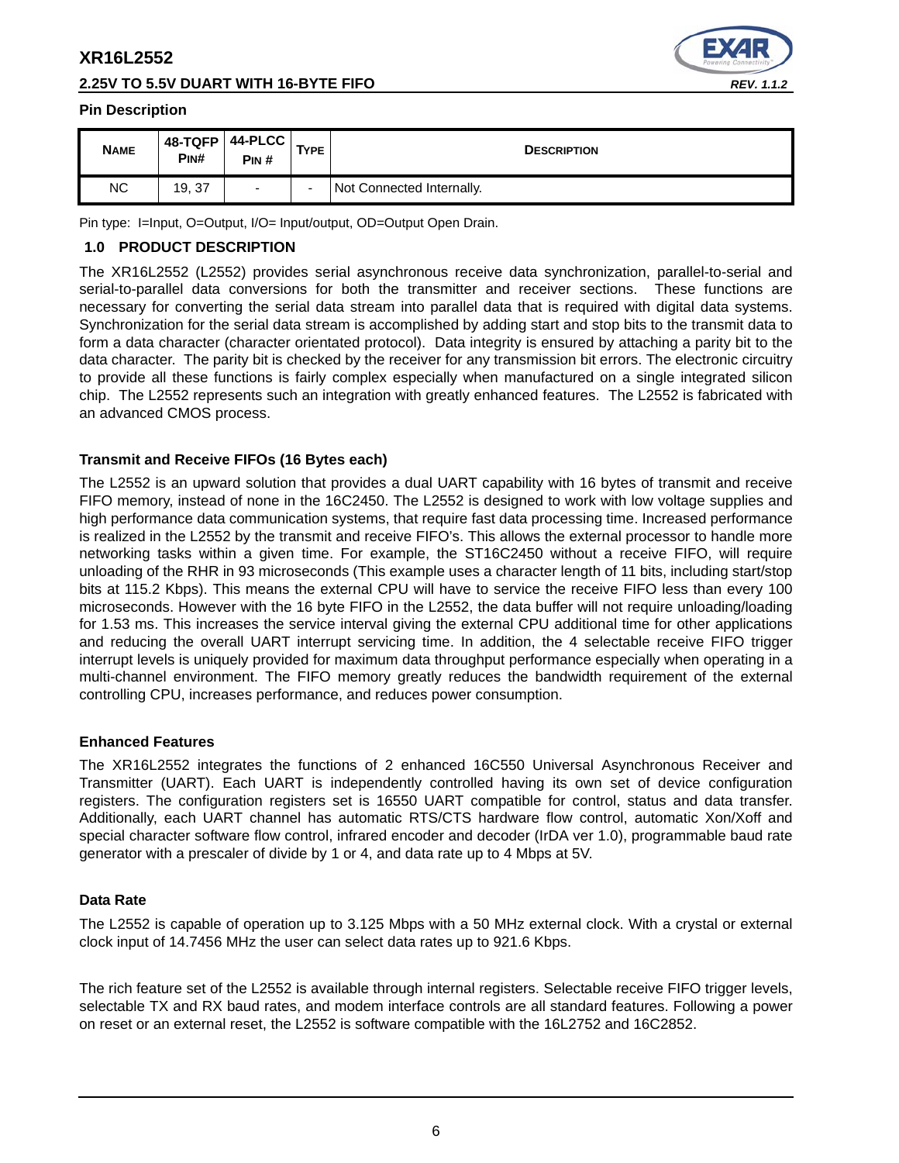## **2.25V TO 5.5V DUART WITH 16-BYTE FIFO** *REV. 1.1.2*



#### **Pin Description**

| <b>NAME</b> | 48-TQFP<br>PIN# | $44-PLCC$<br>PIN#        | TYPE.                    | <b>DESCRIPTION</b>        |
|-------------|-----------------|--------------------------|--------------------------|---------------------------|
| NC          | 19, 37          | $\overline{\phantom{0}}$ | $\overline{\phantom{0}}$ | Not Connected Internally. |

Pin type: I=Input, O=Output, I/O= Input/output, OD=Output Open Drain.

### **1.0 PRODUCT DESCRIPTION**

The XR16L2552 (L2552) provides serial asynchronous receive data synchronization, parallel-to-serial and serial-to-parallel data conversions for both the transmitter and receiver sections. These functions are necessary for converting the serial data stream into parallel data that is required with digital data systems. Synchronization for the serial data stream is accomplished by adding start and stop bits to the transmit data to form a data character (character orientated protocol). Data integrity is ensured by attaching a parity bit to the data character. The parity bit is checked by the receiver for any transmission bit errors. The electronic circuitry to provide all these functions is fairly complex especially when manufactured on a single integrated silicon chip. The L2552 represents such an integration with greatly enhanced features. The L2552 is fabricated with an advanced CMOS process.

#### **Transmit and Receive FIFOs (16 Bytes each)**

The L2552 is an upward solution that provides a dual UART capability with 16 bytes of transmit and receive FIFO memory, instead of none in the 16C2450. The L2552 is designed to work with low voltage supplies and high performance data communication systems, that require fast data processing time. Increased performance is realized in the L2552 by the transmit and receive FIFO's. This allows the external processor to handle more networking tasks within a given time. For example, the ST16C2450 without a receive FIFO, will require unloading of the RHR in 93 microseconds (This example uses a character length of 11 bits, including start/stop bits at 115.2 Kbps). This means the external CPU will have to service the receive FIFO less than every 100 microseconds. However with the 16 byte FIFO in the L2552, the data buffer will not require unloading/loading for 1.53 ms. This increases the service interval giving the external CPU additional time for other applications and reducing the overall UART interrupt servicing time. In addition, the 4 selectable receive FIFO trigger interrupt levels is uniquely provided for maximum data throughput performance especially when operating in a multi-channel environment. The FIFO memory greatly reduces the bandwidth requirement of the external controlling CPU, increases performance, and reduces power consumption.

#### **Enhanced Features**

The XR16L2552 integrates the functions of 2 enhanced 16C550 Universal Asynchronous Receiver and Transmitter (UART). Each UART is independently controlled having its own set of device configuration registers. The configuration registers set is 16550 UART compatible for control, status and data transfer. Additionally, each UART channel has automatic RTS/CTS hardware flow control, automatic Xon/Xoff and special character software flow control, infrared encoder and decoder (IrDA ver 1.0), programmable baud rate generator with a prescaler of divide by 1 or 4, and data rate up to 4 Mbps at 5V.

#### **Data Rate**

The L2552 is capable of operation up to 3.125 Mbps with a 50 MHz external clock. With a crystal or external clock input of 14.7456 MHz the user can select data rates up to 921.6 Kbps.

The rich feature set of the L2552 is available through internal registers. Selectable receive FIFO trigger levels, selectable TX and RX baud rates, and modem interface controls are all standard features. Following a power on reset or an external reset, the L2552 is software compatible with the 16L2752 and 16C2852.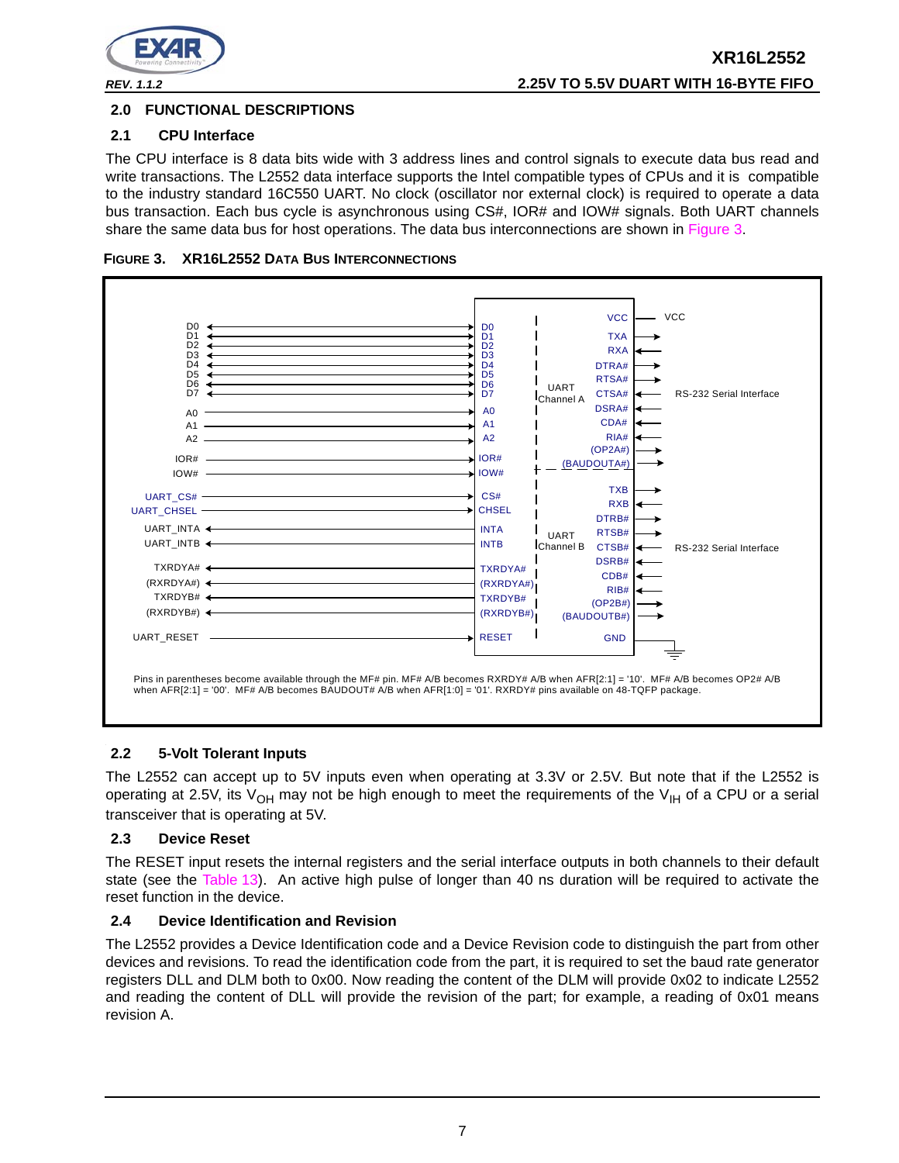

## **2.0 FUNCTIONAL DESCRIPTIONS**

## **2.1 CPU Interface**

The CPU interface is 8 data bits wide with 3 address lines and control signals to execute data bus read and write transactions. The L2552 data interface supports the Intel compatible types of CPUs and it is compatible to the industry standard 16C550 UART. No clock (oscillator nor external clock) is required to operate a data bus transaction. Each bus cycle is asynchronous using CS#, IOR# and IOW# signals. Both UART channels share the same data bus for host operations. The data bus interconnections are shown in Figure 3.





## **2.2 5-Volt Tolerant Inputs**

The L2552 can accept up to 5V inputs even when operating at 3.3V or 2.5V. But note that if the L2552 is operating at 2.5V, its V<sub>OH</sub> may not be high enough to meet the requirements of the V<sub>IH</sub> of a CPU or a serial transceiver that is operating at 5V.

## **2.3 Device Reset**

The RESET input resets the internal registers and the serial interface outputs in both channels to their default state (see the Table 13). An active high pulse of longer than 40 ns duration will be required to activate the reset function in the device.

## **2.4 Device Identification and Revision**

The L2552 provides a Device Identification code and a Device Revision code to distinguish the part from other devices and revisions. To read the identification code from the part, it is required to set the baud rate generator registers DLL and DLM both to 0x00. Now reading the content of the DLM will provide 0x02 to indicate L2552 and reading the content of DLL will provide the revision of the part; for example, a reading of 0x01 means revision A.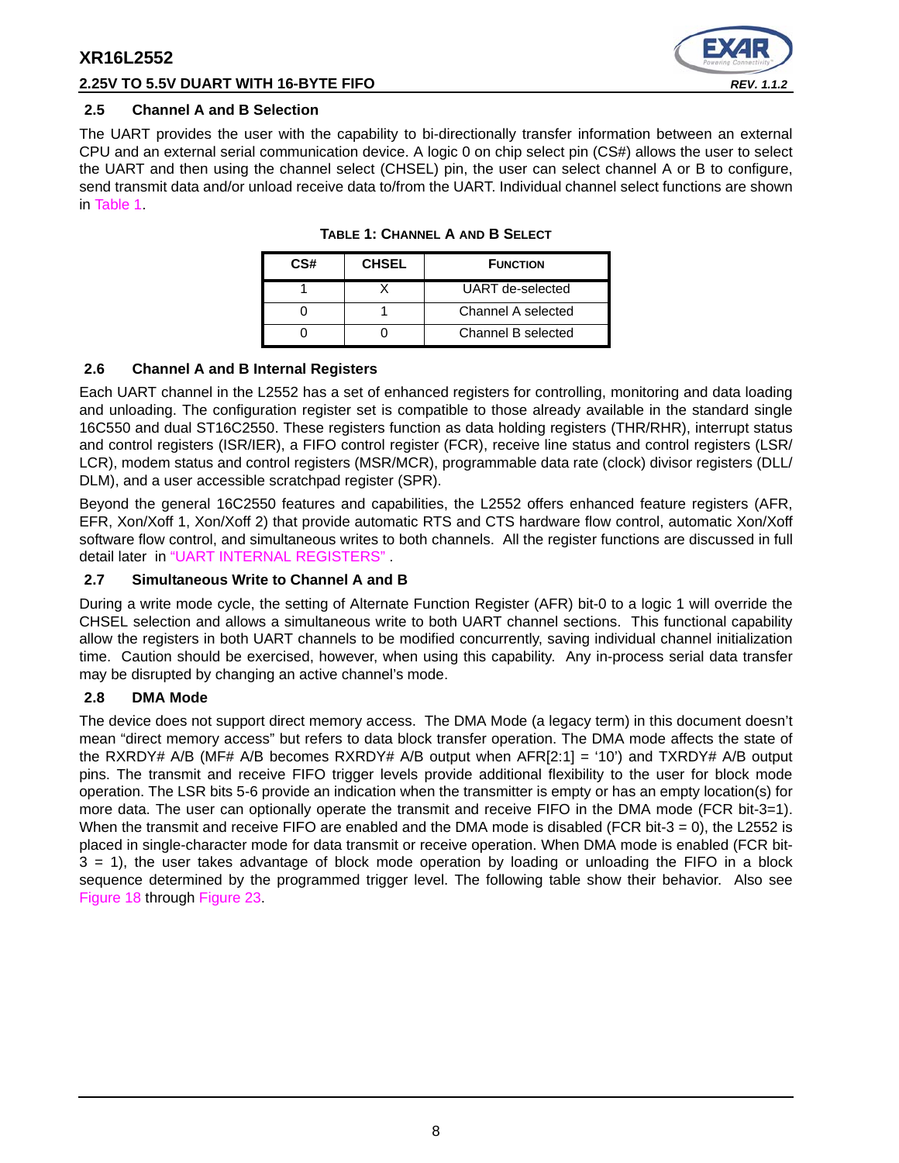## **2.25V TO 5.5V DUART WITH 16-BYTE FIFO** *REV. 1.1.2*



#### **2.5 Channel A and B Selection**

The UART provides the user with the capability to bi-directionally transfer information between an external CPU and an external serial communication device. A logic 0 on chip select pin (CS#) allows the user to select the UART and then using the channel select (CHSEL) pin, the user can select channel A or B to configure, send transmit data and/or unload receive data to/from the UART. Individual channel select functions are shown in Table 1.

| CS# | <b>CHSEL</b> | <b>FUNCTION</b>    |
|-----|--------------|--------------------|
|     |              | UART de-selected   |
|     |              | Channel A selected |
|     |              | Channel B selected |

### **TABLE 1: CHANNEL A AND B SELECT**

#### **2.6 Channel A and B Internal Registers**

Each UART channel in the L2552 has a set of enhanced registers for controlling, monitoring and data loading and unloading. The configuration register set is compatible to those already available in the standard single 16C550 and dual ST16C2550. These registers function as data holding registers (THR/RHR), interrupt status and control registers (ISR/IER), a FIFO control register (FCR), receive line status and control registers (LSR/ LCR), modem status and control registers (MSR/MCR), programmable data rate (clock) divisor registers (DLL/ DLM), and a user accessible scratchpad register (SPR).

Beyond the general 16C2550 features and capabilities, the L2552 offers enhanced feature registers (AFR, EFR, Xon/Xoff 1, Xon/Xoff 2) that provide automatic RTS and CTS hardware flow control, automatic Xon/Xoff software flow control, and simultaneous writes to both channels. All the register functions are discussed in full detail later in "UART INTERNAL REGISTERS" .

### **2.7 Simultaneous Write to Channel A and B**

During a write mode cycle, the setting of Alternate Function Register (AFR) bit-0 to a logic 1 will override the CHSEL selection and allows a simultaneous write to both UART channel sections. This functional capability allow the registers in both UART channels to be modified concurrently, saving individual channel initialization time. Caution should be exercised, however, when using this capability. Any in-process serial data transfer may be disrupted by changing an active channel's mode.

## **2.8 DMA Mode**

The device does not support direct memory access. The DMA Mode (a legacy term) in this document doesn't mean "direct memory access" but refers to data block transfer operation. The DMA mode affects the state of the RXRDY# A/B (MF# A/B becomes RXRDY# A/B output when AFR[2:1] = '10') and TXRDY# A/B output pins. The transmit and receive FIFO trigger levels provide additional flexibility to the user for block mode operation. The LSR bits 5-6 provide an indication when the transmitter is empty or has an empty location(s) for more data. The user can optionally operate the transmit and receive FIFO in the DMA mode (FCR bit-3=1). When the transmit and receive FIFO are enabled and the DMA mode is disabled (FCR bit-3 = 0), the L2552 is placed in single-character mode for data transmit or receive operation. When DMA mode is enabled (FCR bit-3 = 1), the user takes advantage of block mode operation by loading or unloading the FIFO in a block sequence determined by the programmed trigger level. The following table show their behavior. Also see Figure 18 through Figure 23.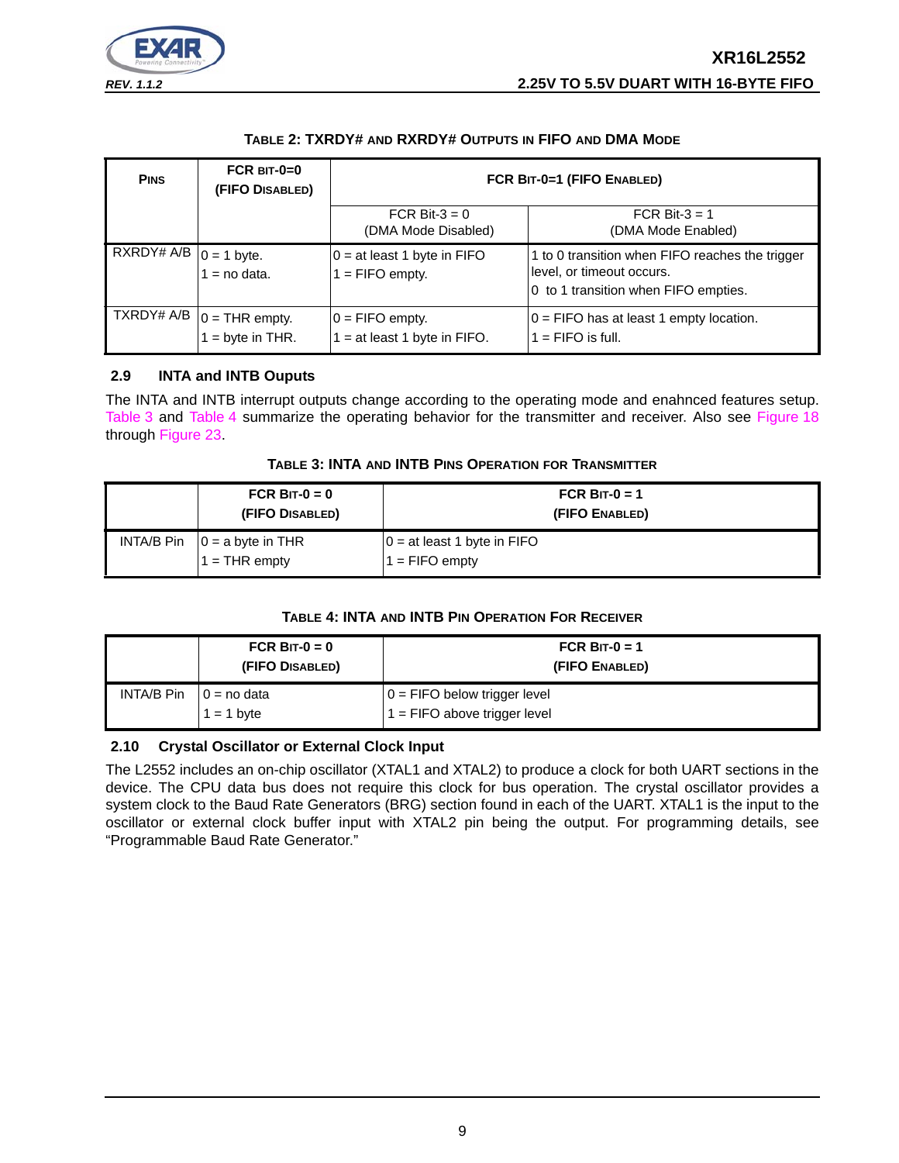

## **TABLE 2: TXRDY# AND RXRDY# OUTPUTS IN FIFO AND DMA MODE**

| <b>PINS</b>                                                             | FCR $BIT-0=0$<br>(FIFO DISABLED)                 | FCR BIT-0=1 (FIFO ENABLED)                         |                                                                                                                      |  |  |
|-------------------------------------------------------------------------|--------------------------------------------------|----------------------------------------------------|----------------------------------------------------------------------------------------------------------------------|--|--|
|                                                                         |                                                  | FCR Bit- $3 = 0$<br>(DMA Mode Disabled)            | FCR Bit- $3 = 1$<br>(DMA Mode Enabled)                                                                               |  |  |
| RXRDY# A/B $\begin{vmatrix} 0 & = 1 \ 1 & = 10 \end{vmatrix}$ attaction |                                                  | $0 = at least 1 byte in FIFO$<br>$1 =$ FIFO empty. | 1 to 0 transition when FIFO reaches the trigger<br>level, or timeout occurs.<br>0 to 1 transition when FIFO empties. |  |  |
|                                                                         | TXRDY# A/B $ 0 =$ THR empty.<br>$=$ byte in THR. | $0 =$ FIFO empty.<br>$=$ at least 1 byte in FIFO.  | $0 =$ FIFO has at least 1 empty location.<br>$1 =$ FIFO is full.                                                     |  |  |

## **2.9 INTA and INTB Ouputs**

The INTA and INTB interrupt outputs change according to the operating mode and enahnced features setup. Table 3 and Table 4 summarize the operating behavior for the transmitter and receiver. Also see Figure 18 through Figure 23.

#### **TABLE 3: INTA AND INTB PINS OPERATION FOR TRANSMITTER**

| FCR BIT- $0 = 0$<br>(FIFO DISABLED)                 | FCR BIT-0 = 1<br>(FIFO ENABLED)                   |
|-----------------------------------------------------|---------------------------------------------------|
| INTA/B Pin $ 0  = a$ byte in THR<br>$1 =$ THR empty | $0 = at least 1 byte in FIFO$<br>$1 =$ FIFO empty |

## **TABLE 4: INTA AND INTB PIN OPERATION FOR RECEIVER**

|            | FCR BIT- $0 = 0$<br>(FIFO DISABLED) | FCR BIT-0 = 1<br>(FIFO ENABLED)                                  |
|------------|-------------------------------------|------------------------------------------------------------------|
| INTA/B Pin | $10 = no$ data<br>$1 = 1$ byte      | $0 =$ FIFO below trigger level<br>$1 =$ FIFO above trigger level |

## **2.10 Crystal Oscillator or External Clock Input**

The L2552 includes an on-chip oscillator (XTAL1 and XTAL2) to produce a clock for both UART sections in the device. The CPU data bus does not require this clock for bus operation. The crystal oscillator provides a system clock to the Baud Rate Generators (BRG) section found in each of the UART. XTAL1 is the input to the oscillator or external clock buffer input with XTAL2 pin being the output. For programming details, see "Programmable Baud Rate Generator."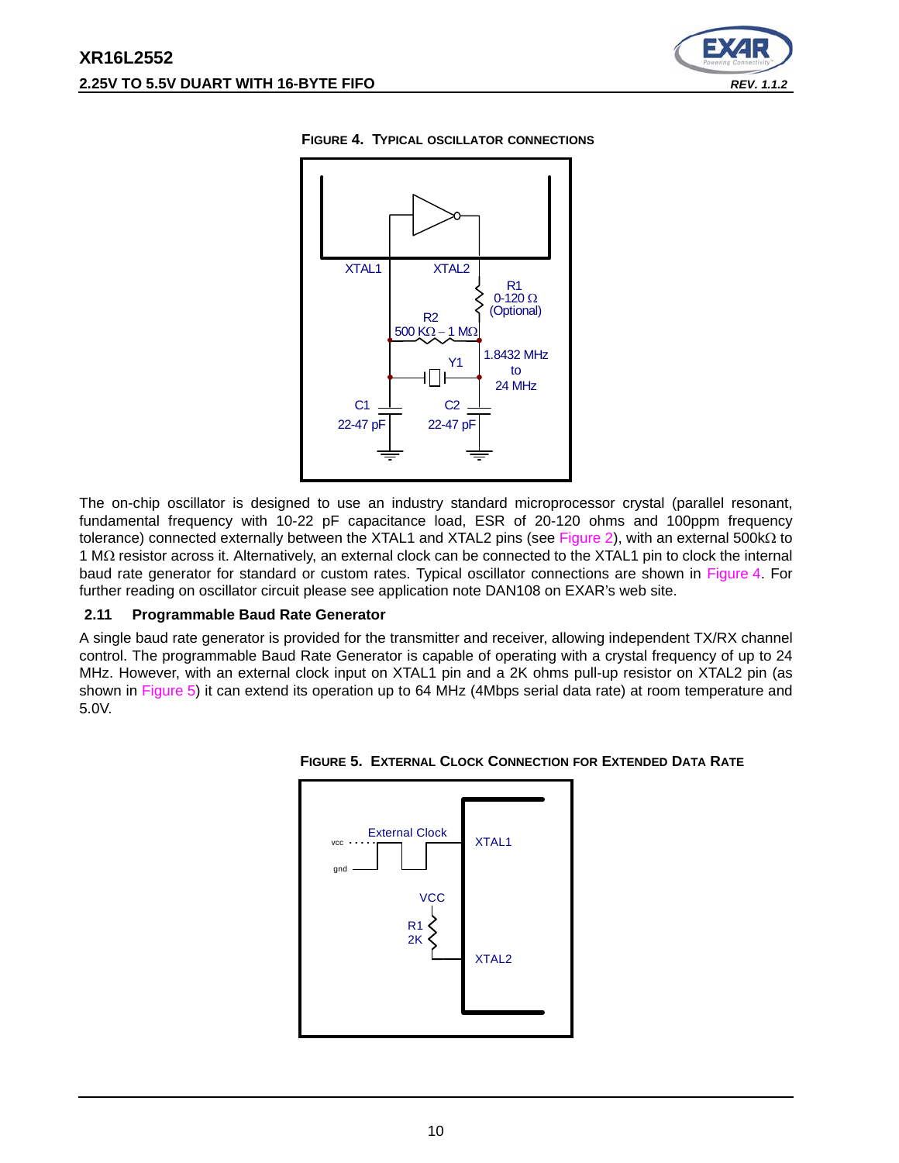



#### **FIGURE 4. TYPICAL OSCILLATOR CONNECTIONS**

The on-chip oscillator is designed to use an industry standard microprocessor crystal (parallel resonant, fundamental frequency with 10-22 pF capacitance load, ESR of 20-120 ohms and 100ppm frequency tolerance) connected externally between the XTAL1 and XTAL2 pins (see Figure 2), with an external 500kΩ to 1 MΩ resistor across it. Alternatively, an external clock can be connected to the XTAL1 pin to clock the internal baud rate generator for standard or custom rates. Typical oscillator connections are shown in Figure 4. For further reading on oscillator circuit please see application note DAN108 on EXAR's web site.

#### **2.11 Programmable Baud Rate Generator**

A single baud rate generator is provided for the transmitter and receiver, allowing independent TX/RX channel control. The programmable Baud Rate Generator is capable of operating with a crystal frequency of up to 24 MHz. However, with an external clock input on XTAL1 pin and a 2K ohms pull-up resistor on XTAL2 pin (as shown in Figure 5) it can extend its operation up to 64 MHz (4Mbps serial data rate) at room temperature and 5.0V.



**FIGURE 5. EXTERNAL CLOCK CONNECTION FOR EXTENDED DATA RATE**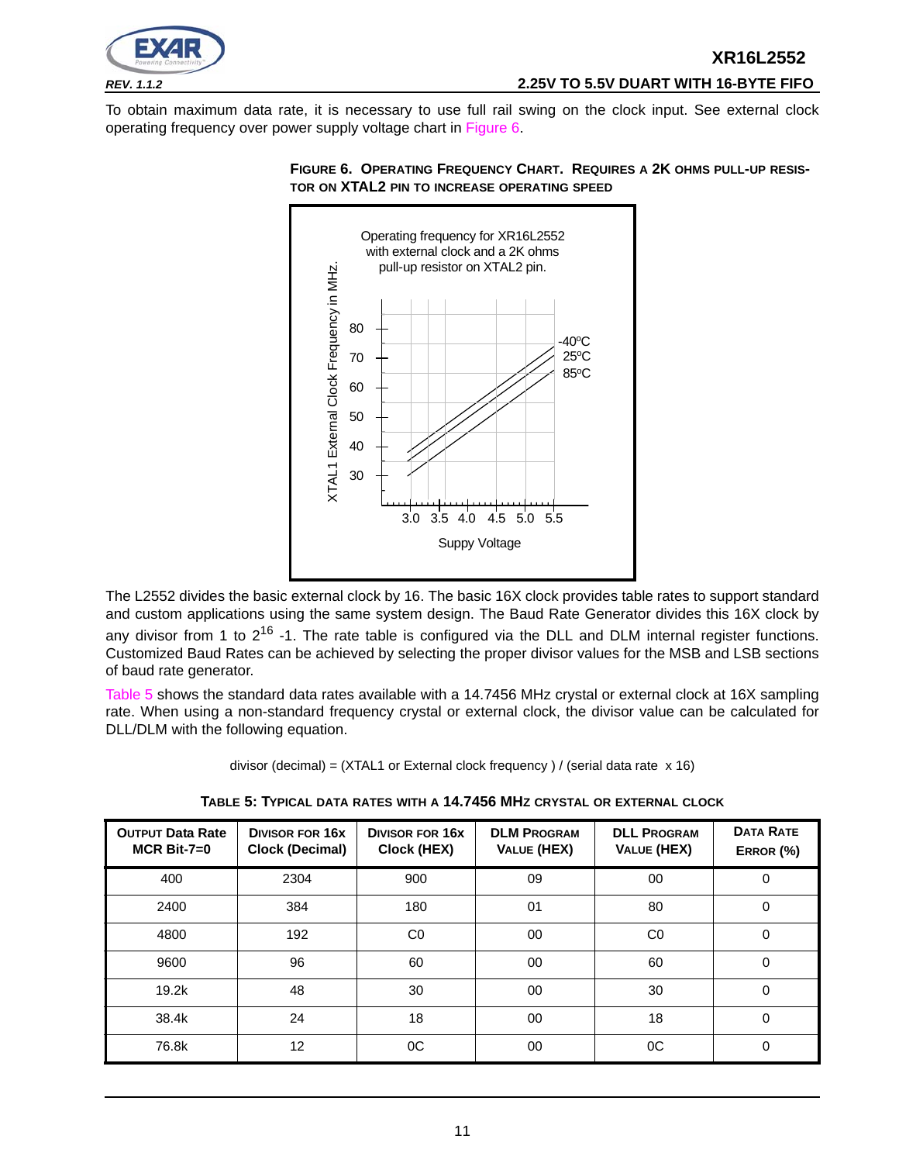

## *REV. 1.1.2* **2.25V TO 5.5V DUART WITH 16-BYTE FIFO**

To obtain maximum data rate, it is necessary to use full rail swing on the clock input. See external clock operating frequency over power supply voltage chart in Figure 6.



#### **FIGURE 6. OPERATING FREQUENCY CHART. REQUIRES A 2K OHMS PULL-UP RESIS-TOR ON XTAL2 PIN TO INCREASE OPERATING SPEED**

The L2552 divides the basic external clock by 16. The basic 16X clock provides table rates to support standard and custom applications using the same system design. The Baud Rate Generator divides this 16X clock by any divisor from 1 to  $2^{16}$  -1. The rate table is configured via the DLL and DLM internal register functions. Customized Baud Rates can be achieved by selecting the proper divisor values for the MSB and LSB sections of baud rate generator.

Table 5 shows the standard data rates available with a 14.7456 MHz crystal or external clock at 16X sampling rate. When using a non-standard frequency crystal or external clock, the divisor value can be calculated for DLL/DLM with the following equation.

| divisor (decimal) = $(XTAL1$ or External clock frequency ) / (serial data rate $x 16$ ) |  |
|-----------------------------------------------------------------------------------------|--|
|-----------------------------------------------------------------------------------------|--|

| <b>OUTPUT Data Rate</b><br>$MCR$ Bit-7=0 | <b>DIVISOR FOR 16X</b><br><b>Clock (Decimal)</b> | <b>DIVISOR FOR 16X</b><br>Clock (HEX) | <b>DLM PROGRAM</b><br>VALUE (HEX) | <b>DLL PROGRAM</b><br>VALUE (HEX) | <b>DATA RATE</b><br>ERROR (%) |
|------------------------------------------|--------------------------------------------------|---------------------------------------|-----------------------------------|-----------------------------------|-------------------------------|
| 400                                      | 2304                                             | 900                                   | 09                                | 00                                | 0                             |
| 2400                                     | 384                                              | 180                                   | 01                                | 80                                | 0                             |
| 4800                                     | 192                                              | CO                                    | 00                                | CO                                | 0                             |
| 9600                                     | 96                                               | 60                                    | 00                                | 60                                | 0                             |
| 19.2k                                    | 48                                               | 30                                    | 00                                | 30                                | 0                             |
| 38.4k                                    | 24                                               | 18                                    | 00                                | 18                                | 0                             |
| 76.8k                                    | 12                                               | <sub>0</sub> C                        | 00                                | 0C                                | 0                             |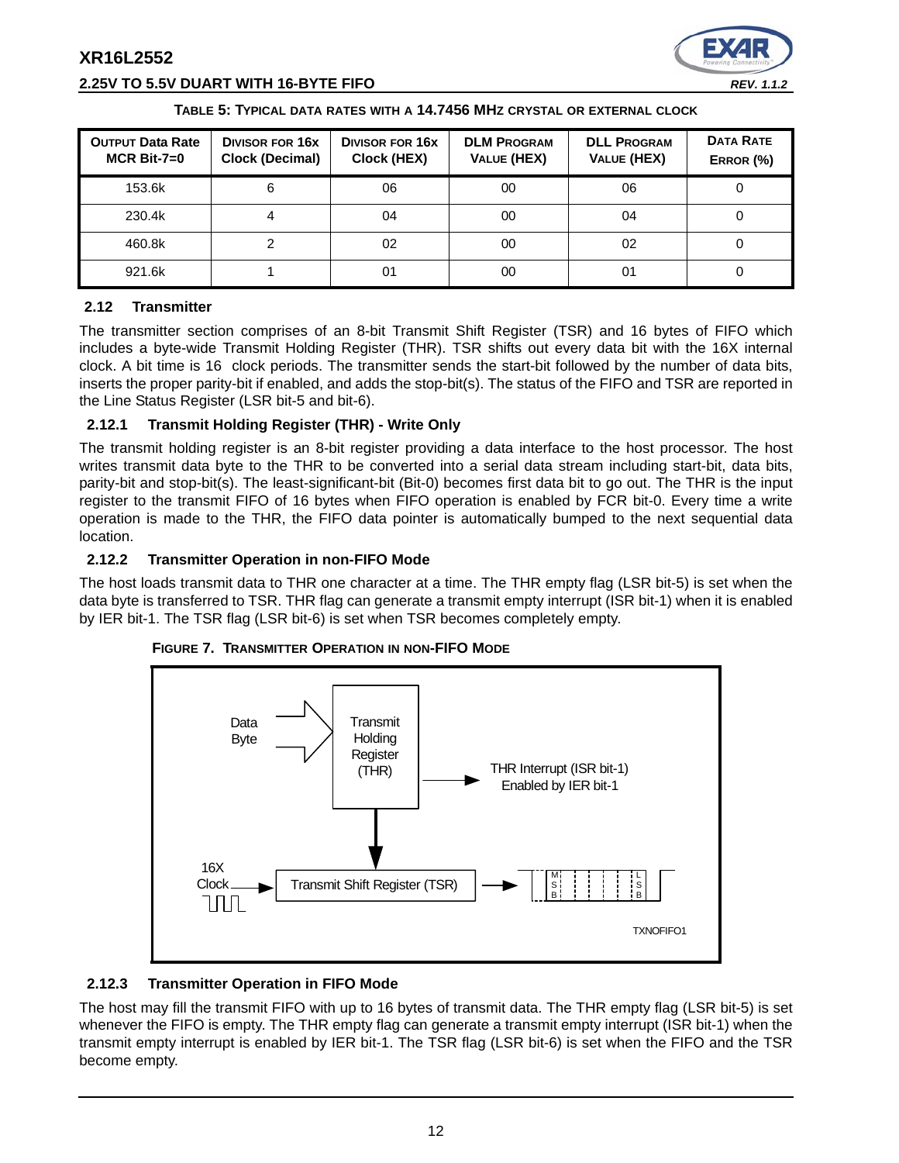



#### **TABLE 5: TYPICAL DATA RATES WITH A 14.7456 MHZ CRYSTAL OR EXTERNAL CLOCK**

| <b>OUTPUT Data Rate</b><br>$MCR$ Bit-7=0 | <b>DIVISOR FOR 16X</b><br><b>Clock (Decimal)</b> | <b>DIVISOR FOR 16X</b><br>Clock (HEX) | <b>DLM PROGRAM</b><br>VALUE (HEX) | <b>DLL PROGRAM</b><br><b>VALUE (HEX)</b> | <b>DATA RATE</b><br>ERROR (%) |
|------------------------------------------|--------------------------------------------------|---------------------------------------|-----------------------------------|------------------------------------------|-------------------------------|
| 153.6k                                   | 6                                                | 06                                    | 00                                | 06                                       |                               |
| 230.4k                                   |                                                  | 04                                    | 00                                | 04                                       |                               |
| 460.8k                                   | 2                                                | 02                                    | 00                                | 02                                       |                               |
| 921.6k                                   |                                                  | 01                                    | 00                                | 01                                       |                               |

## **2.12 Transmitter**

The transmitter section comprises of an 8-bit Transmit Shift Register (TSR) and 16 bytes of FIFO which includes a byte-wide Transmit Holding Register (THR). TSR shifts out every data bit with the 16X internal clock. A bit time is 16 clock periods. The transmitter sends the start-bit followed by the number of data bits, inserts the proper parity-bit if enabled, and adds the stop-bit(s). The status of the FIFO and TSR are reported in the Line Status Register (LSR bit-5 and bit-6).

## **2.12.1 Transmit Holding Register (THR) - Write Only**

The transmit holding register is an 8-bit register providing a data interface to the host processor. The host writes transmit data byte to the THR to be converted into a serial data stream including start-bit, data bits, parity-bit and stop-bit(s). The least-significant-bit (Bit-0) becomes first data bit to go out. The THR is the input register to the transmit FIFO of 16 bytes when FIFO operation is enabled by FCR bit-0. Every time a write operation is made to the THR, the FIFO data pointer is automatically bumped to the next sequential data location.

#### **2.12.2 Transmitter Operation in non-FIFO Mode**

The host loads transmit data to THR one character at a time. The THR empty flag (LSR bit-5) is set when the data byte is transferred to TSR. THR flag can generate a transmit empty interrupt (ISR bit-1) when it is enabled by IER bit-1. The TSR flag (LSR bit-6) is set when TSR becomes completely empty.



#### **FIGURE 7. TRANSMITTER OPERATION IN NON-FIFO MODE**

#### **2.12.3 Transmitter Operation in FIFO Mode**

The host may fill the transmit FIFO with up to 16 bytes of transmit data. The THR empty flag (LSR bit-5) is set whenever the FIFO is empty. The THR empty flag can generate a transmit empty interrupt (ISR bit-1) when the transmit empty interrupt is enabled by IER bit-1. The TSR flag (LSR bit-6) is set when the FIFO and the TSR become empty.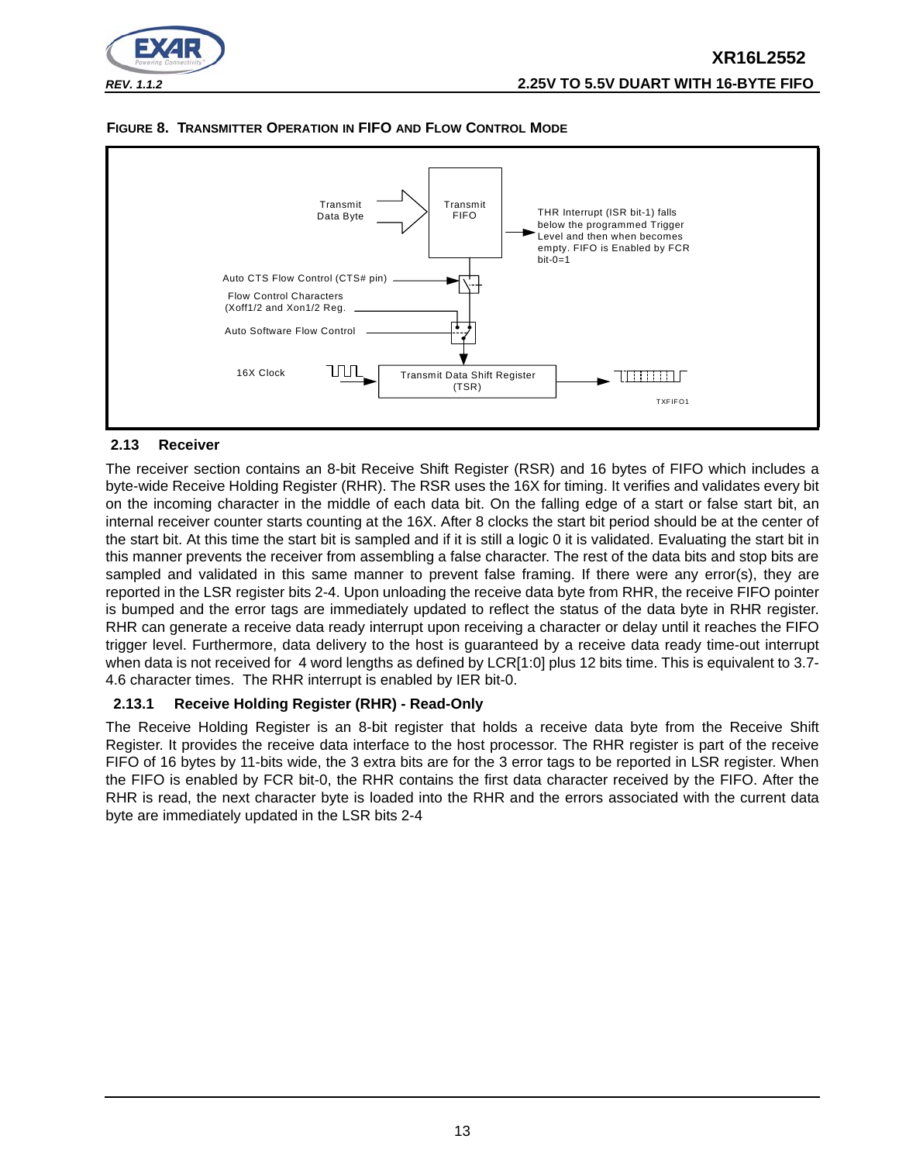

#### **FIGURE 8. TRANSMITTER OPERATION IN FIFO AND FLOW CONTROL MODE**



#### **2.13 Receiver**

The receiver section contains an 8-bit Receive Shift Register (RSR) and 16 bytes of FIFO which includes a byte-wide Receive Holding Register (RHR). The RSR uses the 16X for timing. It verifies and validates every bit on the incoming character in the middle of each data bit. On the falling edge of a start or false start bit, an internal receiver counter starts counting at the 16X. After 8 clocks the start bit period should be at the center of the start bit. At this time the start bit is sampled and if it is still a logic 0 it is validated. Evaluating the start bit in this manner prevents the receiver from assembling a false character. The rest of the data bits and stop bits are sampled and validated in this same manner to prevent false framing. If there were any error(s), they are reported in the LSR register bits 2-4. Upon unloading the receive data byte from RHR, the receive FIFO pointer is bumped and the error tags are immediately updated to reflect the status of the data byte in RHR register. RHR can generate a receive data ready interrupt upon receiving a character or delay until it reaches the FIFO trigger level. Furthermore, data delivery to the host is guaranteed by a receive data ready time-out interrupt when data is not received for 4 word lengths as defined by LCR[1:0] plus 12 bits time. This is equivalent to 3.7-4.6 character times. The RHR interrupt is enabled by IER bit-0.

## **2.13.1 Receive Holding Register (RHR) - Read-Only**

The Receive Holding Register is an 8-bit register that holds a receive data byte from the Receive Shift Register. It provides the receive data interface to the host processor. The RHR register is part of the receive FIFO of 16 bytes by 11-bits wide, the 3 extra bits are for the 3 error tags to be reported in LSR register. When the FIFO is enabled by FCR bit-0, the RHR contains the first data character received by the FIFO. After the RHR is read, the next character byte is loaded into the RHR and the errors associated with the current data byte are immediately updated in the LSR bits 2-4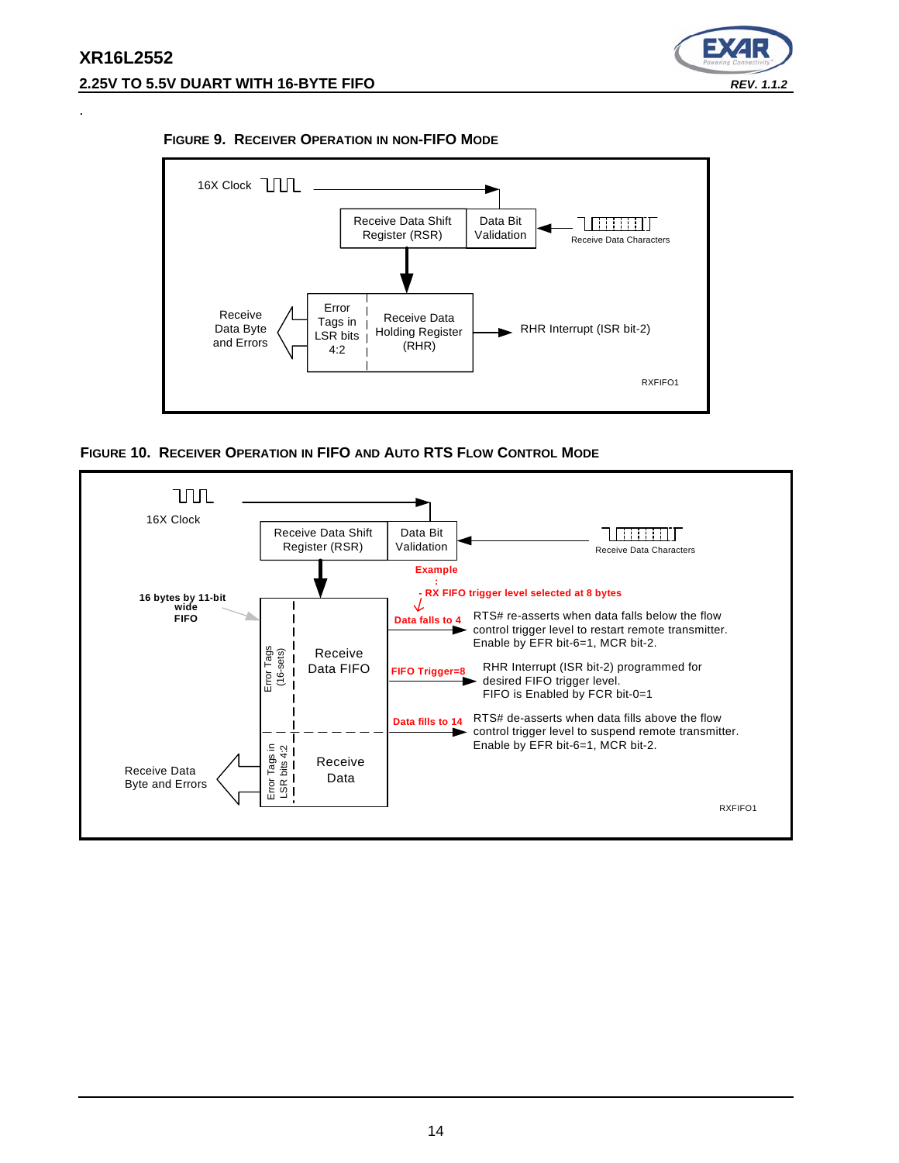.



#### **FIGURE 9. RECEIVER OPERATION IN NON-FIFO MODE**



**FIGURE 10. RECEIVER OPERATION IN FIFO AND AUTO RTS FLOW CONTROL MODE**

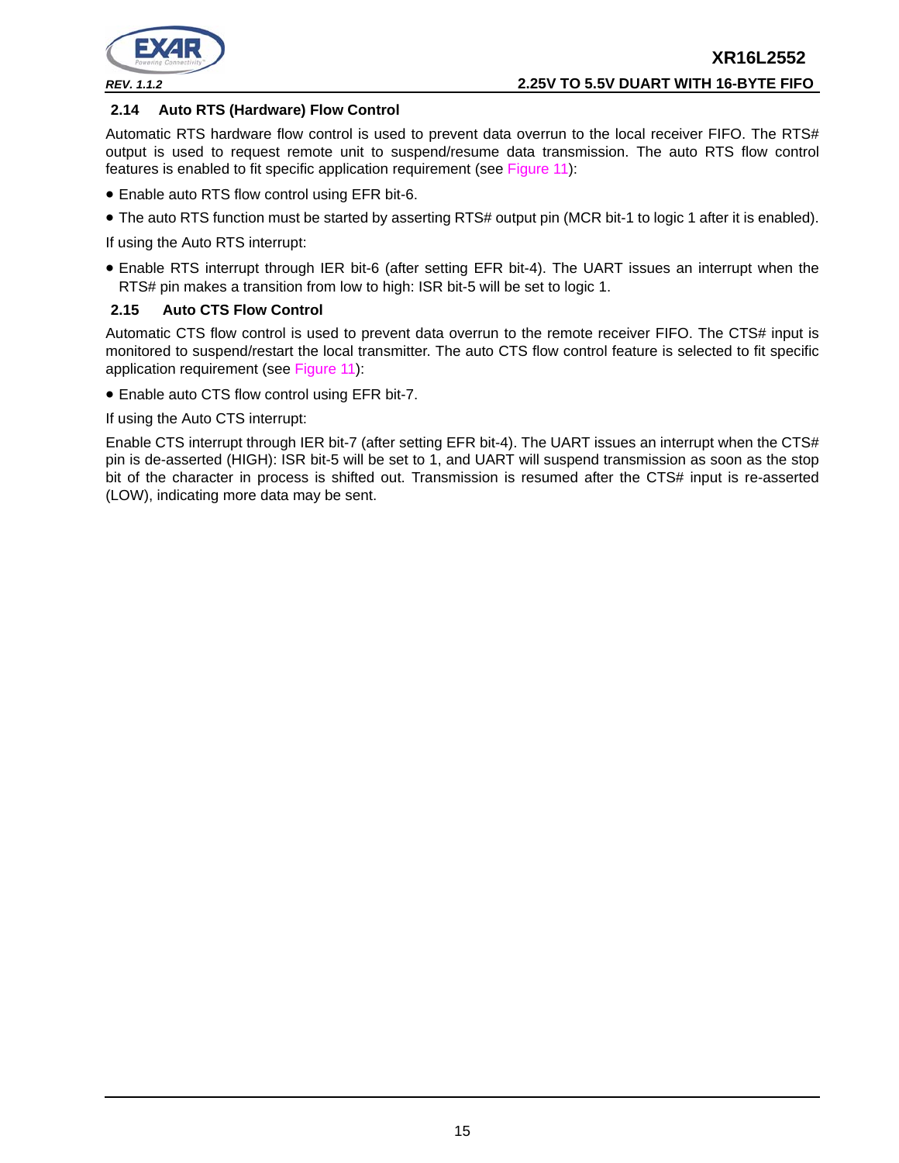

#### **2.14 Auto RTS (Hardware) Flow Control**

Automatic RTS hardware flow control is used to prevent data overrun to the local receiver FIFO. The RTS# output is used to request remote unit to suspend/resume data transmission. The auto RTS flow control features is enabled to fit specific application requirement (see Figure 11):

- Enable auto RTS flow control using EFR bit-6.
- The auto RTS function must be started by asserting RTS# output pin (MCR bit-1 to logic 1 after it is enabled).

If using the Auto RTS interrupt:

• Enable RTS interrupt through IER bit-6 (after setting EFR bit-4). The UART issues an interrupt when the RTS# pin makes a transition from low to high: ISR bit-5 will be set to logic 1.

#### **2.15 Auto CTS Flow Control**

Automatic CTS flow control is used to prevent data overrun to the remote receiver FIFO. The CTS# input is monitored to suspend/restart the local transmitter. The auto CTS flow control feature is selected to fit specific application requirement (see Figure 11):

• Enable auto CTS flow control using EFR bit-7.

If using the Auto CTS interrupt:

Enable CTS interrupt through IER bit-7 (after setting EFR bit-4). The UART issues an interrupt when the CTS# pin is de-asserted (HIGH): ISR bit-5 will be set to 1, and UART will suspend transmission as soon as the stop bit of the character in process is shifted out. Transmission is resumed after the CTS# input is re-asserted (LOW), indicating more data may be sent.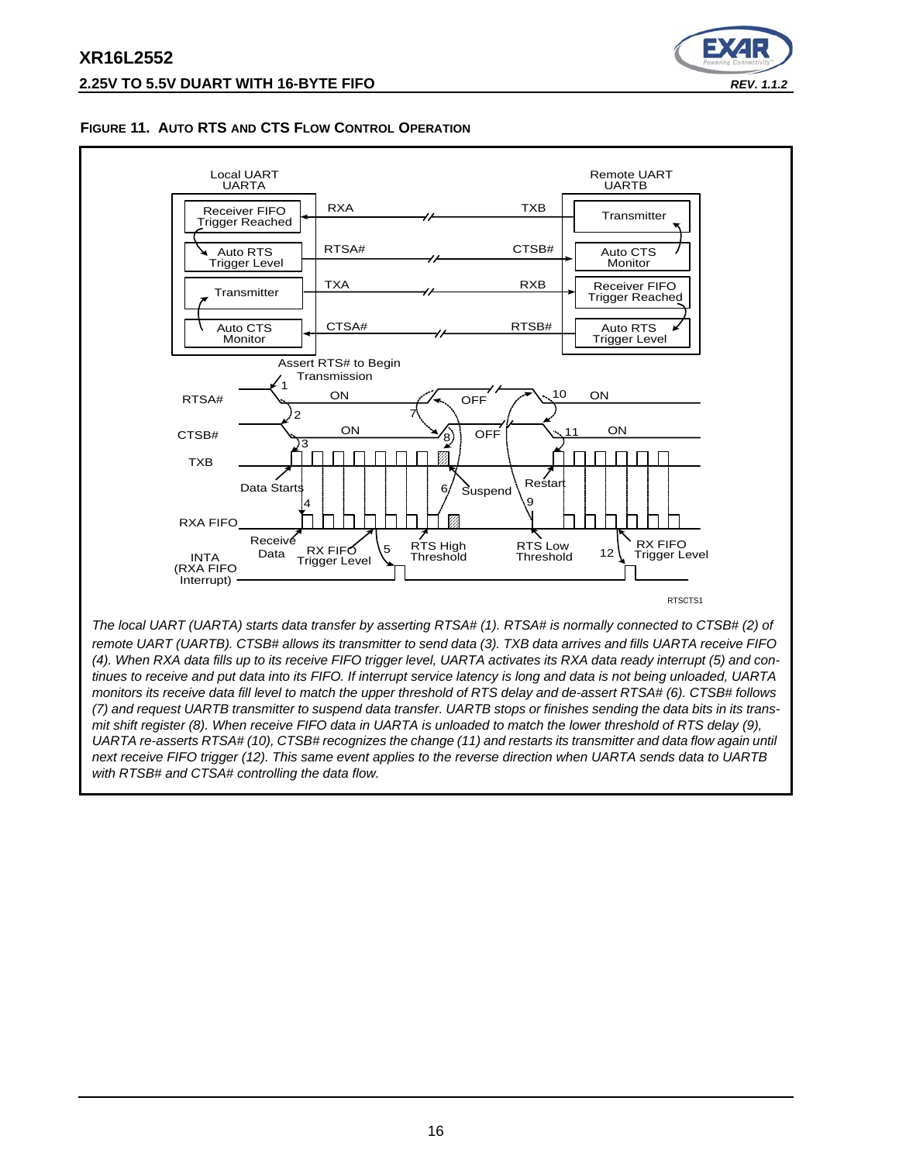

#### **FIGURE 11. AUTO RTS AND CTS FLOW CONTROL OPERATION**



*remote UART (UARTB). CTSB# allows its transmitter to send data (3). TXB data arrives and fills UARTA receive FIFO (4). When RXA data fills up to its receive FIFO trigger level, UARTA activates its RXA data ready interrupt (5) and continues to receive and put data into its FIFO. If interrupt service latency is long and data is not being unloaded, UARTA monitors its receive data fill level to match the upper threshold of RTS delay and de-assert RTSA# (6). CTSB# follows (7) and request UARTB transmitter to suspend data transfer. UARTB stops or finishes sending the data bits in its transmit shift register (8). When receive FIFO data in UARTA is unloaded to match the lower threshold of RTS delay (9), UARTA re-asserts RTSA# (10), CTSB# recognizes the change (11) and restarts its transmitter and data flow again until next receive FIFO trigger (12). This same event applies to the reverse direction when UARTA sends data to UARTB with RTSB# and CTSA# controlling the data flow.*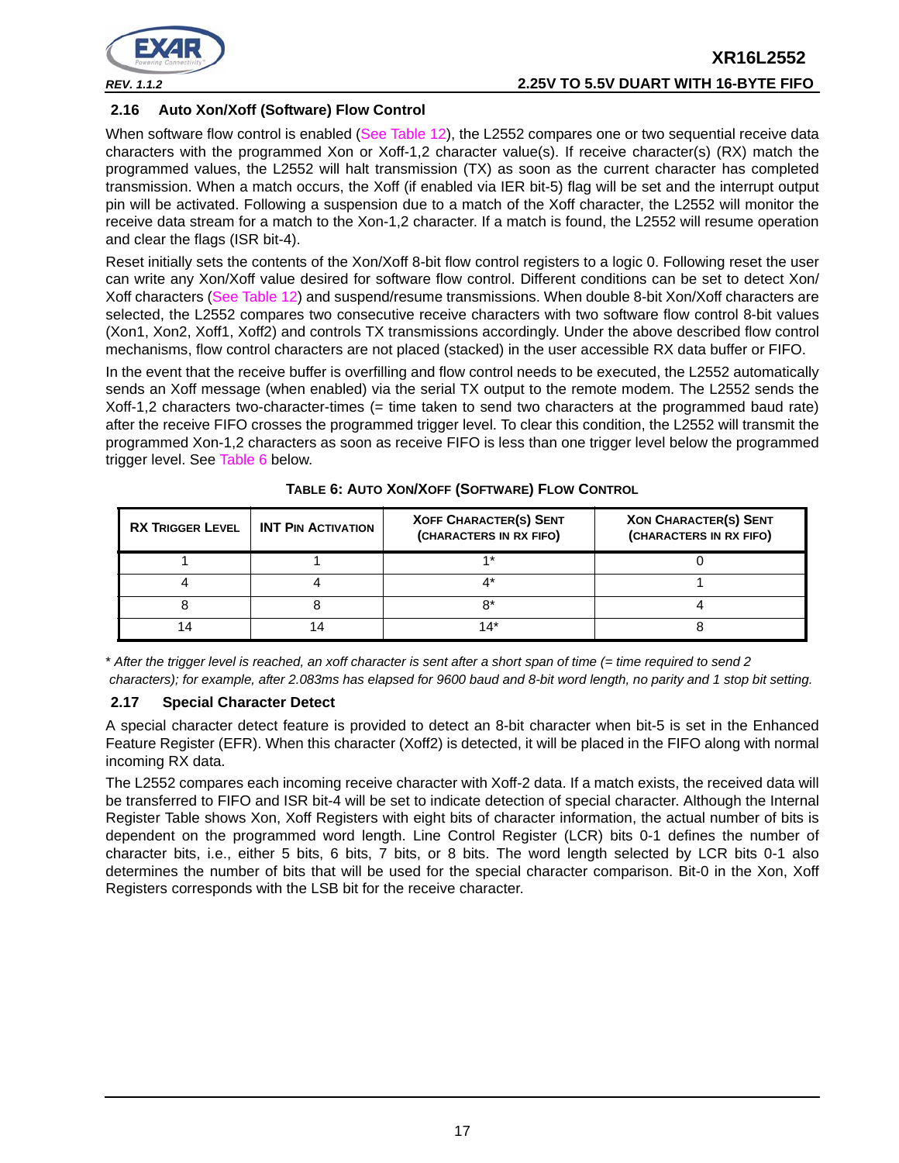

## **2.16 Auto Xon/Xoff (Software) Flow Control**

When software flow control is enabled (See Table 12), the L2552 compares one or two sequential receive data characters with the programmed Xon or Xoff-1,2 character value(s). If receive character(s) (RX) match the programmed values, the L2552 will halt transmission (TX) as soon as the current character has completed transmission. When a match occurs, the Xoff (if enabled via IER bit-5) flag will be set and the interrupt output pin will be activated. Following a suspension due to a match of the Xoff character, the L2552 will monitor the receive data stream for a match to the Xon-1,2 character. If a match is found, the L2552 will resume operation and clear the flags (ISR bit-4).

Reset initially sets the contents of the Xon/Xoff 8-bit flow control registers to a logic 0. Following reset the user can write any Xon/Xoff value desired for software flow control. Different conditions can be set to detect Xon/ Xoff characters (See Table 12) and suspend/resume transmissions. When double 8-bit Xon/Xoff characters are selected, the L2552 compares two consecutive receive characters with two software flow control 8-bit values (Xon1, Xon2, Xoff1, Xoff2) and controls TX transmissions accordingly. Under the above described flow control mechanisms, flow control characters are not placed (stacked) in the user accessible RX data buffer or FIFO.

In the event that the receive buffer is overfilling and flow control needs to be executed, the L2552 automatically sends an Xoff message (when enabled) via the serial TX output to the remote modem. The L2552 sends the Xoff-1,2 characters two-character-times (= time taken to send two characters at the programmed baud rate) after the receive FIFO crosses the programmed trigger level. To clear this condition, the L2552 will transmit the programmed Xon-1,2 characters as soon as receive FIFO is less than one trigger level below the programmed trigger level. See Table 6 below.

| <b>RX TRIGGER LEVEL</b> | <b>INT PIN ACTIVATION</b> | <b>XOFF CHARACTER(S) SENT</b><br>(CHARACTERS IN RX FIFO) | <b>XON CHARACTER(S) SENT</b><br>(CHARACTERS IN RX FIFO) |
|-------------------------|---------------------------|----------------------------------------------------------|---------------------------------------------------------|
|                         |                           | 4 *                                                      |                                                         |
|                         |                           |                                                          |                                                         |
|                         |                           | o*                                                       |                                                         |
|                         |                           | 14*                                                      |                                                         |

**TABLE 6: AUTO XON/XOFF (SOFTWARE) FLOW CONTROL**

\* *After the trigger level is reached, an xoff character is sent after a short span of time (= time required to send 2 characters); for example, after 2.083ms has elapsed for 9600 baud and 8-bit word length, no parity and 1 stop bit setting.*

#### **2.17 Special Character Detect**

A special character detect feature is provided to detect an 8-bit character when bit-5 is set in the Enhanced Feature Register (EFR). When this character (Xoff2) is detected, it will be placed in the FIFO along with normal incoming RX data.

The L2552 compares each incoming receive character with Xoff-2 data. If a match exists, the received data will be transferred to FIFO and ISR bit-4 will be set to indicate detection of special character. Although the Internal Register Table shows Xon, Xoff Registers with eight bits of character information, the actual number of bits is dependent on the programmed word length. Line Control Register (LCR) bits 0-1 defines the number of character bits, i.e., either 5 bits, 6 bits, 7 bits, or 8 bits. The word length selected by LCR bits 0-1 also determines the number of bits that will be used for the special character comparison. Bit-0 in the Xon, Xoff Registers corresponds with the LSB bit for the receive character.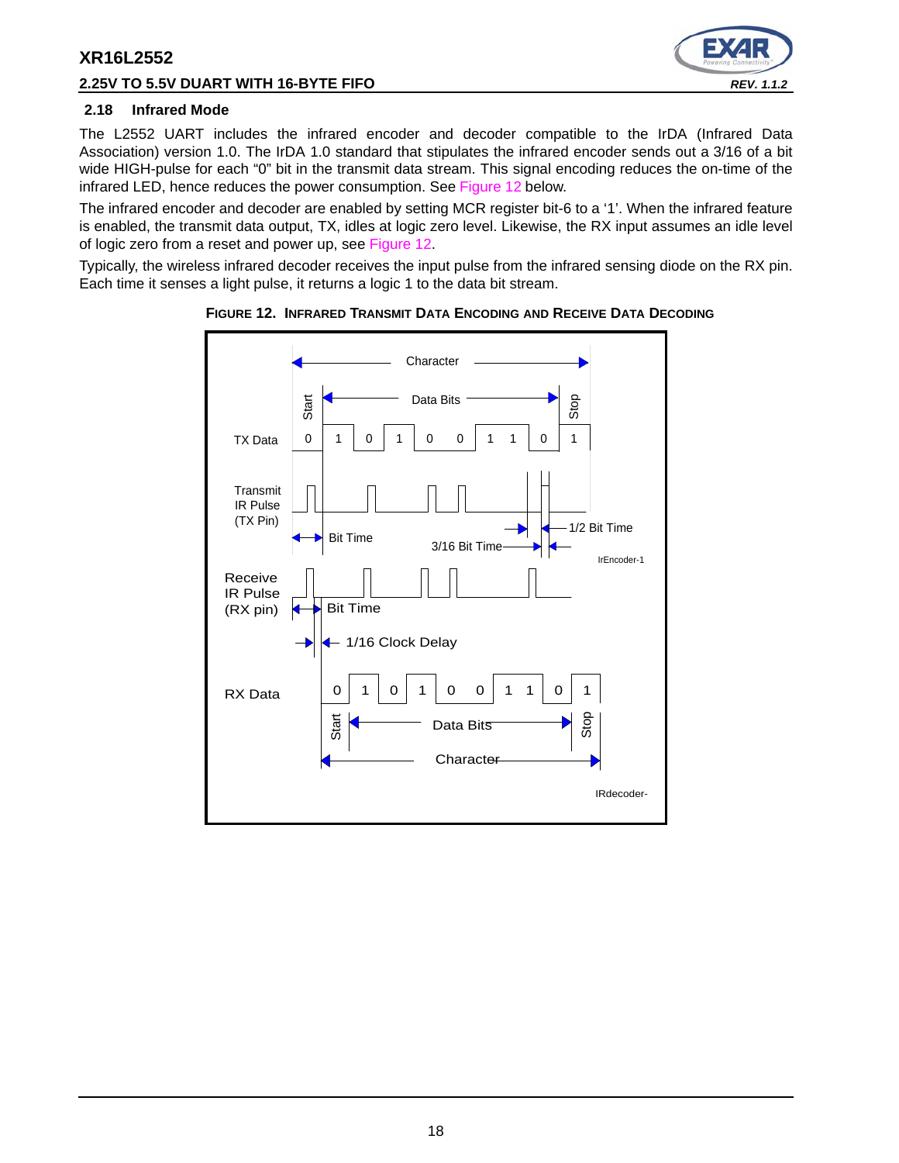## **2.25V TO 5.5V DUART WITH 16-BYTE FIFO** *REV. 1.1.2*



#### **2.18 Infrared Mode**

The L2552 UART includes the infrared encoder and decoder compatible to the IrDA (Infrared Data Association) version 1.0. The IrDA 1.0 standard that stipulates the infrared encoder sends out a 3/16 of a bit wide HIGH-pulse for each "0" bit in the transmit data stream. This signal encoding reduces the on-time of the infrared LED, hence reduces the power consumption. See Figure 12 below.

The infrared encoder and decoder are enabled by setting MCR register bit-6 to a '1'. When the infrared feature is enabled, the transmit data output, TX, idles at logic zero level. Likewise, the RX input assumes an idle level of logic zero from a reset and power up, see Figure 12.

Typically, the wireless infrared decoder receives the input pulse from the infrared sensing diode on the RX pin. Each time it senses a light pulse, it returns a logic 1 to the data bit stream.



**FIGURE 12. INFRARED TRANSMIT DATA ENCODING AND RECEIVE DATA DECODING**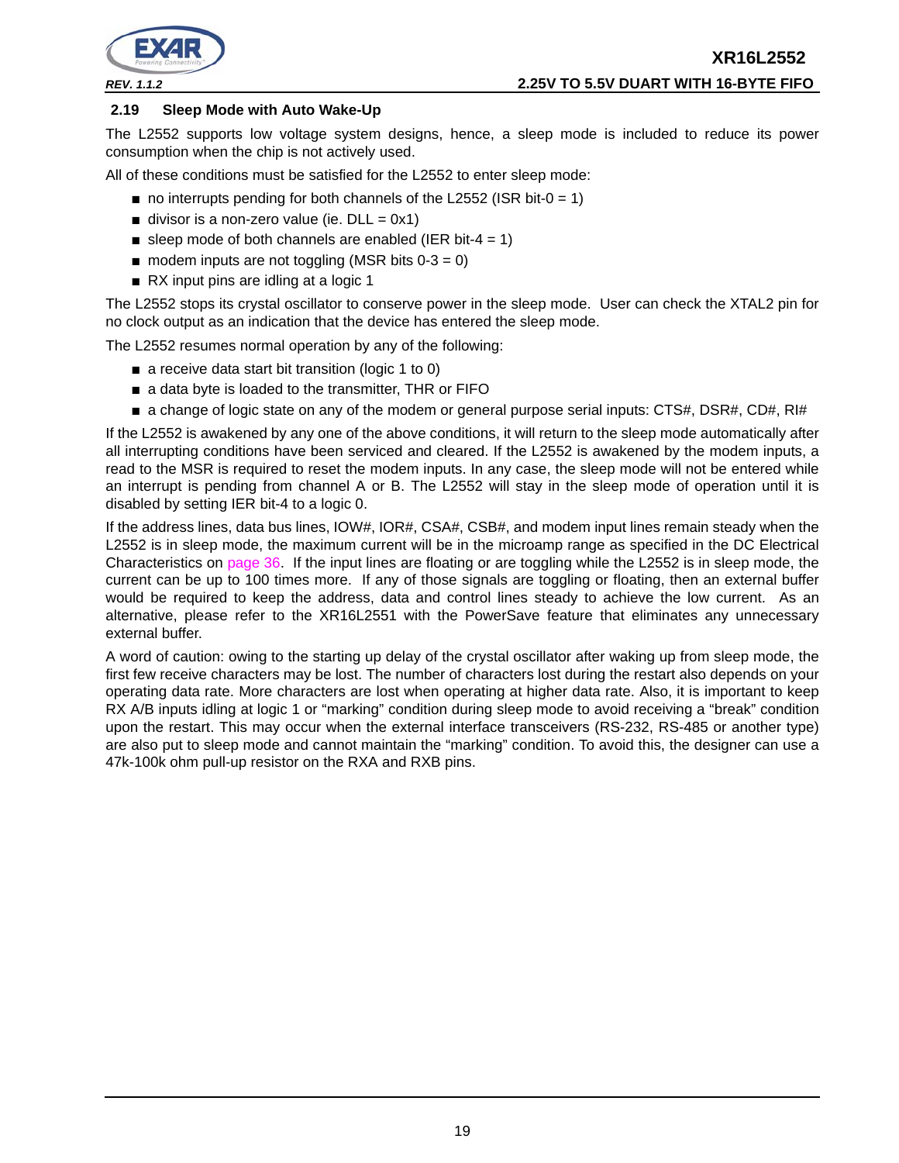

#### **2.19 Sleep Mode with Auto Wake-Up**

The L2552 supports low voltage system designs, hence, a sleep mode is included to reduce its power consumption when the chip is not actively used.

All of these conditions must be satisfied for the L2552 to enter sleep mode:

- $\blacksquare$  no interrupts pending for both channels of the L2552 (ISR bit-0 = 1)
- $\blacksquare$  divisor is a non-zero value (ie. DLL = 0x1)
- sleep mode of both channels are enabled (IER bit-4 = 1)
- $\blacksquare$  modem inputs are not toggling (MSR bits 0-3 = 0)
- RX input pins are idling at a logic 1

The L2552 stops its crystal oscillator to conserve power in the sleep mode. User can check the XTAL2 pin for no clock output as an indication that the device has entered the sleep mode.

The L2552 resumes normal operation by any of the following:

- a receive data start bit transition (logic 1 to 0)
- a data byte is loaded to the transmitter, THR or FIFO
- a change of logic state on any of the modem or general purpose serial inputs: CTS#, DSR#, CD#, RI#

If the L2552 is awakened by any one of the above conditions, it will return to the sleep mode automatically after all interrupting conditions have been serviced and cleared. If the L2552 is awakened by the modem inputs, a read to the MSR is required to reset the modem inputs. In any case, the sleep mode will not be entered while an interrupt is pending from channel A or B. The L2552 will stay in the sleep mode of operation until it is disabled by setting IER bit-4 to a logic 0.

If the address lines, data bus lines, IOW#, IOR#, CSA#, CSB#, and modem input lines remain steady when the L2552 is in sleep mode, the maximum current will be in the microamp range as specified in the DC Electrical Characteristics on page 36. If the input lines are floating or are toggling while the L2552 is in sleep mode, the current can be up to 100 times more. If any of those signals are toggling or floating, then an external buffer would be required to keep the address, data and control lines steady to achieve the low current. As an alternative, please refer to the XR16L2551 with the PowerSave feature that eliminates any unnecessary external buffer.

A word of caution: owing to the starting up delay of the crystal oscillator after waking up from sleep mode, the first few receive characters may be lost. The number of characters lost during the restart also depends on your operating data rate. More characters are lost when operating at higher data rate. Also, it is important to keep RX A/B inputs idling at logic 1 or "marking" condition during sleep mode to avoid receiving a "break" condition upon the restart. This may occur when the external interface transceivers (RS-232, RS-485 or another type) are also put to sleep mode and cannot maintain the "marking" condition. To avoid this, the designer can use a 47k-100k ohm pull-up resistor on the RXA and RXB pins.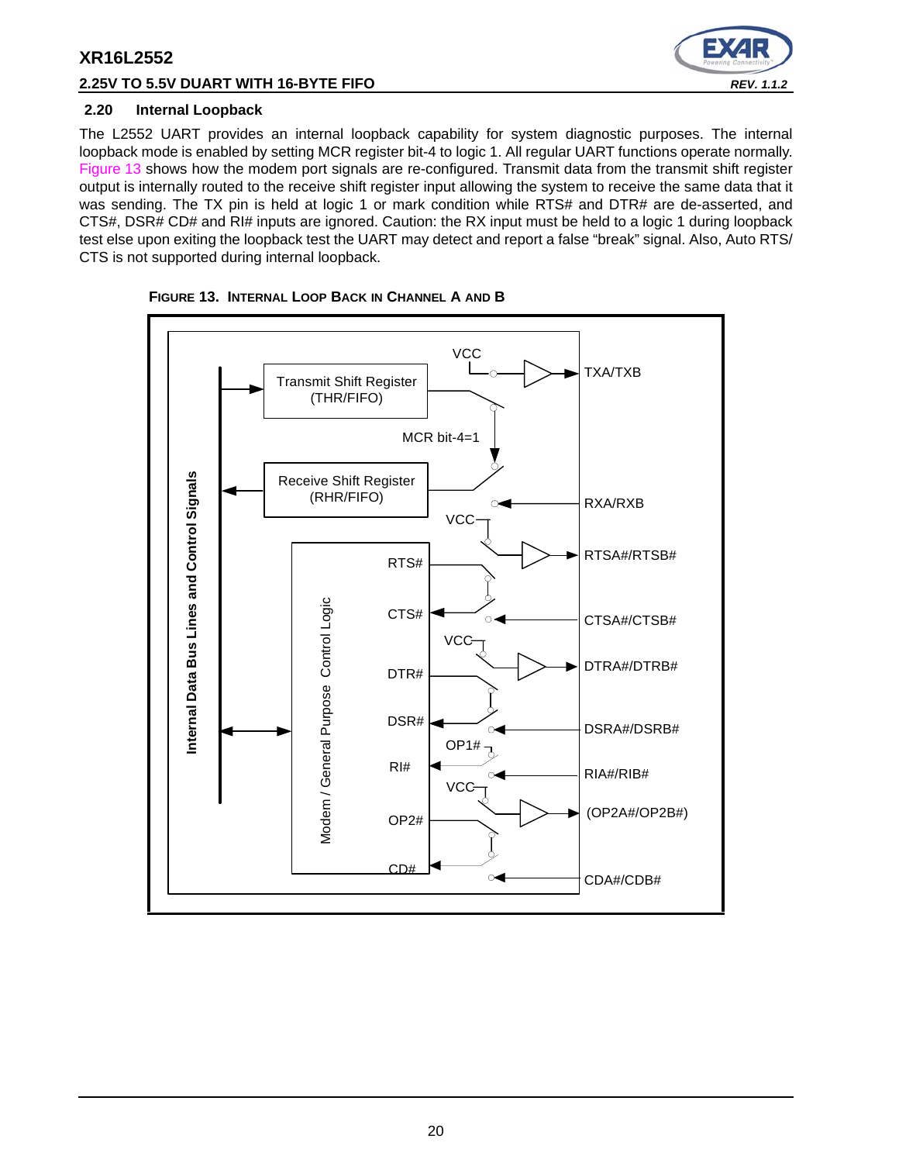# **2.25V TO 5.5V DUART WITH 16-BYTE FIFO** *REV. 1.1.2*



## **2.20 Internal Loopback**

The L2552 UART provides an internal loopback capability for system diagnostic purposes. The internal loopback mode is enabled by setting MCR register bit-4 to logic 1. All regular UART functions operate normally. Figure 13 shows how the modem port signals are re-configured. Transmit data from the transmit shift register output is internally routed to the receive shift register input allowing the system to receive the same data that it was sending. The TX pin is held at logic 1 or mark condition while RTS# and DTR# are de-asserted, and CTS#, DSR# CD# and RI# inputs are ignored. Caution: the RX input must be held to a logic 1 during loopback test else upon exiting the loopback test the UART may detect and report a false "break" signal. Also, Auto RTS/ CTS is not supported during internal loopback.



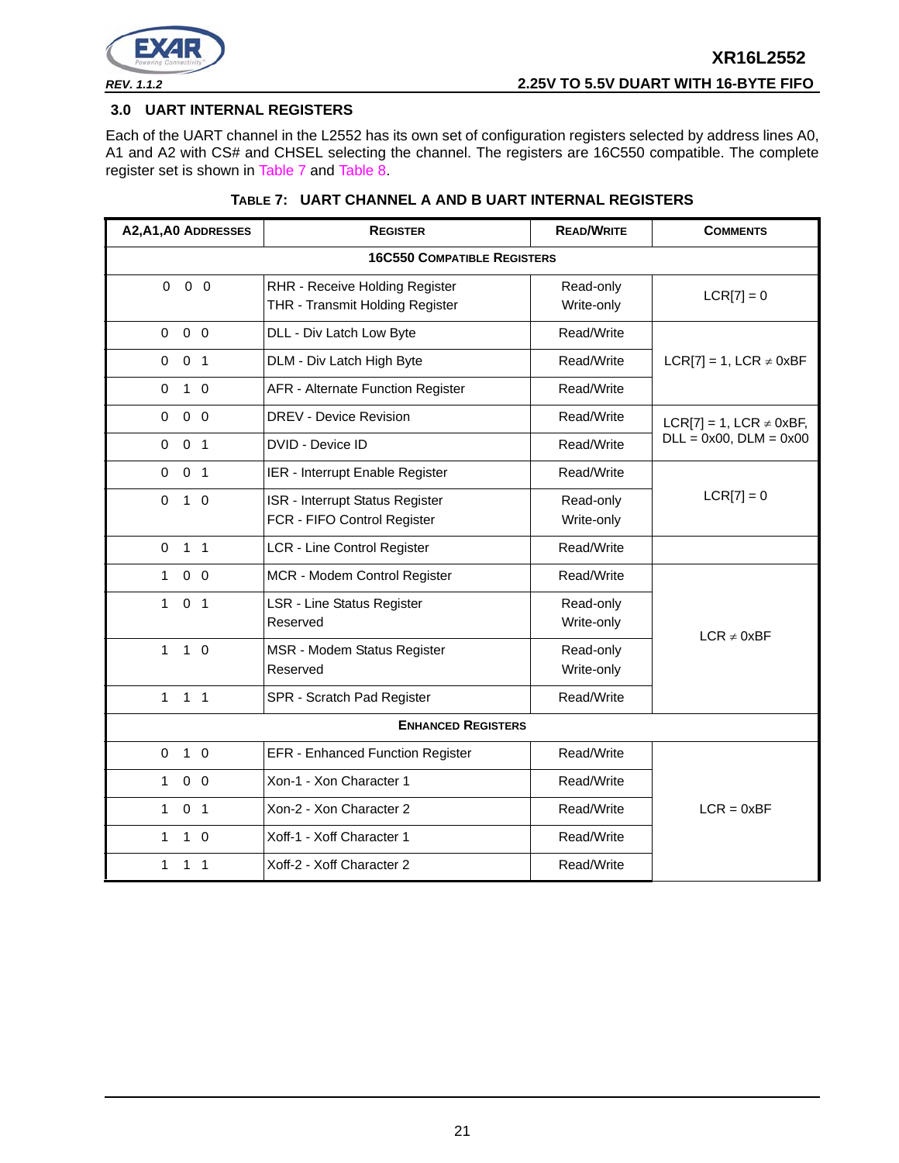

#### **3.0 UART INTERNAL REGISTERS**

Each of the UART channel in the L2552 has its own set of configuration registers selected by address lines A0, A1 and A2 with CS# and CHSEL selecting the channel. The registers are 16C550 compatible. The complete register set is shown in Table 7 and Table 8.

| A2, A1, A0 ADDRESSES                       | <b>REGISTER</b>                          | <b>READ/WRITE</b> | <b>COMMENTS</b>                  |  |  |  |  |  |
|--------------------------------------------|------------------------------------------|-------------------|----------------------------------|--|--|--|--|--|
| <b>16C550 COMPATIBLE REGISTERS</b>         |                                          |                   |                                  |  |  |  |  |  |
| $0\quad 0$<br>$\Omega$                     | RHR - Receive Holding Register           | Read-only         | $LCR[7] = 0$                     |  |  |  |  |  |
|                                            | THR - Transmit Holding Register          | Write-only        |                                  |  |  |  |  |  |
| $0\quad 0$<br>$\Omega$                     | DLL - Div Latch Low Byte                 | Read/Write        |                                  |  |  |  |  |  |
| 0 <sub>1</sub><br>$\mathbf 0$              | DLM - Div Latch High Byte                | Read/Write        | $LCR[7] = 1$ , $LCR \neq 0xBF$   |  |  |  |  |  |
| $1\quad$ 0<br>$\Omega$                     | <b>AFR - Alternate Function Register</b> | Read/Write        |                                  |  |  |  |  |  |
| $\mathbf 0$<br>0 <sub>0</sub>              | <b>DREV - Device Revision</b>            | Read/Write        | $LCR[7] = 1$ , $LCR \neq 0xBF$ , |  |  |  |  |  |
| 0 <sub>1</sub><br>$\mathbf 0$              | DVID - Device ID                         | Read/Write        | $DLL = 0x00$ , $DLM = 0x00$      |  |  |  |  |  |
| $\mathbf 0$<br>0 <sub>1</sub>              | IER - Interrupt Enable Register          | Read/Write        |                                  |  |  |  |  |  |
| $\mathbf 0$<br>$\mathbf 0$<br>$\mathbf{1}$ | ISR - Interrupt Status Register          | Read-only         | $LCR[7] = 0$                     |  |  |  |  |  |
|                                            | FCR - FIFO Control Register              | Write-only        |                                  |  |  |  |  |  |
| 1 <sub>1</sub><br>$\Omega$                 | LCR - Line Control Register              | Read/Write        |                                  |  |  |  |  |  |
| 0 <sub>0</sub><br>$\mathbf{1}$             | MCR - Modem Control Register             | Read/Write        |                                  |  |  |  |  |  |
| 0 <sub>1</sub><br>$\mathbf{1}$             | LSR - Line Status Register               | Read-only         |                                  |  |  |  |  |  |
|                                            | Reserved                                 | Write-only        | $LCR \neq 0xBF$                  |  |  |  |  |  |
| $\mathbf{1}$<br>$1\quad$ 0                 | MSR - Modem Status Register              | Read-only         |                                  |  |  |  |  |  |
|                                            | Reserved                                 | Write-only        |                                  |  |  |  |  |  |
| 1 <sub>1</sub><br>$\mathbf{1}$             | SPR - Scratch Pad Register               | Read/Write        |                                  |  |  |  |  |  |
|                                            | <b>ENHANCED REGISTERS</b>                |                   |                                  |  |  |  |  |  |
| $1\quad$ 0<br>$\mathbf 0$                  | <b>EFR - Enhanced Function Register</b>  | Read/Write        |                                  |  |  |  |  |  |
| $0\quad 0$<br>$\mathbf{1}$                 | Xon-1 - Xon Character 1                  | Read/Write        |                                  |  |  |  |  |  |
| 0 <sub>1</sub><br>$\mathbf{1}$             | Xon-2 - Xon Character 2                  | Read/Write        | $LCR = 0xBF$                     |  |  |  |  |  |
| $\mathbf 1$<br>$1\quad$ 0                  | Xoff-1 - Xoff Character 1                | Read/Write        |                                  |  |  |  |  |  |
| $\mathbf{1}$<br>$1 \quad 1$                | Xoff-2 - Xoff Character 2                | Read/Write        |                                  |  |  |  |  |  |

## **TABLE 7: UART CHANNEL A AND B UART INTERNAL REGISTERS**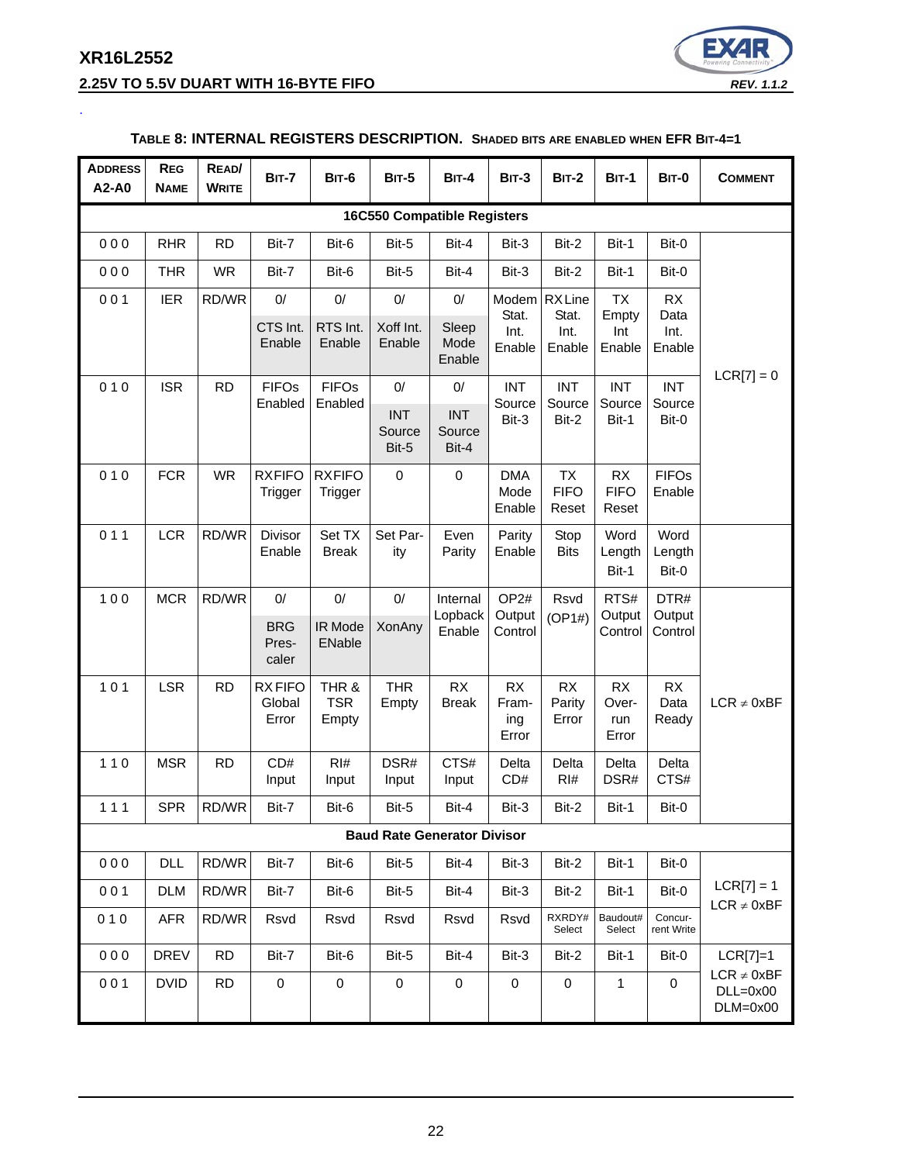# **XR16L2552 2.25V TO 5.5V DUART WITH 16-BYTE FIFO** *REV. 1.1.2*

.



## **TABLE 8: INTERNAL REGISTERS DESCRIPTION. SHADED BITS ARE ENABLED WHEN EFR BIT-4=1**

| <b>ADDRESS</b><br>A2-A0            | <b>REG</b><br><b>NAME</b> | READ/<br><b>WRITE</b> | <b>BIT-7</b>                       | BIT-6                        | <b>BIT-5</b>                  | <b>BIT-4</b>                       | <b>BIT-3</b>                          | <b>BIT-2</b>                      | <b>BIT-1</b>                        | BIT-0                      | <b>COMMENT</b>                              |
|------------------------------------|---------------------------|-----------------------|------------------------------------|------------------------------|-------------------------------|------------------------------------|---------------------------------------|-----------------------------------|-------------------------------------|----------------------------|---------------------------------------------|
| <b>16C550 Compatible Registers</b> |                           |                       |                                    |                              |                               |                                    |                                       |                                   |                                     |                            |                                             |
| 000                                | <b>RHR</b>                | <b>RD</b>             | Bit-7                              | Bit-6                        | Bit-5                         | Bit-4                              | Bit-3                                 | Bit-2                             | Bit-1                               | Bit-0                      |                                             |
| 000                                | <b>THR</b>                | <b>WR</b>             | Bit-7                              | Bit-6                        | Bit-5                         | Bit-4                              | Bit-3                                 | Bit-2                             | Bit-1                               | Bit-0                      |                                             |
| 001                                | <b>IER</b>                | RD/WR                 | 0/<br>CTS Int.<br>Enable           | $0/$<br>RTS Int.<br>Enable   | $0/$<br>Xoff Int.<br>Enable   | 0/<br>Sleep<br>Mode                | Modem<br>Stat.<br>Int.                | <b>RXLine</b><br>Stat.<br>Int.    | <b>TX</b><br>Empty<br>Int<br>Enable | RX<br>Data<br>Int.         |                                             |
|                                    |                           |                       |                                    |                              |                               | Enable                             | Enable                                | Enable                            |                                     | Enable                     |                                             |
| 010                                | <b>ISR</b>                | <b>RD</b>             | <b>FIFOs</b><br>Enabled            | <b>FIFOs</b><br>Enabled      | 0/                            | 0/                                 | <b>INT</b><br>Source                  | <b>INT</b><br>Source              | <b>INT</b><br>Source                | <b>INT</b><br>Source       | $LCR[7] = 0$                                |
|                                    |                           |                       |                                    |                              | <b>INT</b><br>Source<br>Bit-5 | <b>INT</b><br>Source<br>Bit-4      | Bit-3                                 | Bit-2                             | Bit-1                               | Bit-0                      |                                             |
| 010                                | <b>FCR</b>                | <b>WR</b>             | <b>RXFIFO</b><br>Trigger           | <b>RXFIFO</b><br>Trigger     | 0                             | $\mathbf 0$                        | <b>DMA</b><br>Mode<br>Enable          | <b>TX</b><br><b>FIFO</b><br>Reset | <b>RX</b><br><b>FIFO</b><br>Reset   | <b>FIFOs</b><br>Enable     |                                             |
| 011                                | <b>LCR</b>                | RD/WR                 | <b>Divisor</b><br>Enable           | Set TX<br><b>Break</b>       | Set Par-<br>ity               | Even<br>Parity                     | Parity<br>Enable                      | Stop<br><b>Bits</b>               | Word<br>Length<br>Bit-1             | Word<br>Length<br>Bit-0    |                                             |
| 100                                | <b>MCR</b>                | RD/WR                 | 0/<br><b>BRG</b><br>Pres-<br>caler | $0/$<br>IR Mode<br>ENable    | 0/<br>XonAny                  | Internal<br>Lopback<br>Enable      | OP <sub>2#</sub><br>Output<br>Control | Rsvd<br>(OP1#)                    | RTS#<br>Output<br>Control           | DTR#<br>Output<br>Control  |                                             |
| 101                                | <b>LSR</b>                | <b>RD</b>             | <b>RXFIFO</b><br>Global<br>Error   | THR &<br><b>TSR</b><br>Empty | <b>THR</b><br>Empty           | <b>RX</b><br><b>Break</b>          | <b>RX</b><br>Fram-<br>ing<br>Error    | RX<br>Parity<br>Error             | <b>RX</b><br>Over-<br>run<br>Error  | <b>RX</b><br>Data<br>Ready | $LCR \neq 0xBF$                             |
| $110$                              | <b>MSR</b>                | <b>RD</b>             | CD#<br>Input                       | RI#<br>Input                 | DSR#<br>Input                 | CTS#<br>Input                      | Delta<br>CD#                          | Delta<br>RI#                      | Delta<br>DSR#                       | Delta<br>CTS#              |                                             |
| 111                                | <b>SPR</b>                | RD/WR                 | Bit-7                              | Bit-6                        | Bit-5                         | Bit-4                              | Bit-3                                 | Bit-2                             | Bit-1                               | Bit-0                      |                                             |
|                                    |                           |                       |                                    |                              |                               | <b>Baud Rate Generator Divisor</b> |                                       |                                   |                                     |                            |                                             |
| 000                                | <b>DLL</b>                | RD/WR                 | Bit-7                              | Bit-6                        | Bit-5                         | Bit-4                              | Bit-3                                 | Bit-2                             | Bit-1                               | Bit-0                      |                                             |
| 001                                | DLM                       | RD/WR                 | Bit-7                              | Bit-6                        | Bit-5                         | Bit-4                              | Bit-3                                 | Bit-2                             | Bit-1                               | Bit-0                      | $LCR[7] = 1$<br>$LCR \neq 0xBF$             |
| 010                                | <b>AFR</b>                | RD/WR                 | Rsvd                               | Rsvd                         | Rsvd                          | Rsvd                               | Rsvd                                  | RXRDY#<br>Select                  | Baudout#<br>Select                  | Concur-<br>rent Write      |                                             |
| 000                                | <b>DREV</b>               | <b>RD</b>             | Bit-7                              | Bit-6                        | Bit-5                         | Bit-4                              | Bit-3                                 | Bit-2                             | Bit-1                               | Bit-0                      | $LCR[7]=1$                                  |
| 001                                | <b>DVID</b>               | <b>RD</b>             | $\pmb{0}$                          | $\pmb{0}$                    | $\pmb{0}$                     | $\mathbf 0$                        | $\pmb{0}$                             | $\pmb{0}$                         | $\mathbf{1}$                        | 0                          | $LCR \neq 0xBF$<br>$DLL=0x00$<br>$DLM=0x00$ |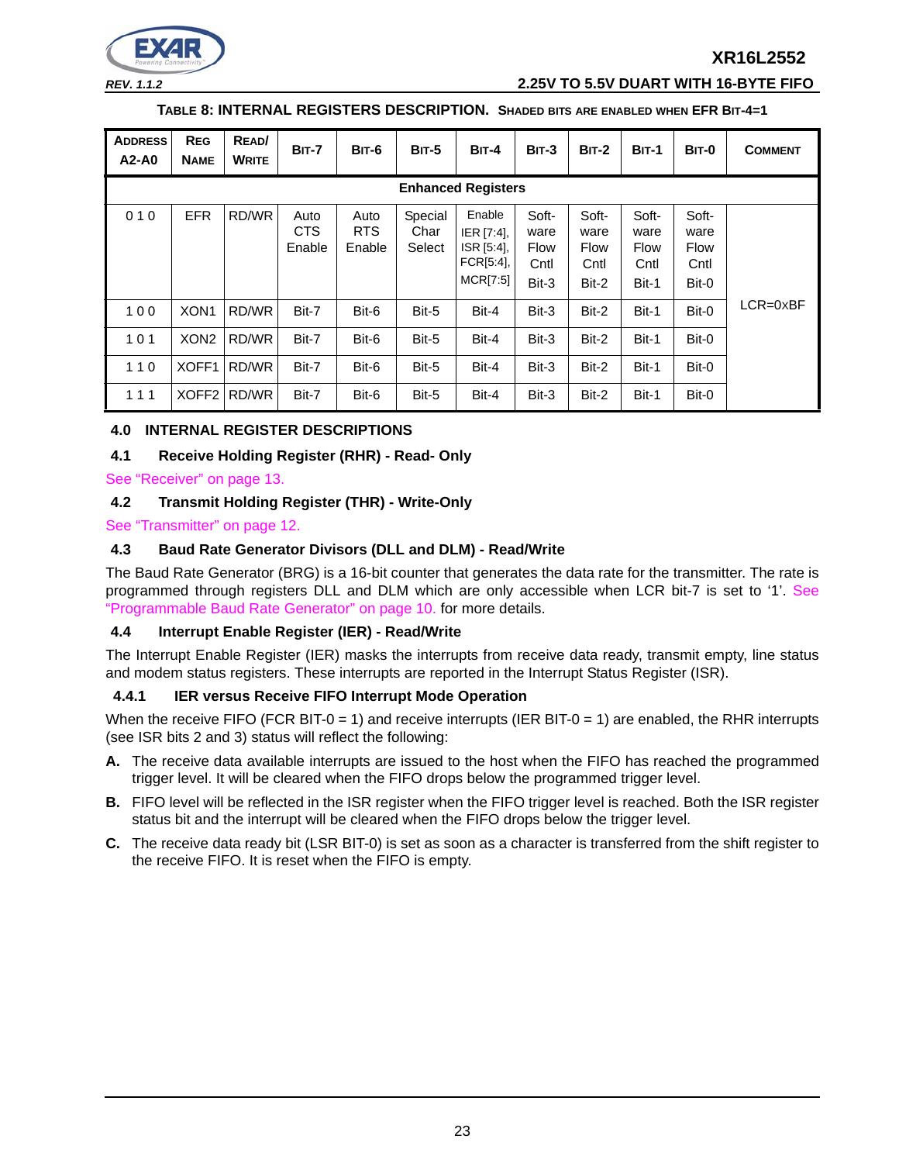

*REV. 1.1.2* **2.25V TO 5.5V DUART WITH 16-BYTE FIFO**

## **TABLE 8: INTERNAL REGISTERS DESCRIPTION. SHADED BITS ARE ENABLED WHEN EFR BIT-4=1**

| <b>ADDRESS</b><br>$A2-A0$ | <b>REG</b><br><b>NAME</b> | READ/<br><b>WRITE</b> | <b>BIT-7</b>          | BIT-6                        | <b>BIT-5</b>              | BIT-4                                                       | BIT-3                                         | <b>BIT-2</b>                                  | <b>BIT-1</b>                           | BIT-0                                  | <b>COMMENT</b>      |
|---------------------------|---------------------------|-----------------------|-----------------------|------------------------------|---------------------------|-------------------------------------------------------------|-----------------------------------------------|-----------------------------------------------|----------------------------------------|----------------------------------------|---------------------|
|                           | <b>Enhanced Registers</b> |                       |                       |                              |                           |                                                             |                                               |                                               |                                        |                                        |                     |
| 010                       | <b>EFR</b>                | RD/WR                 | Auto<br>CTS<br>Enable | Auto<br><b>RTS</b><br>Enable | Special<br>Char<br>Select | Enable<br>IER [7:4],<br>ISR [5:4],<br>FCR[5:4],<br>MCR[7:5] | Soft-<br>ware<br><b>Flow</b><br>Cntl<br>Bit-3 | Soft-<br>ware<br><b>Flow</b><br>Cntl<br>Bit-2 | Soft-<br>ware<br>Flow<br>Cntl<br>Bit-1 | Soft-<br>ware<br>Flow<br>Cntl<br>Bit-0 |                     |
| 100                       | XON <sub>1</sub>          | RD/WR                 | Bit-7                 | Bit-6                        | Bit-5                     | Bit-4                                                       | Bit-3                                         | Bit-2                                         | Bit-1                                  | Bit-0                                  | $LCR = 0 \times BF$ |
| 101                       | XON <sub>2</sub>          | RD/WR                 | Bit-7                 | Bit-6                        | Bit-5                     | Bit-4                                                       | Bit-3                                         | Bit-2                                         | Bit-1                                  | Bit-0                                  |                     |
| 110                       | XOFF1                     | RD/WR                 | Bit-7                 | Bit-6                        | Bit-5                     | Bit-4                                                       | Bit-3                                         | Bit-2                                         | Bit-1                                  | Bit-0                                  |                     |
| 111                       | XOFF <sub>2</sub>         | RD/WR                 | Bit-7                 | Bit-6                        | Bit-5                     | Bit-4                                                       | Bit-3                                         | Bit-2                                         | Bit-1                                  | Bit-0                                  |                     |

## **4.0 INTERNAL REGISTER DESCRIPTIONS**

#### **4.1 Receive Holding Register (RHR) - Read- Only**

See "Receiver" on page 13.

## **4.2 Transmit Holding Register (THR) - Write-Only**

See "Transmitter" on page 12.

#### **4.3 Baud Rate Generator Divisors (DLL and DLM) - Read/Write**

The Baud Rate Generator (BRG) is a 16-bit counter that generates the data rate for the transmitter. The rate is programmed through registers DLL and DLM which are only accessible when LCR bit-7 is set to '1'. See "Programmable Baud Rate Generator" on page 10. for more details.

#### **4.4 Interrupt Enable Register (IER) - Read/Write**

The Interrupt Enable Register (IER) masks the interrupts from receive data ready, transmit empty, line status and modem status registers. These interrupts are reported in the Interrupt Status Register (ISR).

#### **4.4.1 IER versus Receive FIFO Interrupt Mode Operation**

When the receive FIFO (FCR BIT-0 = 1) and receive interrupts (IER BIT-0 = 1) are enabled, the RHR interrupts (see ISR bits 2 and 3) status will reflect the following:

- **A.** The receive data available interrupts are issued to the host when the FIFO has reached the programmed trigger level. It will be cleared when the FIFO drops below the programmed trigger level.
- **B.** FIFO level will be reflected in the ISR register when the FIFO trigger level is reached. Both the ISR register status bit and the interrupt will be cleared when the FIFO drops below the trigger level.
- **C.** The receive data ready bit (LSR BIT-0) is set as soon as a character is transferred from the shift register to the receive FIFO. It is reset when the FIFO is empty.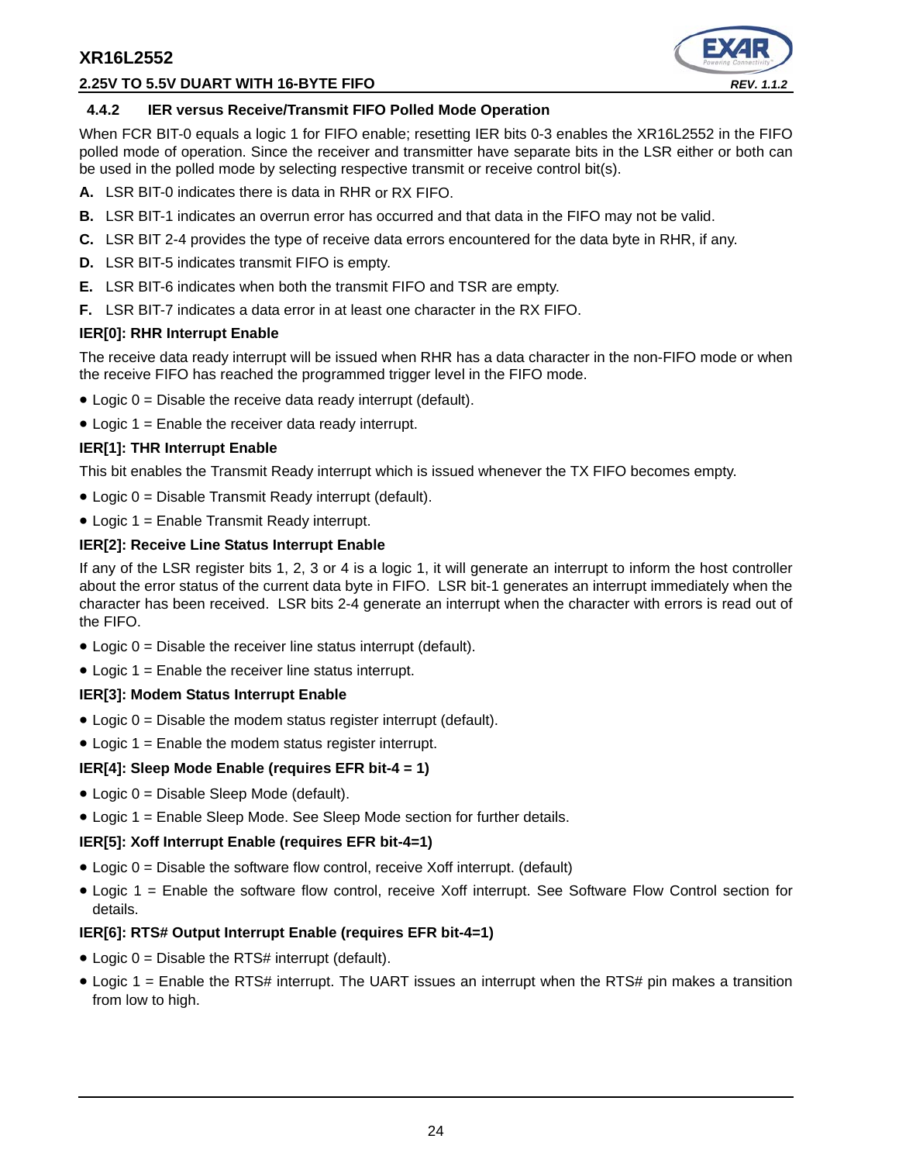## **2.25V TO 5.5V DUART WITH 16-BYTE FIFO** *REV. 1.1.2*



#### **4.4.2 IER versus Receive/Transmit FIFO Polled Mode Operation**

When FCR BIT-0 equals a logic 1 for FIFO enable; resetting IER bits 0-3 enables the XR16L2552 in the FIFO polled mode of operation. Since the receiver and transmitter have separate bits in the LSR either or both can be used in the polled mode by selecting respective transmit or receive control bit(s).

- **A.** LSR BIT-0 indicates there is data in RHR or RX FIFO.
- **B.** LSR BIT-1 indicates an overrun error has occurred and that data in the FIFO may not be valid.
- **C.** LSR BIT 2-4 provides the type of receive data errors encountered for the data byte in RHR, if any.
- **D.** LSR BIT-5 indicates transmit FIFO is empty.
- **E.** LSR BIT-6 indicates when both the transmit FIFO and TSR are empty.
- **F.** LSR BIT-7 indicates a data error in at least one character in the RX FIFO.

#### **IER[0]: RHR Interrupt Enable**

The receive data ready interrupt will be issued when RHR has a data character in the non-FIFO mode or when the receive FIFO has reached the programmed trigger level in the FIFO mode.

- $\bullet$  Logic 0 = Disable the receive data ready interrupt (default).
- Logic 1 = Enable the receiver data ready interrupt.

## **IER[1]: THR Interrupt Enable**

This bit enables the Transmit Ready interrupt which is issued whenever the TX FIFO becomes empty.

- Logic 0 = Disable Transmit Ready interrupt (default).
- Logic 1 = Enable Transmit Ready interrupt.

## **IER[2]: Receive Line Status Interrupt Enable**

If any of the LSR register bits 1, 2, 3 or 4 is a logic 1, it will generate an interrupt to inform the host controller about the error status of the current data byte in FIFO. LSR bit-1 generates an interrupt immediately when the character has been received. LSR bits 2-4 generate an interrupt when the character with errors is read out of the FIFO.

- $\bullet$  Logic 0 = Disable the receiver line status interrupt (default).
- $\bullet$  Logic 1 = Enable the receiver line status interrupt.

## **IER[3]: Modem Status Interrupt Enable**

- Logic 0 = Disable the modem status register interrupt (default).
- Logic 1 = Enable the modem status register interrupt.

## **IER[4]: Sleep Mode Enable (requires EFR bit-4 = 1)**

- Logic 0 = Disable Sleep Mode (default).
- Logic 1 = Enable Sleep Mode. See Sleep Mode section for further details.

## **IER[5]: Xoff Interrupt Enable (requires EFR bit-4=1)**

- $\bullet$  Logic  $0 =$  Disable the software flow control, receive Xoff interrupt. (default)
- Logic 1 = Enable the software flow control, receive Xoff interrupt. See Software Flow Control section for details.

## **IER[6]: RTS# Output Interrupt Enable (requires EFR bit-4=1)**

- Logic  $0 =$  Disable the RTS# interrupt (default).
- Logic 1 = Enable the RTS# interrupt. The UART issues an interrupt when the RTS# pin makes a transition from low to high.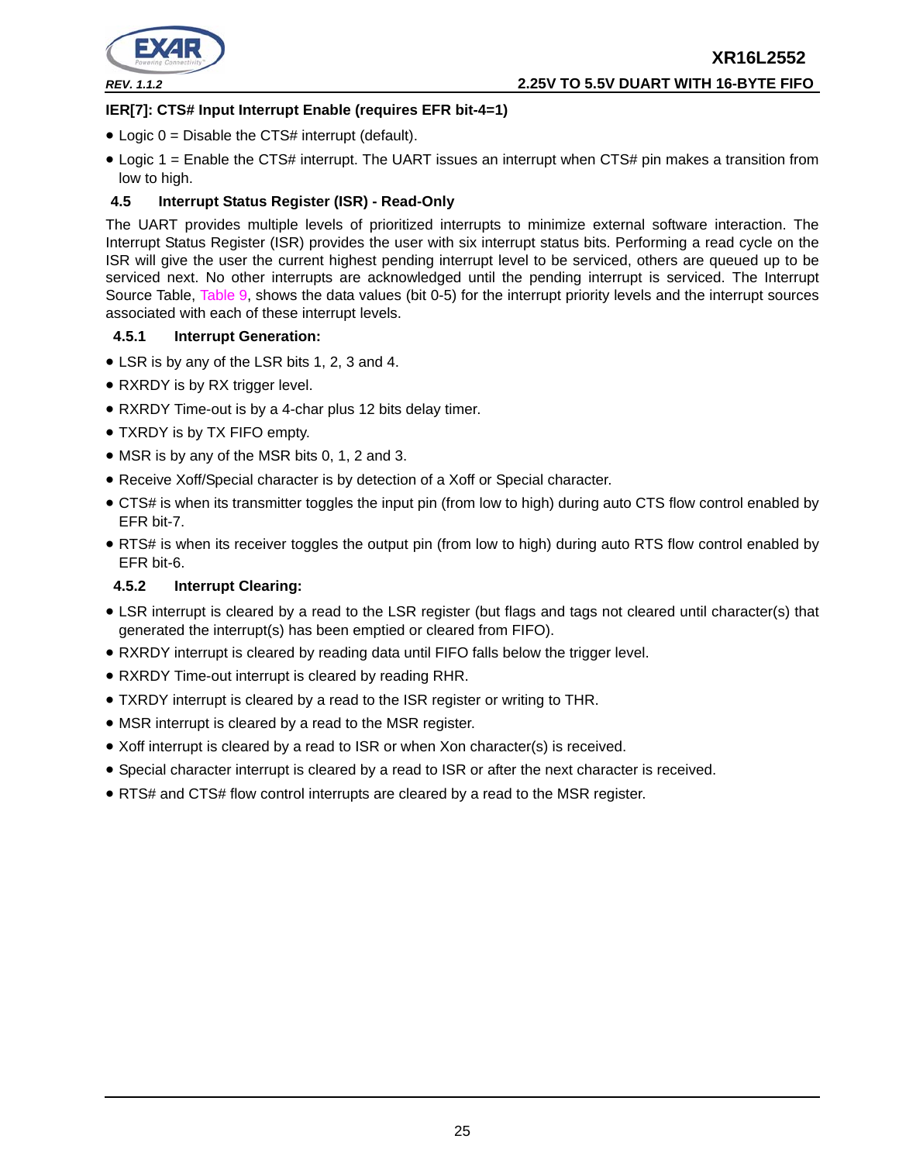

### **IER[7]: CTS# Input Interrupt Enable (requires EFR bit-4=1)**

- $\bullet$  Logic 0 = Disable the CTS# interrupt (default).
- Logic 1 = Enable the CTS# interrupt. The UART issues an interrupt when CTS# pin makes a transition from low to high.

### **4.5 Interrupt Status Register (ISR) - Read-Only**

The UART provides multiple levels of prioritized interrupts to minimize external software interaction. The Interrupt Status Register (ISR) provides the user with six interrupt status bits. Performing a read cycle on the ISR will give the user the current highest pending interrupt level to be serviced, others are queued up to be serviced next. No other interrupts are acknowledged until the pending interrupt is serviced. The Interrupt Source Table, Table 9, shows the data values (bit 0-5) for the interrupt priority levels and the interrupt sources associated with each of these interrupt levels.

#### **4.5.1 Interrupt Generation:**

- LSR is by any of the LSR bits 1, 2, 3 and 4.
- RXRDY is by RX trigger level.
- RXRDY Time-out is by a 4-char plus 12 bits delay timer.
- TXRDY is by TX FIFO empty.
- MSR is by any of the MSR bits 0, 1, 2 and 3.
- Receive Xoff/Special character is by detection of a Xoff or Special character.
- CTS# is when its transmitter toggles the input pin (from low to high) during auto CTS flow control enabled by EFR bit-7.
- RTS# is when its receiver toggles the output pin (from low to high) during auto RTS flow control enabled by EFR bit-6.

### **4.5.2 Interrupt Clearing:**

- LSR interrupt is cleared by a read to the LSR register (but flags and tags not cleared until character(s) that generated the interrupt(s) has been emptied or cleared from FIFO).
- RXRDY interrupt is cleared by reading data until FIFO falls below the trigger level.
- RXRDY Time-out interrupt is cleared by reading RHR.
- TXRDY interrupt is cleared by a read to the ISR register or writing to THR.
- MSR interrupt is cleared by a read to the MSR register.
- Xoff interrupt is cleared by a read to ISR or when Xon character(s) is received.
- Special character interrupt is cleared by a read to ISR or after the next character is received.
- RTS# and CTS# flow control interrupts are cleared by a read to the MSR register.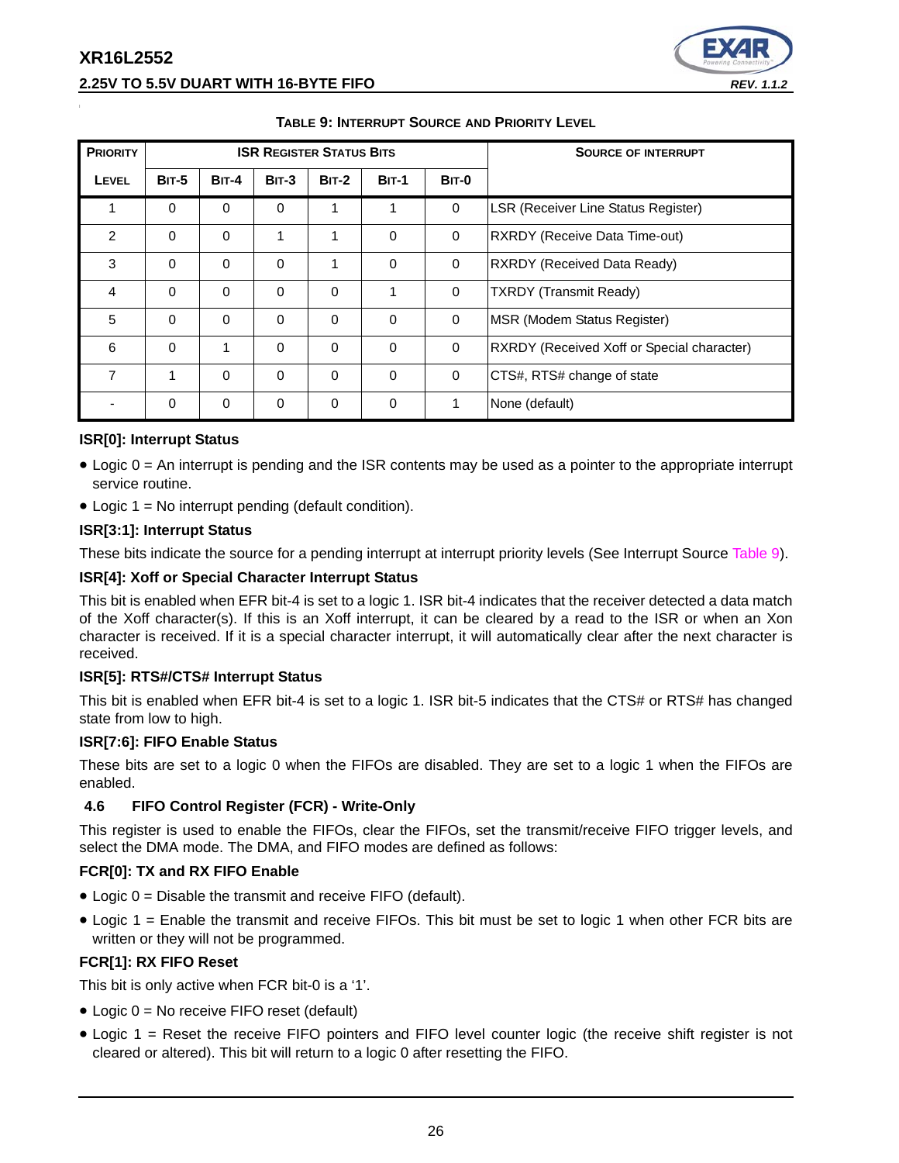

| <b>PRIORITY</b> |              |              |              | <b>ISR REGISTER STATUS BITS</b> |              | <b>SOURCE OF INTERRUPT</b> |                                            |
|-----------------|--------------|--------------|--------------|---------------------------------|--------------|----------------------------|--------------------------------------------|
| <b>LEVEL</b>    | <b>BIT-5</b> | <b>BIT-4</b> | $BIT-3$      | <b>BIT-2</b>                    | <b>BIT-1</b> | <b>BIT-0</b>               |                                            |
|                 | $\Omega$     | $\Omega$     | $\Omega$     | 1                               | 1            | $\mathbf 0$                | <b>LSR (Receiver Line Status Register)</b> |
| 2               | $\Omega$     | $\Omega$     | $\mathbf{1}$ | 1                               | $\Omega$     | $\mathbf 0$                | RXRDY (Receive Data Time-out)              |
| 3               | 0            | $\mathbf 0$  | 0            | 1                               | $\Omega$     | $\mathbf 0$                | RXRDY (Received Data Ready)                |
| 4               | $\mathbf 0$  | $\Omega$     | $\Omega$     | $\Omega$                        | 1            | $\mathbf 0$                | <b>TXRDY</b> (Transmit Ready)              |
| 5               | $\Omega$     | $\Omega$     | $\Omega$     | $\Omega$                        | $\Omega$     | $\Omega$                   | MSR (Modem Status Register)                |
| 6               | $\Omega$     | 1            | $\Omega$     | $\Omega$                        | $\Omega$     | $\mathbf 0$                | RXRDY (Received Xoff or Special character) |
| 7               | 1            | $\Omega$     | $\Omega$     | $\Omega$                        | $\Omega$     | $\mathbf 0$                | CTS#, RTS# change of state                 |
|                 | $\Omega$     | $\Omega$     | $\Omega$     | $\mathbf{0}$                    | $\Omega$     | 1                          | None (default)                             |

### **TABLE 9: INTERRUPT SOURCE AND PRIORITY LEVEL**

## **ISR[0]: Interrupt Status**

- Logic 0 = An interrupt is pending and the ISR contents may be used as a pointer to the appropriate interrupt service routine.
- Logic  $1 = No$  interrupt pending (default condition).

#### **ISR[3:1]: Interrupt Status**

These bits indicate the source for a pending interrupt at interrupt priority levels (See Interrupt Source Table 9).

#### **ISR[4]: Xoff or Special Character Interrupt Status**

This bit is enabled when EFR bit-4 is set to a logic 1. ISR bit-4 indicates that the receiver detected a data match of the Xoff character(s). If this is an Xoff interrupt, it can be cleared by a read to the ISR or when an Xon character is received. If it is a special character interrupt, it will automatically clear after the next character is received.

#### **ISR[5]: RTS#/CTS# Interrupt Status**

This bit is enabled when EFR bit-4 is set to a logic 1. ISR bit-5 indicates that the CTS# or RTS# has changed state from low to high.

#### **ISR[7:6]: FIFO Enable Status**

These bits are set to a logic 0 when the FIFOs are disabled. They are set to a logic 1 when the FIFOs are enabled.

#### **4.6 FIFO Control Register (FCR) - Write-Only**

This register is used to enable the FIFOs, clear the FIFOs, set the transmit/receive FIFO trigger levels, and select the DMA mode. The DMA, and FIFO modes are defined as follows:

#### **FCR[0]: TX and RX FIFO Enable**

- Logic 0 = Disable the transmit and receive FIFO (default).
- Logic 1 = Enable the transmit and receive FIFOs. This bit must be set to logic 1 when other FCR bits are written or they will not be programmed.

#### **FCR[1]: RX FIFO Reset**

This bit is only active when FCR bit-0 is a '1'.

- Logic 0 = No receive FIFO reset (default)
- Logic 1 = Reset the receive FIFO pointers and FIFO level counter logic (the receive shift register is not cleared or altered). This bit will return to a logic 0 after resetting the FIFO.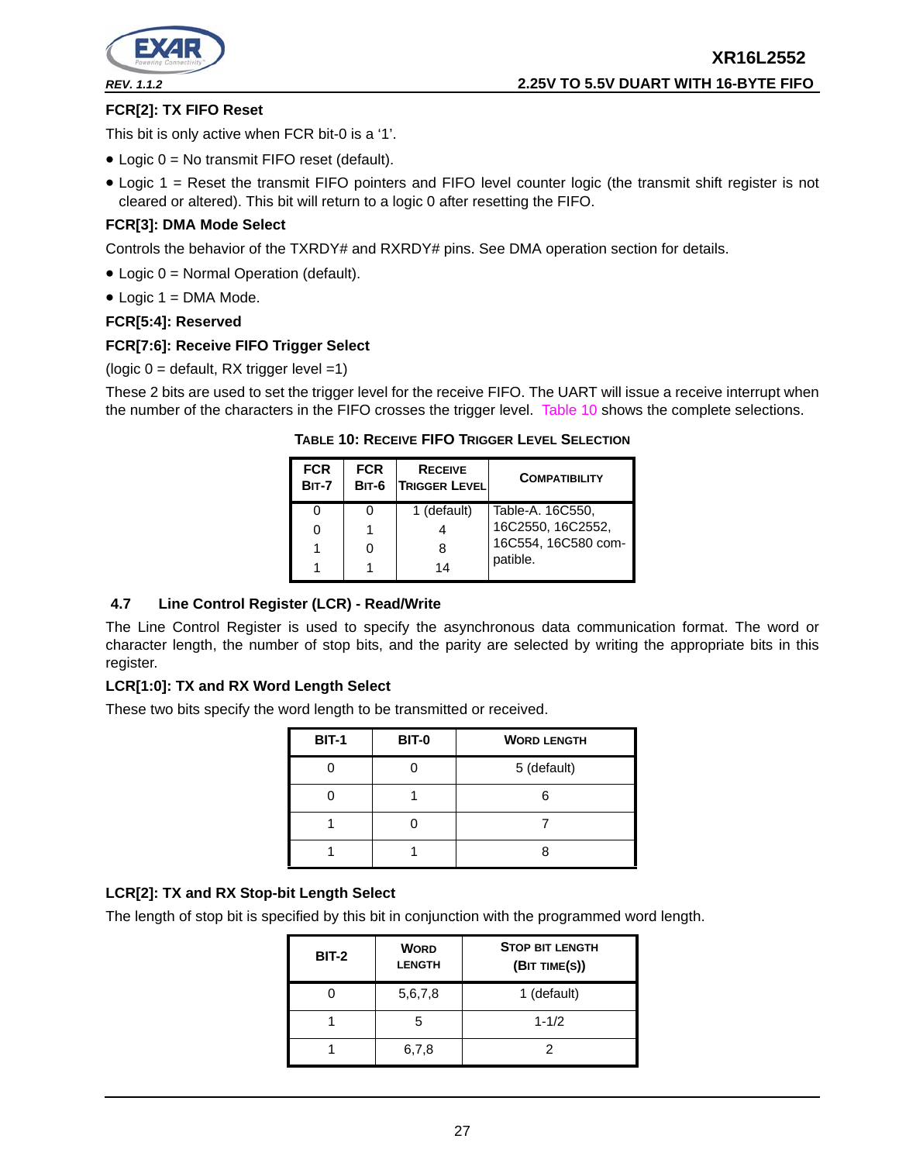

**XR16L2552** *REV. 1.1.2* **2.25V TO 5.5V DUART WITH 16-BYTE FIFO**

### **FCR[2]: TX FIFO Reset**

This bit is only active when FCR bit-0 is a '1'.

- Logic 0 = No transmit FIFO reset (default).
- Logic 1 = Reset the transmit FIFO pointers and FIFO level counter logic (the transmit shift register is not cleared or altered). This bit will return to a logic 0 after resetting the FIFO.

#### **FCR[3]: DMA Mode Select**

Controls the behavior of the TXRDY# and RXRDY# pins. See DMA operation section for details.

- Logic 0 = Normal Operation (default).
- $\bullet$  Logic 1 = DMA Mode.

#### **FCR[5:4]: Reserved**

#### **FCR[7:6]: Receive FIFO Trigger Select**

(logic  $0 =$  default, RX trigger level =1)

These 2 bits are used to set the trigger level for the receive FIFO. The UART will issue a receive interrupt when the number of the characters in the FIFO crosses the trigger level. Table 10 shows the complete selections.

#### **TABLE 10: RECEIVE FIFO TRIGGER LEVEL SELECTION**

| <b>FCR</b><br><b>BIT-7</b> | <b>FCR</b><br>$BIT-6$ | <b>RECEIVE</b><br><b>TRIGGER LEVEL</b> | <b>COMPATIBILITY</b> |
|----------------------------|-----------------------|----------------------------------------|----------------------|
|                            |                       | 1 (default)                            | Table-A. 16C550,     |
|                            |                       |                                        | 16C2550, 16C2552,    |
|                            |                       |                                        | 16C554, 16C580 com-  |
|                            |                       | 14                                     | patible.             |

## **4.7 Line Control Register (LCR) - Read/Write**

The Line Control Register is used to specify the asynchronous data communication format. The word or character length, the number of stop bits, and the parity are selected by writing the appropriate bits in this register.

#### **LCR[1:0]: TX and RX Word Length Select**

These two bits specify the word length to be transmitted or received.

| <b>BIT-1</b> | <b>BIT-0</b> | <b>WORD LENGTH</b> |
|--------------|--------------|--------------------|
|              |              | 5 (default)        |
|              |              |                    |
|              |              |                    |
|              |              |                    |

## **LCR[2]: TX and RX Stop-bit Length Select**

The length of stop bit is specified by this bit in conjunction with the programmed word length.

| <b>BIT-2</b> | <b>WORD</b><br><b>LENGTH</b> | <b>STOP BIT LENGTH</b><br>(BIT TIME(S)) |
|--------------|------------------------------|-----------------------------------------|
|              | 5,6,7,8                      | 1 (default)                             |
|              |                              | $1 - 1/2$                               |
|              | 6,7,8                        |                                         |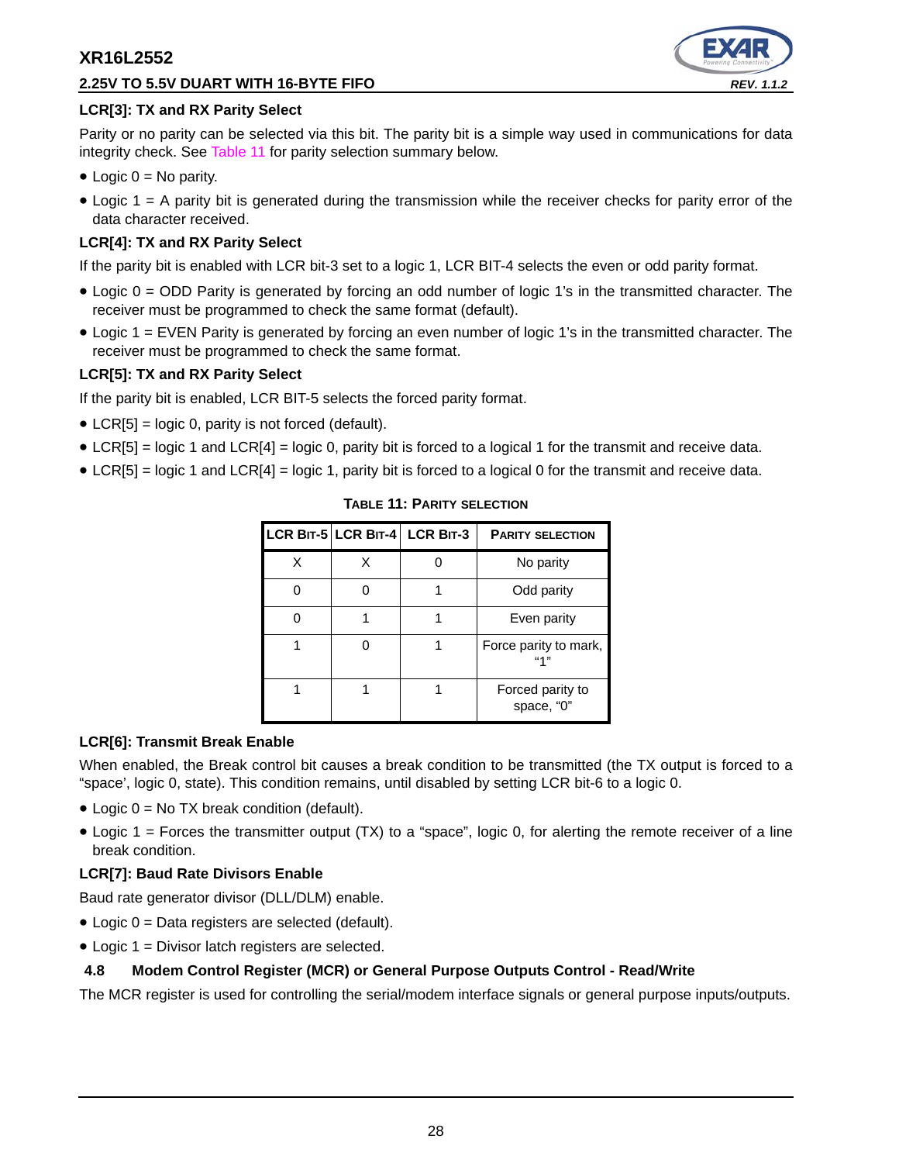## **2.25V TO 5.5V DUART WITH 16-BYTE FIFO** *REV. 1.1.2*



## **LCR[3]: TX and RX Parity Select**

Parity or no parity can be selected via this bit. The parity bit is a simple way used in communications for data integrity check. See Table 11 for parity selection summary below.

- $\bullet$  Logic  $0 = No$  parity.
- Logic 1 = A parity bit is generated during the transmission while the receiver checks for parity error of the data character received.

## **LCR[4]: TX and RX Parity Select**

If the parity bit is enabled with LCR bit-3 set to a logic 1, LCR BIT-4 selects the even or odd parity format.

- Logic 0 = ODD Parity is generated by forcing an odd number of logic 1's in the transmitted character. The receiver must be programmed to check the same format (default).
- Logic 1 = EVEN Parity is generated by forcing an even number of logic 1's in the transmitted character. The receiver must be programmed to check the same format.

## **LCR[5]: TX and RX Parity Select**

If the parity bit is enabled, LCR BIT-5 selects the forced parity format.

- LCR[5] = logic 0, parity is not forced (default).
- LCR[5] = logic 1 and LCR[4] = logic 0, parity bit is forced to a logical 1 for the transmit and receive data.
- LCR[5] = logic 1 and LCR[4] = logic 1, parity bit is forced to a logical 0 for the transmit and receive data.

|  | LCR BIT-5 LCR BIT-4 LCR BIT-3 | <b>PARITY SELECTION</b>        |
|--|-------------------------------|--------------------------------|
|  |                               | No parity                      |
|  |                               | Odd parity                     |
|  |                               | Even parity                    |
|  |                               | Force parity to mark,<br>"1"   |
|  |                               | Forced parity to<br>space, "0" |

#### **TABLE 11: PARITY SELECTION**

## **LCR[6]: Transmit Break Enable**

When enabled, the Break control bit causes a break condition to be transmitted (the TX output is forced to a "space', logic 0, state). This condition remains, until disabled by setting LCR bit-6 to a logic 0.

- Logic  $0 = No$  TX break condition (default).
- Logic 1 = Forces the transmitter output (TX) to a "space", logic 0, for alerting the remote receiver of a line break condition.

## **LCR[7]: Baud Rate Divisors Enable**

Baud rate generator divisor (DLL/DLM) enable.

- Logic 0 = Data registers are selected (default).
- Logic 1 = Divisor latch registers are selected.

## **4.8 Modem Control Register (MCR) or General Purpose Outputs Control - Read/Write**

The MCR register is used for controlling the serial/modem interface signals or general purpose inputs/outputs.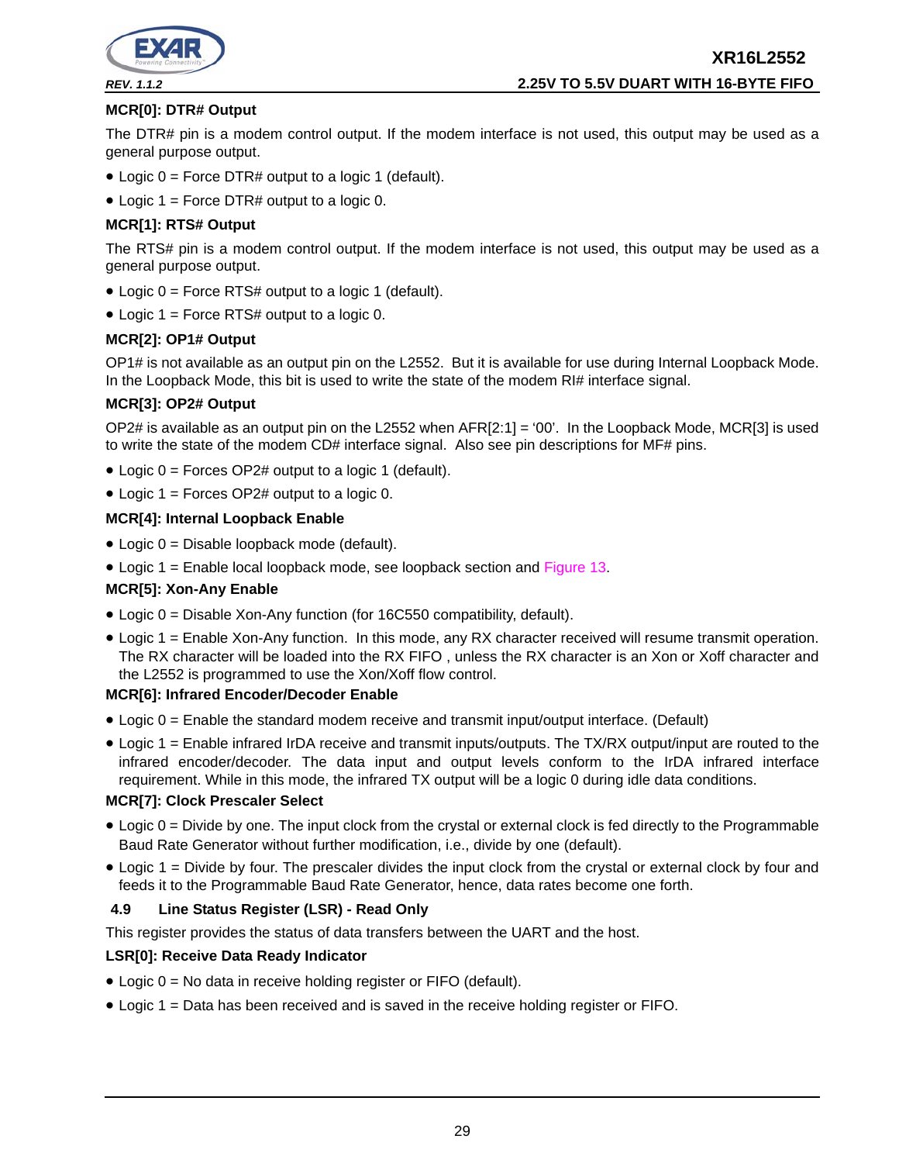

### **MCR[0]: DTR# Output**

The DTR# pin is a modem control output. If the modem interface is not used, this output may be used as a general purpose output.

- Logic 0 = Force DTR# output to a logic 1 (default).
- Logic 1 = Force DTR# output to a logic 0.

### **MCR[1]: RTS# Output**

The RTS# pin is a modem control output. If the modem interface is not used, this output may be used as a general purpose output.

- Logic 0 = Force RTS# output to a logic 1 (default).
- Logic 1 = Force RTS# output to a logic 0.

#### **MCR[2]: OP1# Output**

OP1# is not available as an output pin on the L2552. But it is available for use during Internal Loopback Mode. In the Loopback Mode, this bit is used to write the state of the modem RI# interface signal.

#### **MCR[3]: OP2# Output**

OP2# is available as an output pin on the L2552 when AFR[2:1] = '00'. In the Loopback Mode, MCR[3] is used to write the state of the modem CD# interface signal. Also see pin descriptions for MF# pins.

- Logic 0 = Forces OP2# output to a logic 1 (default).
- Logic 1 = Forces OP2# output to a logic 0.

#### **MCR[4]: Internal Loopback Enable**

- Logic 0 = Disable loopback mode (default).
- Logic 1 = Enable local loopback mode, see loopback section and Figure 13.

#### **MCR[5]: Xon-Any Enable**

- Logic 0 = Disable Xon-Any function (for 16C550 compatibility, default).
- Logic 1 = Enable Xon-Any function. In this mode, any RX character received will resume transmit operation. The RX character will be loaded into the RX FIFO , unless the RX character is an Xon or Xoff character and the L2552 is programmed to use the Xon/Xoff flow control.

#### **MCR[6]: Infrared Encoder/Decoder Enable**

- Logic 0 = Enable the standard modem receive and transmit input/output interface. (Default)
- Logic 1 = Enable infrared IrDA receive and transmit inputs/outputs. The TX/RX output/input are routed to the infrared encoder/decoder. The data input and output levels conform to the IrDA infrared interface requirement. While in this mode, the infrared TX output will be a logic 0 during idle data conditions.

#### **MCR[7]: Clock Prescaler Select**

- Logic 0 = Divide by one. The input clock from the crystal or external clock is fed directly to the Programmable Baud Rate Generator without further modification, i.e., divide by one (default).
- Logic 1 = Divide by four. The prescaler divides the input clock from the crystal or external clock by four and feeds it to the Programmable Baud Rate Generator, hence, data rates become one forth.

#### **4.9 Line Status Register (LSR) - Read Only**

This register provides the status of data transfers between the UART and the host.

#### **LSR[0]: Receive Data Ready Indicator**

- Logic 0 = No data in receive holding register or FIFO (default).
- Logic 1 = Data has been received and is saved in the receive holding register or FIFO.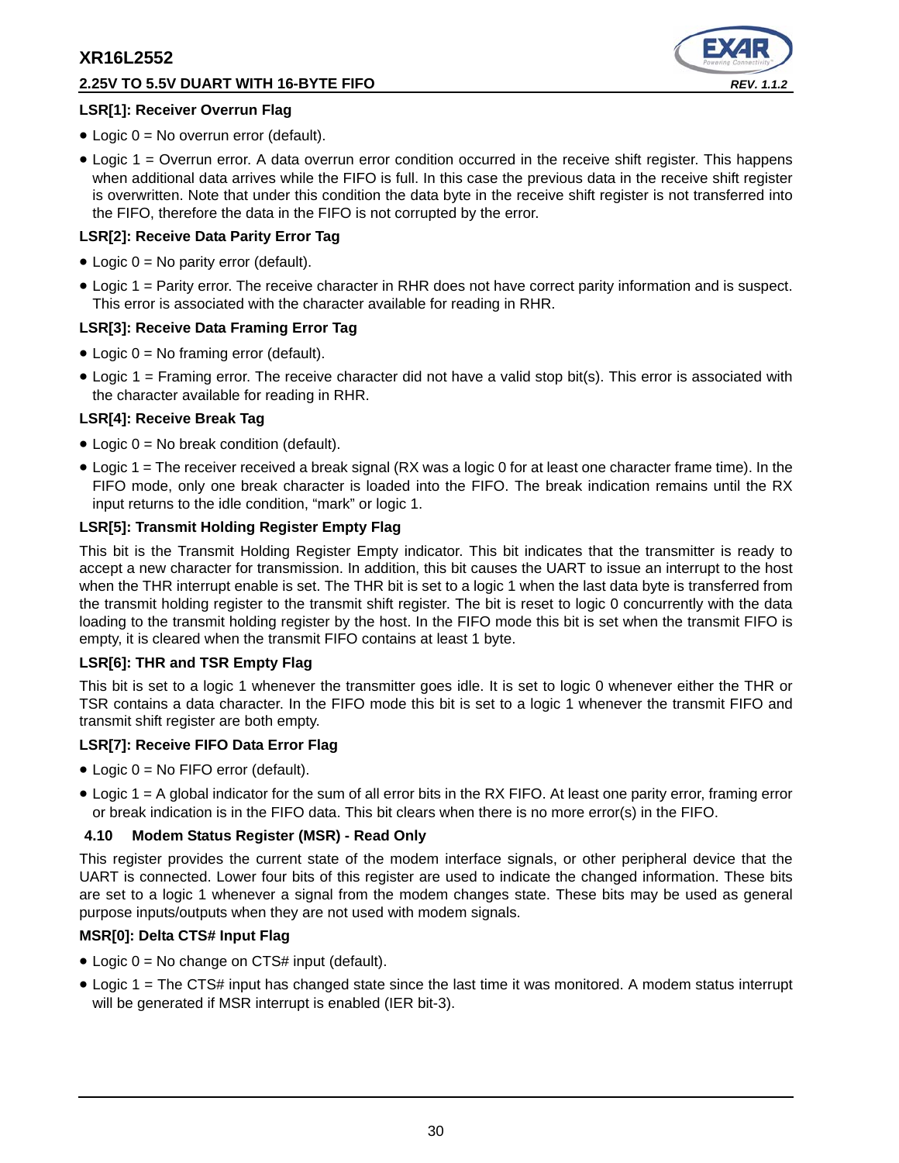## **2.25V TO 5.5V DUART WITH 16-BYTE FIFO** *REV. 1.1.2*



## **LSR[1]: Receiver Overrun Flag**

- $\bullet$  Logic 0 = No overrun error (default).
- Logic 1 = Overrun error. A data overrun error condition occurred in the receive shift register. This happens when additional data arrives while the FIFO is full. In this case the previous data in the receive shift register is overwritten. Note that under this condition the data byte in the receive shift register is not transferred into the FIFO, therefore the data in the FIFO is not corrupted by the error.

### **LSR[2]: Receive Data Parity Error Tag**

- Logic 0 = No parity error (default).
- Logic 1 = Parity error. The receive character in RHR does not have correct parity information and is suspect. This error is associated with the character available for reading in RHR.

#### **LSR[3]: Receive Data Framing Error Tag**

- Logic  $0 = No$  framing error (default).
- Logic 1 = Framing error. The receive character did not have a valid stop bit(s). This error is associated with the character available for reading in RHR.

#### **LSR[4]: Receive Break Tag**

- Logic 0 = No break condition (default).
- Logic 1 = The receiver received a break signal (RX was a logic 0 for at least one character frame time). In the FIFO mode, only one break character is loaded into the FIFO. The break indication remains until the RX input returns to the idle condition, "mark" or logic 1.

#### **LSR[5]: Transmit Holding Register Empty Flag**

This bit is the Transmit Holding Register Empty indicator. This bit indicates that the transmitter is ready to accept a new character for transmission. In addition, this bit causes the UART to issue an interrupt to the host when the THR interrupt enable is set. The THR bit is set to a logic 1 when the last data byte is transferred from the transmit holding register to the transmit shift register. The bit is reset to logic 0 concurrently with the data loading to the transmit holding register by the host. In the FIFO mode this bit is set when the transmit FIFO is empty, it is cleared when the transmit FIFO contains at least 1 byte.

#### **LSR[6]: THR and TSR Empty Flag**

This bit is set to a logic 1 whenever the transmitter goes idle. It is set to logic 0 whenever either the THR or TSR contains a data character. In the FIFO mode this bit is set to a logic 1 whenever the transmit FIFO and transmit shift register are both empty.

#### **LSR[7]: Receive FIFO Data Error Flag**

- Logic 0 = No FIFO error (default).
- Logic 1 = A global indicator for the sum of all error bits in the RX FIFO. At least one parity error, framing error or break indication is in the FIFO data. This bit clears when there is no more error(s) in the FIFO.

#### **4.10 Modem Status Register (MSR) - Read Only**

This register provides the current state of the modem interface signals, or other peripheral device that the UART is connected. Lower four bits of this register are used to indicate the changed information. These bits are set to a logic 1 whenever a signal from the modem changes state. These bits may be used as general purpose inputs/outputs when they are not used with modem signals.

#### **MSR[0]: Delta CTS# Input Flag**

- Logic  $0 = No$  change on CTS# input (default).
- Logic 1 = The CTS# input has changed state since the last time it was monitored. A modem status interrupt will be generated if MSR interrupt is enabled (IER bit-3).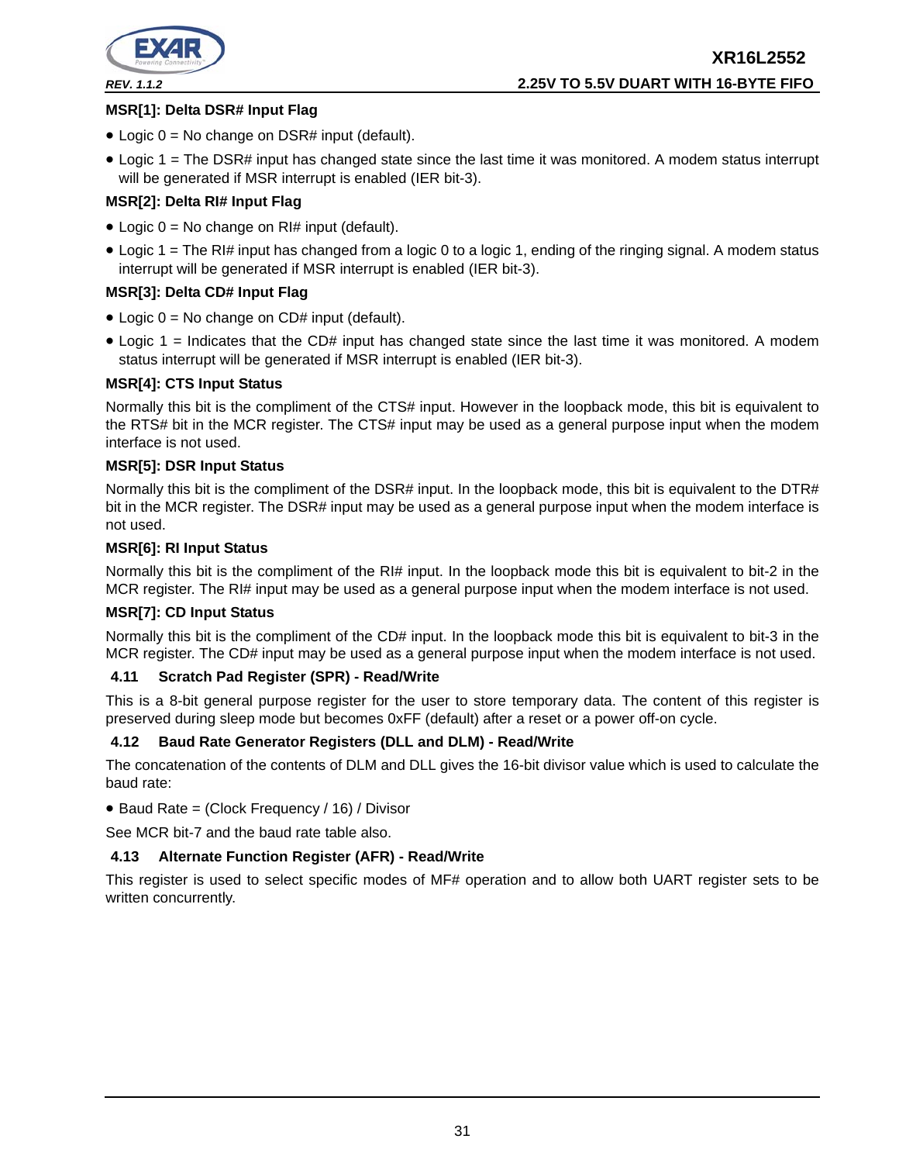

# **XR16L2552** *REV. 1.1.2* **2.25V TO 5.5V DUART WITH 16-BYTE FIFO**

## **MSR[1]: Delta DSR# Input Flag**

- Logic  $0 = No$  change on DSR# input (default).
- Logic 1 = The DSR# input has changed state since the last time it was monitored. A modem status interrupt will be generated if MSR interrupt is enabled (IER bit-3).

## **MSR[2]: Delta RI# Input Flag**

- Logic  $0 = No$  change on RI# input (default).
- Logic 1 = The RI# input has changed from a logic 0 to a logic 1, ending of the ringing signal. A modem status interrupt will be generated if MSR interrupt is enabled (IER bit-3).

## **MSR[3]: Delta CD# Input Flag**

- Logic  $0 = No$  change on CD# input (default).
- Logic 1 = Indicates that the CD# input has changed state since the last time it was monitored. A modem status interrupt will be generated if MSR interrupt is enabled (IER bit-3).

## **MSR[4]: CTS Input Status**

Normally this bit is the compliment of the CTS# input. However in the loopback mode, this bit is equivalent to the RTS# bit in the MCR register. The CTS# input may be used as a general purpose input when the modem interface is not used.

#### **MSR[5]: DSR Input Status**

Normally this bit is the compliment of the DSR# input. In the loopback mode, this bit is equivalent to the DTR# bit in the MCR register. The DSR# input may be used as a general purpose input when the modem interface is not used.

#### **MSR[6]: RI Input Status**

Normally this bit is the compliment of the RI# input. In the loopback mode this bit is equivalent to bit-2 in the MCR register. The RI# input may be used as a general purpose input when the modem interface is not used.

#### **MSR[7]: CD Input Status**

Normally this bit is the compliment of the CD# input. In the loopback mode this bit is equivalent to bit-3 in the MCR register. The CD# input may be used as a general purpose input when the modem interface is not used.

#### **4.11 Scratch Pad Register (SPR) - Read/Write**

This is a 8-bit general purpose register for the user to store temporary data. The content of this register is preserved during sleep mode but becomes 0xFF (default) after a reset or a power off-on cycle.

#### **4.12 Baud Rate Generator Registers (DLL and DLM) - Read/Write**

The concatenation of the contents of DLM and DLL gives the 16-bit divisor value which is used to calculate the baud rate:

• Baud Rate = (Clock Frequency / 16) / Divisor

See MCR bit-7 and the baud rate table also.

## **4.13 Alternate Function Register (AFR) - Read/Write**

This register is used to select specific modes of MF# operation and to allow both UART register sets to be written concurrently.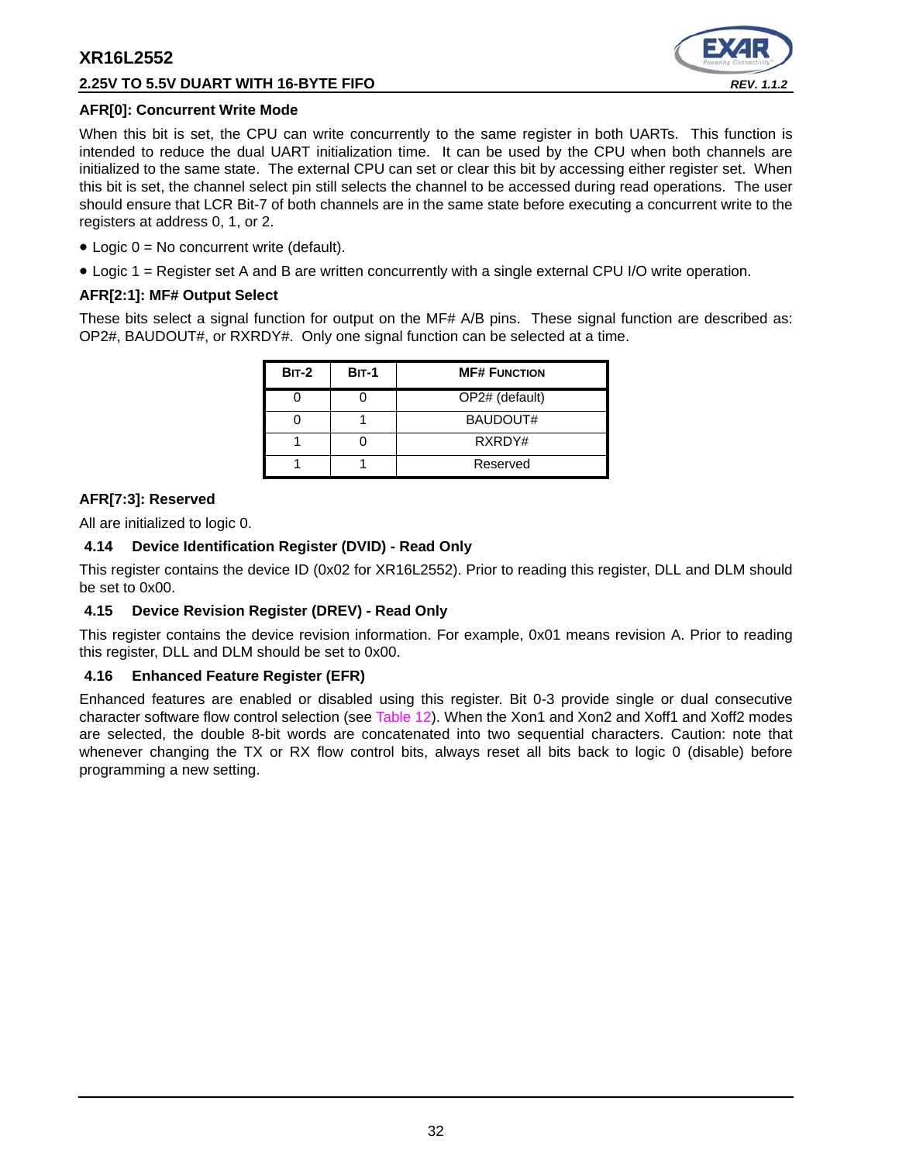## **2.25V TO 5.5V DUART WITH 16-BYTE FIFO** *REV. 1.1.2*



### **AFR[0]: Concurrent Write Mode**

When this bit is set, the CPU can write concurrently to the same register in both UARTs. This function is intended to reduce the dual UART initialization time. It can be used by the CPU when both channels are initialized to the same state. The external CPU can set or clear this bit by accessing either register set. When this bit is set, the channel select pin still selects the channel to be accessed during read operations. The user should ensure that LCR Bit-7 of both channels are in the same state before executing a concurrent write to the registers at address 0, 1, or 2.

- $\bullet$  Logic  $0 = No$  concurrent write (default).
- Logic 1 = Register set A and B are written concurrently with a single external CPU I/O write operation.

## **AFR[2:1]: MF# Output Select**

These bits select a signal function for output on the MF# A/B pins. These signal function are described as: OP2#, BAUDOUT#, or RXRDY#. Only one signal function can be selected at a time.

| <b>BIT-2</b> | <b>BIT-1</b> | <b>MF# FUNCTION</b> |
|--------------|--------------|---------------------|
|              |              | OP2# (default)      |
|              |              | BAUDOUT#            |
|              |              | RXRDY#              |
|              |              | Reserved            |

## **AFR[7:3]: Reserved**

All are initialized to logic 0.

## **4.14 Device Identification Register (DVID) - Read Only**

This register contains the device ID (0x02 for XR16L2552). Prior to reading this register, DLL and DLM should be set to 0x00.

## **4.15 Device Revision Register (DREV) - Read Only**

This register contains the device revision information. For example, 0x01 means revision A. Prior to reading this register, DLL and DLM should be set to 0x00.

## **4.16 Enhanced Feature Register (EFR)**

Enhanced features are enabled or disabled using this register. Bit 0-3 provide single or dual consecutive character software flow control selection (see Table 12). When the Xon1 and Xon2 and Xoff1 and Xoff2 modes are selected, the double 8-bit words are concatenated into two sequential characters. Caution: note that whenever changing the TX or RX flow control bits, always reset all bits back to logic 0 (disable) before programming a new setting.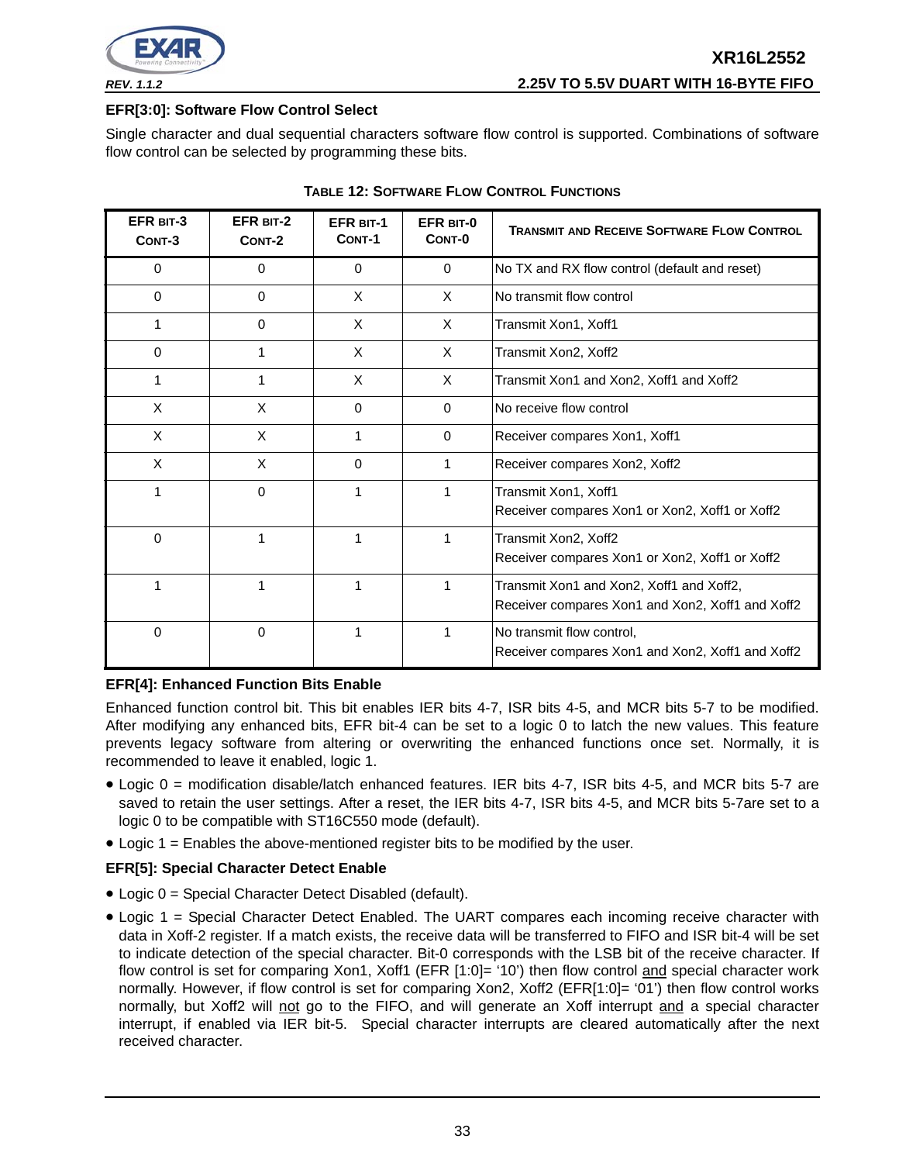

#### **EFR[3:0]: Software Flow Control Select**

Single character and dual sequential characters software flow control is supported. Combinations of software flow control can be selected by programming these bits.

| EFR BIT-3<br>CONT-3 | EFR BIT-2<br>CONT-2 | <b>EFR BIT-1</b><br>CONT-1 | EFR BIT-0<br>CONT-0 | <b>TRANSMIT AND RECEIVE SOFTWARE FLOW CONTROL</b>                                            |
|---------------------|---------------------|----------------------------|---------------------|----------------------------------------------------------------------------------------------|
| 0                   | $\Omega$            | $\Omega$                   | $\Omega$            | No TX and RX flow control (default and reset)                                                |
| $\mathbf 0$         | $\mathbf 0$         | X                          | $\times$            | No transmit flow control                                                                     |
| 1                   | $\mathbf 0$         | X                          | X                   | Transmit Xon1, Xoff1                                                                         |
| $\Omega$            | 1                   | X                          | X                   | Transmit Xon2, Xoff2                                                                         |
|                     | 1                   | X                          | X                   | Transmit Xon1 and Xon2, Xoff1 and Xoff2                                                      |
| X                   | X                   | $\Omega$                   | $\Omega$            | No receive flow control                                                                      |
| X                   | X                   | 1                          | $\Omega$            | Receiver compares Xon1, Xoff1                                                                |
| X                   | X                   | 0                          | 1                   | Receiver compares Xon2, Xoff2                                                                |
|                     | $\mathbf 0$         | 1                          | 1                   | Transmit Xon1, Xoff1<br>Receiver compares Xon1 or Xon2, Xoff1 or Xoff2                       |
| 0                   | 1                   | 1                          | 1                   | Transmit Xon2, Xoff2<br>Receiver compares Xon1 or Xon2, Xoff1 or Xoff2                       |
|                     |                     |                            | 1                   | Transmit Xon1 and Xon2, Xoff1 and Xoff2,<br>Receiver compares Xon1 and Xon2, Xoff1 and Xoff2 |
| $\mathbf 0$         | $\mathbf 0$         | 1                          | 1                   | No transmit flow control,<br>Receiver compares Xon1 and Xon2, Xoff1 and Xoff2                |

| <b>TABLE 12: SOFTWARE FLOW CONTROL FUNCTIONS</b> |
|--------------------------------------------------|
|--------------------------------------------------|

## **EFR[4]: Enhanced Function Bits Enable**

Enhanced function control bit. This bit enables IER bits 4-7, ISR bits 4-5, and MCR bits 5-7 to be modified. After modifying any enhanced bits, EFR bit-4 can be set to a logic 0 to latch the new values. This feature prevents legacy software from altering or overwriting the enhanced functions once set. Normally, it is recommended to leave it enabled, logic 1.

- Logic 0 = modification disable/latch enhanced features. IER bits 4-7, ISR bits 4-5, and MCR bits 5-7 are saved to retain the user settings. After a reset, the IER bits 4-7, ISR bits 4-5, and MCR bits 5-7are set to a logic 0 to be compatible with ST16C550 mode (default).
- Logic 1 = Enables the above-mentioned register bits to be modified by the user.

## **EFR[5]: Special Character Detect Enable**

- Logic 0 = Special Character Detect Disabled (default).
- Logic 1 = Special Character Detect Enabled. The UART compares each incoming receive character with data in Xoff-2 register. If a match exists, the receive data will be transferred to FIFO and ISR bit-4 will be set to indicate detection of the special character. Bit-0 corresponds with the LSB bit of the receive character. If flow control is set for comparing Xon1, Xoff1 (EFR [1:0]= '10') then flow control and special character work normally. However, if flow control is set for comparing Xon2, Xoff2 (EFR[1:0]= '01') then flow control works normally, but Xoff2 will not go to the FIFO, and will generate an Xoff interrupt and a special character interrupt, if enabled via IER bit-5. Special character interrupts are cleared automatically after the next received character.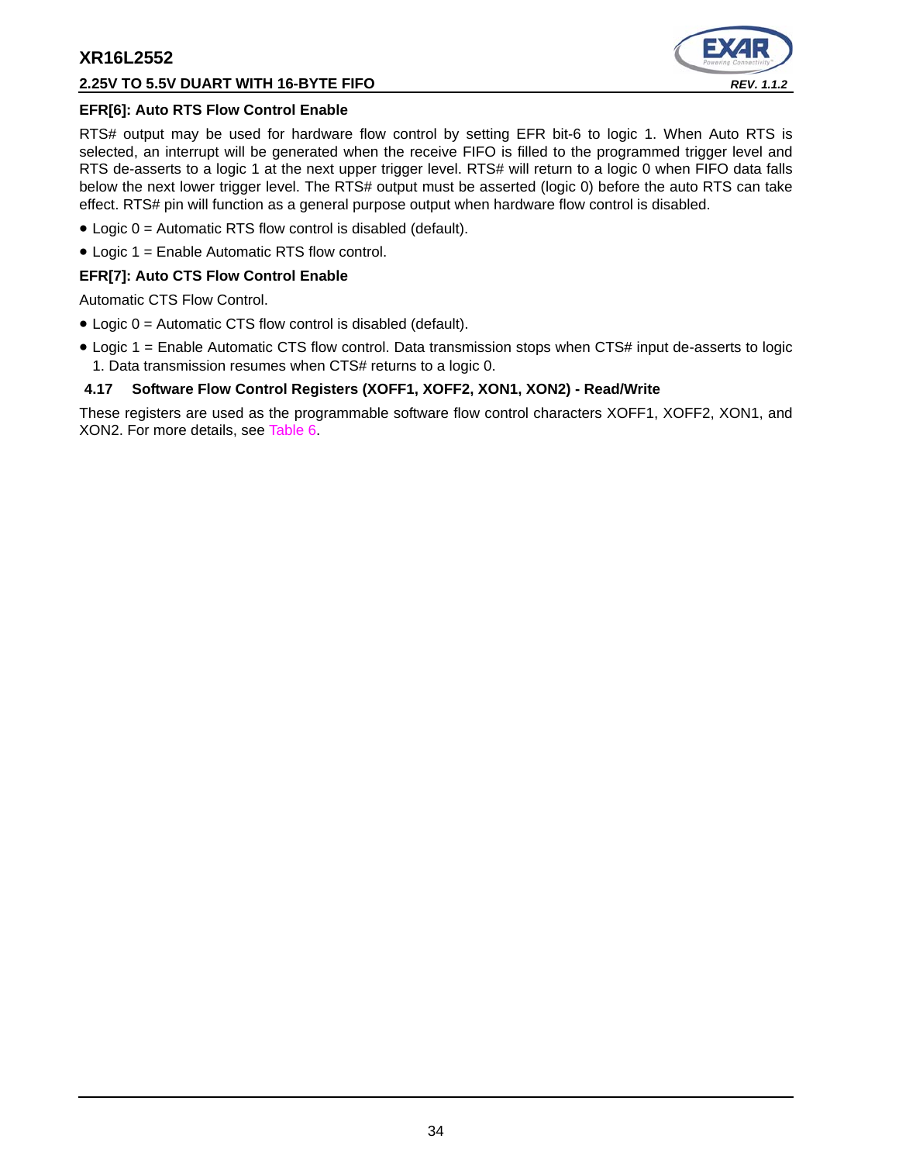## **2.25V TO 5.5V DUART WITH 16-BYTE FIFO** *REV. 1.1.2*



## **EFR[6]: Auto RTS Flow Control Enable**

RTS# output may be used for hardware flow control by setting EFR bit-6 to logic 1. When Auto RTS is selected, an interrupt will be generated when the receive FIFO is filled to the programmed trigger level and RTS de-asserts to a logic 1 at the next upper trigger level. RTS# will return to a logic 0 when FIFO data falls below the next lower trigger level. The RTS# output must be asserted (logic 0) before the auto RTS can take effect. RTS# pin will function as a general purpose output when hardware flow control is disabled.

- Logic 0 = Automatic RTS flow control is disabled (default).
- Logic 1 = Enable Automatic RTS flow control.

#### **EFR[7]: Auto CTS Flow Control Enable**

Automatic CTS Flow Control.

- Logic 0 = Automatic CTS flow control is disabled (default).
- Logic 1 = Enable Automatic CTS flow control. Data transmission stops when CTS# input de-asserts to logic 1. Data transmission resumes when CTS# returns to a logic 0.

### **4.17 Software Flow Control Registers (XOFF1, XOFF2, XON1, XON2) - Read/Write**

These registers are used as the programmable software flow control characters XOFF1, XOFF2, XON1, and XON2. For more details, see Table 6.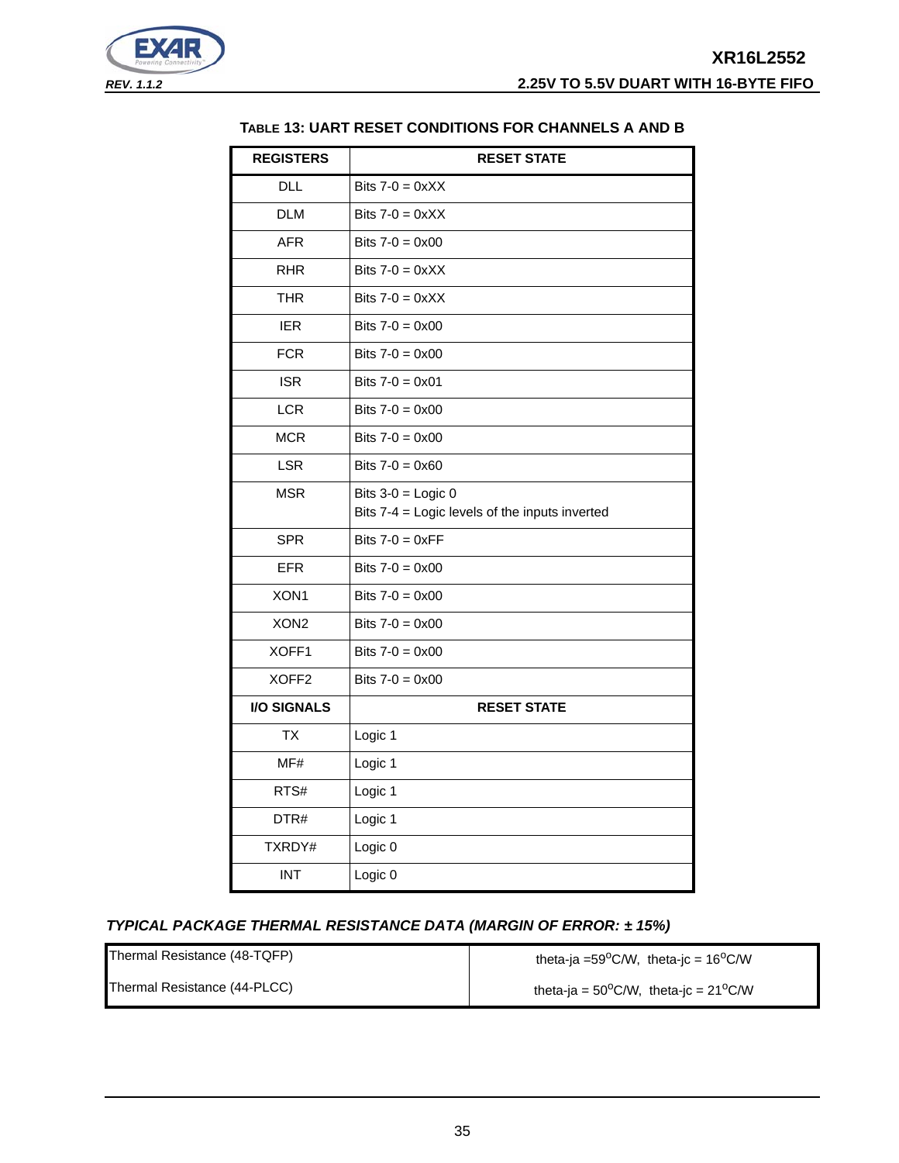

## **TABLE 13: UART RESET CONDITIONS FOR CHANNELS A AND B**

| <b>REGISTERS</b>   | <b>RESET STATE</b>                                                     |
|--------------------|------------------------------------------------------------------------|
| <b>DLL</b>         | Bits $7-0 = 0 \times XX$                                               |
| <b>DLM</b>         | Bits $7-0 = 0 \times XX$                                               |
| <b>AFR</b>         | Bits $7 - 0 = 0 \times 00$                                             |
| <b>RHR</b>         | Bits $7-0 = 0 \times X$                                                |
| <b>THR</b>         | Bits $7-0 = 0 \times X$                                                |
| <b>IER</b>         | Bits $7-0 = 0 \times 00$                                               |
| <b>FCR</b>         | Bits $7-0 = 0 \times 00$                                               |
| <b>ISR</b>         | Bits $7-0 = 0 \times 01$                                               |
| <b>LCR</b>         | Bits $7 - 0 = 0 \times 00$                                             |
| <b>MCR</b>         | Bits $7 - 0 = 0 \times 00$                                             |
| <b>LSR</b>         | Bits $7 - 0 = 0 \times 60$                                             |
| <b>MSR</b>         | Bits $3-0 =$ Logic 0<br>Bits 7-4 = Logic levels of the inputs inverted |
| <b>SPR</b>         | Bits $7-0 = 0 \times FF$                                               |
| <b>EFR</b>         | Bits $7 - 0 = 0 \times 00$                                             |
| XON1               | Bits $7 - 0 = 0 \times 00$                                             |
| XON <sub>2</sub>   | Bits $7 - 0 = 0 \times 00$                                             |
| XOFF1              | Bits $7 - 0 = 0 \times 00$                                             |
| XOFF <sub>2</sub>  | Bits $7-0 = 0 \times 00$                                               |
| <b>I/O SIGNALS</b> | <b>RESET STATE</b>                                                     |
| <b>TX</b>          | Logic 1                                                                |
| MF#                | Logic 1                                                                |
| RTS#               | Logic 1                                                                |
| DTR#               | Logic 1                                                                |
| TXRDY#             | Logic 0                                                                |
| <b>INT</b>         | Logic 0                                                                |

## *TYPICAL PACKAGE THERMAL RESISTANCE DATA (MARGIN OF ERROR: ± 15%)*

| Thermal Resistance (48-TQFP) | theta-ja =59 $^{\circ}$ C/W, theta-jc = 16 $^{\circ}$ C/W |
|------------------------------|-----------------------------------------------------------|
| Thermal Resistance (44-PLCC) | theta-ja = $50^{\circ}$ C/W, theta-jc = $21^{\circ}$ C/W  |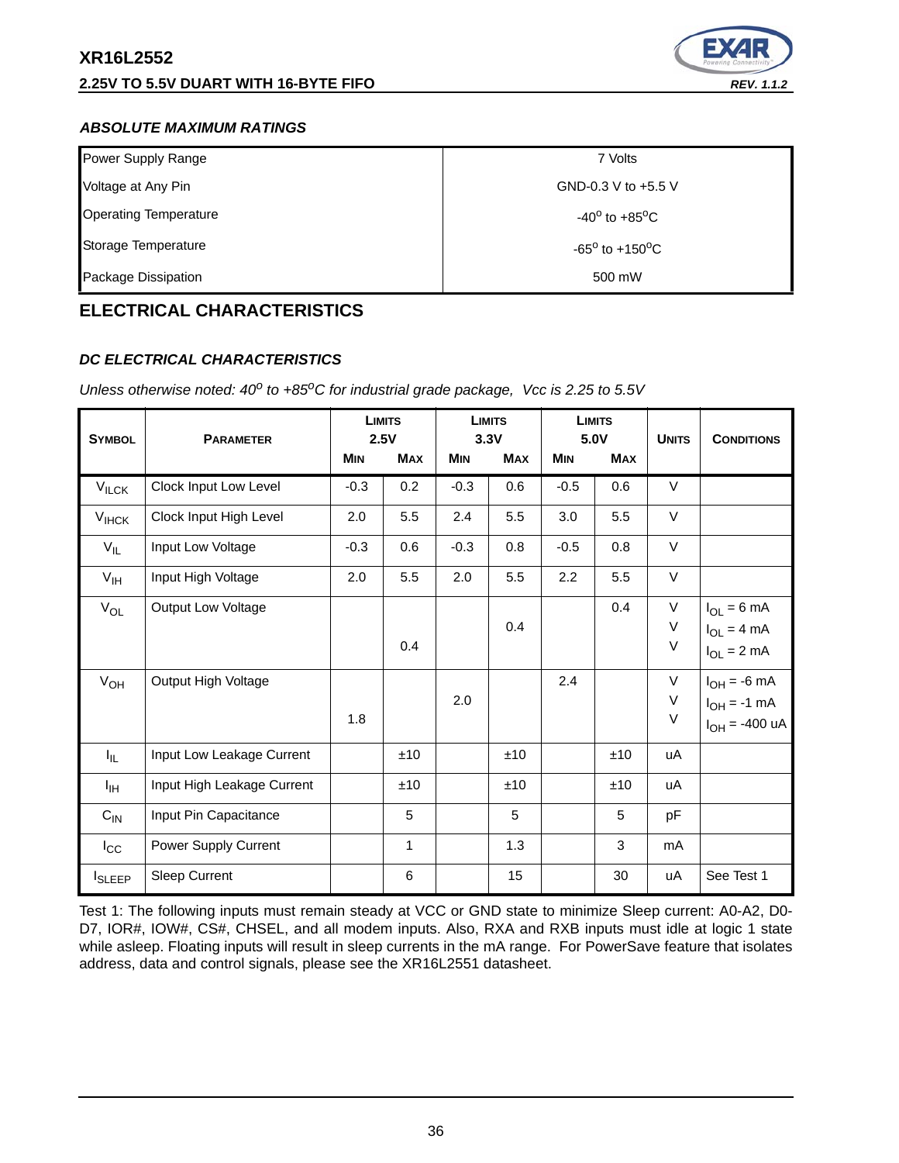

## *ABSOLUTE MAXIMUM RATINGS*

| Power Supply Range           | 7 Volts                           |
|------------------------------|-----------------------------------|
| Voltage at Any Pin           | GND-0.3 V to +5.5 V               |
| <b>Operating Temperature</b> | $-40^{\circ}$ to $+85^{\circ}$ C  |
| Storage Temperature          | $-65^{\circ}$ to $+150^{\circ}$ C |
| Package Dissipation          | 500 mW                            |

# **ELECTRICAL CHARACTERISTICS**

## *DC ELECTRICAL CHARACTERISTICS*

| <b>SYMBOL</b>   | <b>PARAMETER</b>           | 2.5V       | <b>LIMITS</b> |            | <b>LIMITS</b><br>3.3V | 5.0V       | <b>LIMITS</b> | <b>UNITS</b>               | <b>CONDITIONS</b>                                             |
|-----------------|----------------------------|------------|---------------|------------|-----------------------|------------|---------------|----------------------------|---------------------------------------------------------------|
|                 |                            | <b>MIN</b> | <b>MAX</b>    | <b>MIN</b> | <b>MAX</b>            | <b>MIN</b> | <b>MAX</b>    |                            |                                                               |
| $V_{ILCK}$      | Clock Input Low Level      | $-0.3$     | 0.2           | $-0.3$     | 0.6                   | $-0.5$     | 0.6           | V                          |                                                               |
| $V_{HCK}$       | Clock Input High Level     | 2.0        | 5.5           | 2.4        | 5.5                   | 3.0        | 5.5           | V                          |                                                               |
| $V_{IL}$        | Input Low Voltage          | $-0.3$     | 0.6           | $-0.3$     | 0.8                   | $-0.5$     | 0.8           | V                          |                                                               |
| $V_{\text{IH}}$ | Input High Voltage         | 2.0        | 5.5           | 2.0        | 5.5                   | 2.2        | 5.5           | V                          |                                                               |
| $V_{OL}$        | <b>Output Low Voltage</b>  |            | 0.4           |            | 0.4                   |            | 0.4           | $\mathsf V$<br>V<br>$\vee$ | $I_{OL} = 6 \text{ mA}$<br>$I_{OL} = 4 mA$<br>$I_{OL} = 2 mA$ |
| $V_{OH}$        | Output High Voltage        | 1.8        |               | 2.0        |                       | 2.4        |               | V<br>V<br>$\mathsf V$      | $I_{OH} = -6$ mA<br>$I_{OH} = -1$ mA<br>$I_{OH} = -400$ uA    |
| I <sub>IL</sub> | Input Low Leakage Current  |            | ±10           |            | ±10                   |            | ±10           | uA                         |                                                               |
| ŀщ              | Input High Leakage Current |            | ±10           |            | ±10                   |            | ±10           | uA                         |                                                               |
| $C_{IN}$        | Input Pin Capacitance      |            | 5             |            | 5                     |            | 5             | pF                         |                                                               |
| $I_{\rm CC}$    | Power Supply Current       |            | $\mathbf{1}$  |            | 1.3                   |            | 3             | mA                         |                                                               |
| <b>I</b> SLEEP  | Sleep Current              |            | 6             |            | 15                    |            | 30            | uA                         | See Test 1                                                    |

*Unless otherwise noted: 40<sup>o</sup> to +85<sup>o</sup>C for industrial grade package, Vcc is 2.25 to 5.5V* 

Test 1: The following inputs must remain steady at VCC or GND state to minimize Sleep current: A0-A2, D0- D7, IOR#, IOW#, CS#, CHSEL, and all modem inputs. Also, RXA and RXB inputs must idle at logic 1 state while asleep. Floating inputs will result in sleep currents in the mA range. For PowerSave feature that isolates address, data and control signals, please see the XR16L2551 datasheet.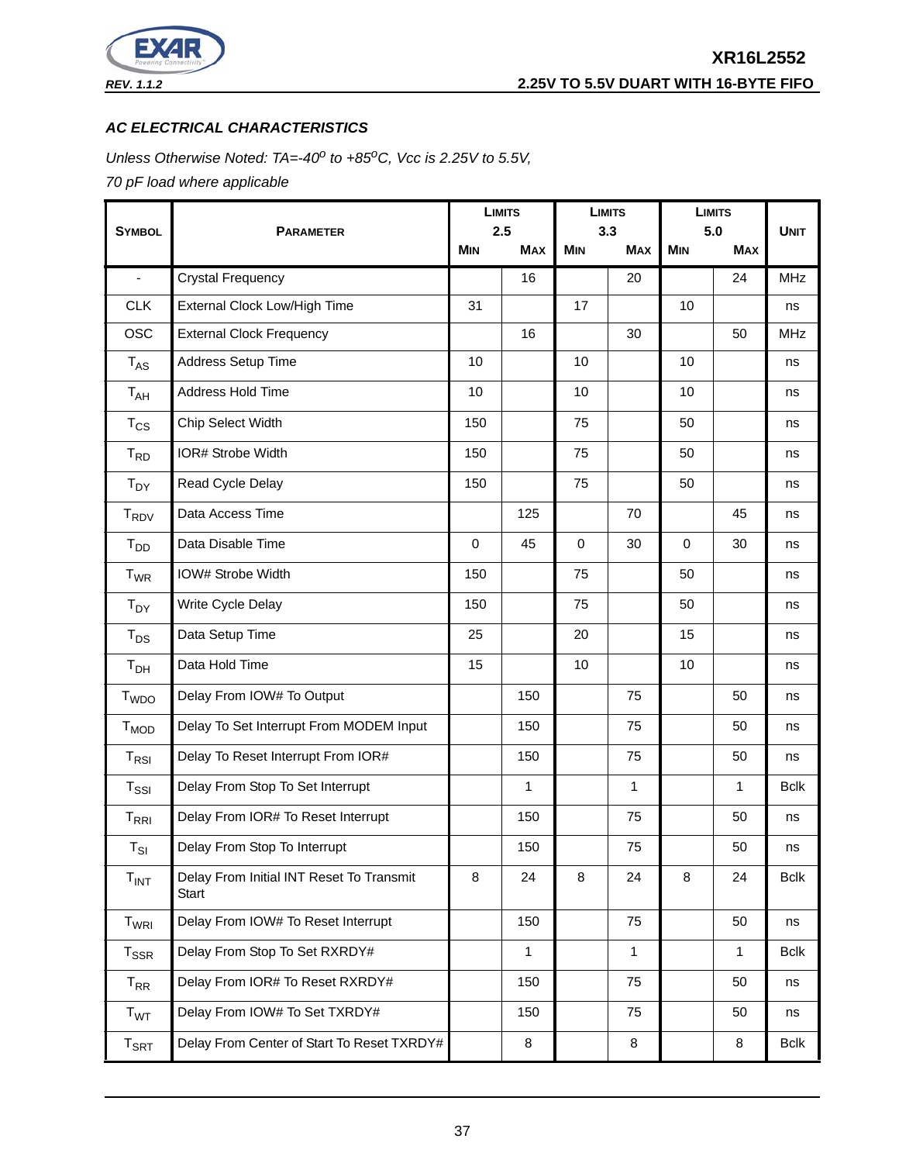

## *AC ELECTRICAL CHARACTERISTICS*

*Unless Otherwise Noted: TA=-40<sup>o</sup> to +85<sup>o</sup>C, Vcc is 2.25V to 5.5V,* 

*70 pF load where applicable*

|                  |                                                   | <b>LIMITS</b><br>2.5 |              | <b>LIMITS</b><br>3.3 |              | <b>LIMITS</b><br>5.0 |              |             |
|------------------|---------------------------------------------------|----------------------|--------------|----------------------|--------------|----------------------|--------------|-------------|
| <b>SYMBOL</b>    | <b>PARAMETER</b>                                  |                      | <b>MAX</b>   | <b>MIN</b>           | <b>MAX</b>   | <b>MIN</b>           | <b>MAX</b>   | <b>UNIT</b> |
| $\blacksquare$   | <b>Crystal Frequency</b>                          |                      | 16           |                      | 20           |                      | 24           | <b>MHz</b>  |
| <b>CLK</b>       | External Clock Low/High Time                      | 31                   |              | 17                   |              | 10                   |              | ns          |
| <b>OSC</b>       | <b>External Clock Frequency</b>                   |                      | 16           |                      | 30           |                      | 50           | <b>MHz</b>  |
| $T_{AS}$         | Address Setup Time                                | 10                   |              | 10                   |              | 10 <sup>1</sup>      |              | ns          |
| $T_{AH}$         | Address Hold Time                                 | 10                   |              | 10                   |              | 10                   |              | ns          |
| $T_{CS}$         | Chip Select Width                                 | 150                  |              | 75                   |              | 50                   |              | ns          |
| $T_{RD}$         | IOR# Strobe Width                                 | 150                  |              | 75                   |              | 50                   |              | ns          |
| $T_{DY}$         | Read Cycle Delay                                  | 150                  |              | 75                   |              | 50                   |              | ns          |
| $T_{\text{RDV}}$ | Data Access Time                                  |                      | 125          |                      | 70           |                      | 45           | ns          |
| $T_{DD}$         | Data Disable Time                                 | $\mathbf 0$          | 45           | $\Omega$             | 30           | $\Omega$             | 30           | ns          |
| $T_{WR}$         | IOW# Strobe Width                                 | 150                  |              | 75                   |              | 50                   |              | ns          |
| $T_{DY}$         | Write Cycle Delay                                 | 150                  |              | 75                   |              | 50                   |              | ns          |
| $T_{DS}$         | Data Setup Time                                   | 25                   |              | 20                   |              | 15                   |              | ns          |
| T <sub>DH</sub>  | Data Hold Time                                    | 15                   |              | 10                   |              | 10                   |              | ns          |
| T <sub>WDO</sub> | Delay From IOW# To Output                         |                      | 150          |                      | 75           |                      | 50           | ns          |
| $T_{MOD}$        | Delay To Set Interrupt From MODEM Input           |                      | 150          |                      | 75           |                      | 50           | ns          |
| $T_{RSI}$        | Delay To Reset Interrupt From IOR#                |                      | 150          |                      | 75           |                      | 50           | ns          |
| $T_{\rm SSI}$    | Delay From Stop To Set Interrupt                  |                      | 1            |                      | $\mathbf{1}$ |                      | $\mathbf{1}$ | Bclk        |
| $T_{\sf RRI}$    | Delay From IOR# To Reset Interrupt                |                      | 150          |                      | 75           |                      | 50           | ns          |
| $T_{SI}$         | Delay From Stop To Interrupt                      |                      | 150          |                      | 75           |                      | 50           | ns          |
| $T_{INT}$        | Delay From Initial INT Reset To Transmit<br>Start | 8                    | 24           | 8                    | 24           | 8                    | 24           | <b>Bclk</b> |
| T <sub>WRI</sub> | Delay From IOW# To Reset Interrupt                |                      | 150          |                      | 75           |                      | 50           | ns          |
| $T_{\rm SSR}$    | Delay From Stop To Set RXRDY#                     |                      | $\mathbf{1}$ |                      | $\mathbf{1}$ |                      | $\mathbf{1}$ | <b>Bclk</b> |
| $T_{RR}$         | Delay From IOR# To Reset RXRDY#                   |                      | 150          |                      | 75           |                      | 50           | ns          |
| T <sub>WT</sub>  | Delay From IOW# To Set TXRDY#                     |                      | 150          |                      | 75           |                      | 50           | ns          |
| $T_{\sf SRT}$    | Delay From Center of Start To Reset TXRDY#        |                      | 8            |                      | 8            |                      | 8            | Bclk        |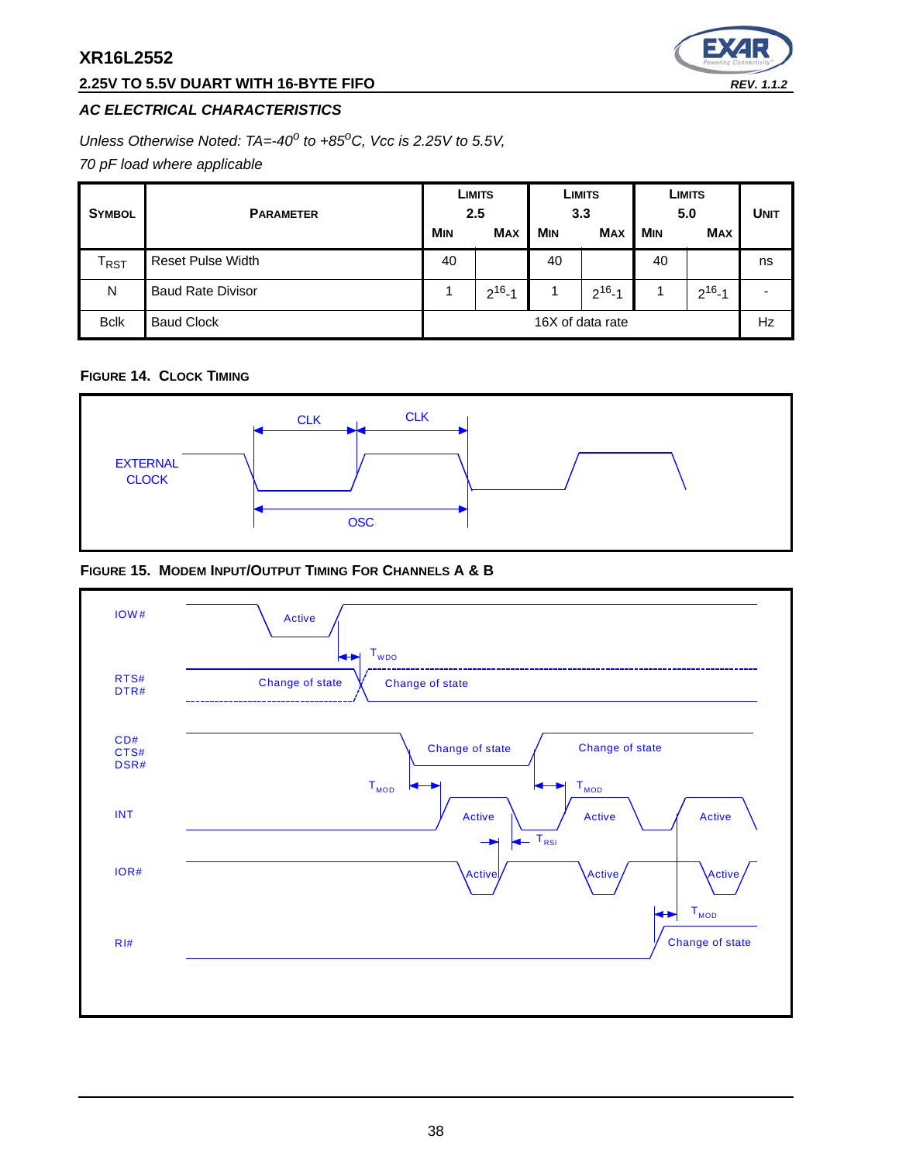## **2.25V TO 5.5V DUART WITH 16-BYTE FIFO** *REV. 1.1.2*



## *AC ELECTRICAL CHARACTERISTICS*

*Unless Otherwise Noted: TA=-40<sup>o</sup> to +85<sup>o</sup>C, Vcc is 2.25V to 5.5V,* 

*70 pF load where applicable*

| <b>SYMBOL</b>               | LIMITS<br>2.5<br><b>PARAMETER</b><br><b>MIN</b><br><b>MAX</b> |                  | <b>LIMITS</b><br>3.3<br><b>MIN</b><br><b>MAX</b> |    | LIMITS<br>5.0<br><b>MIN</b><br><b>MAX</b> |    | <b>UNIT</b>  |    |
|-----------------------------|---------------------------------------------------------------|------------------|--------------------------------------------------|----|-------------------------------------------|----|--------------|----|
| $\mathsf{T}_{\mathsf{RST}}$ | <b>Reset Pulse Width</b>                                      | 40               |                                                  | 40 |                                           | 40 |              | ns |
| N                           | <b>Baud Rate Divisor</b>                                      |                  | $2^{16} - 1$                                     |    | $2^{16} - 1$                              |    | $2^{16} - 1$ |    |
| <b>Bclk</b>                 | <b>Baud Clock</b>                                             | 16X of data rate |                                                  |    | Hz                                        |    |              |    |

## **FIGURE 14. CLOCK TIMING**



## **FIGURE 15. MODEM INPUT/OUTPUT TIMING FOR CHANNELS A & B**

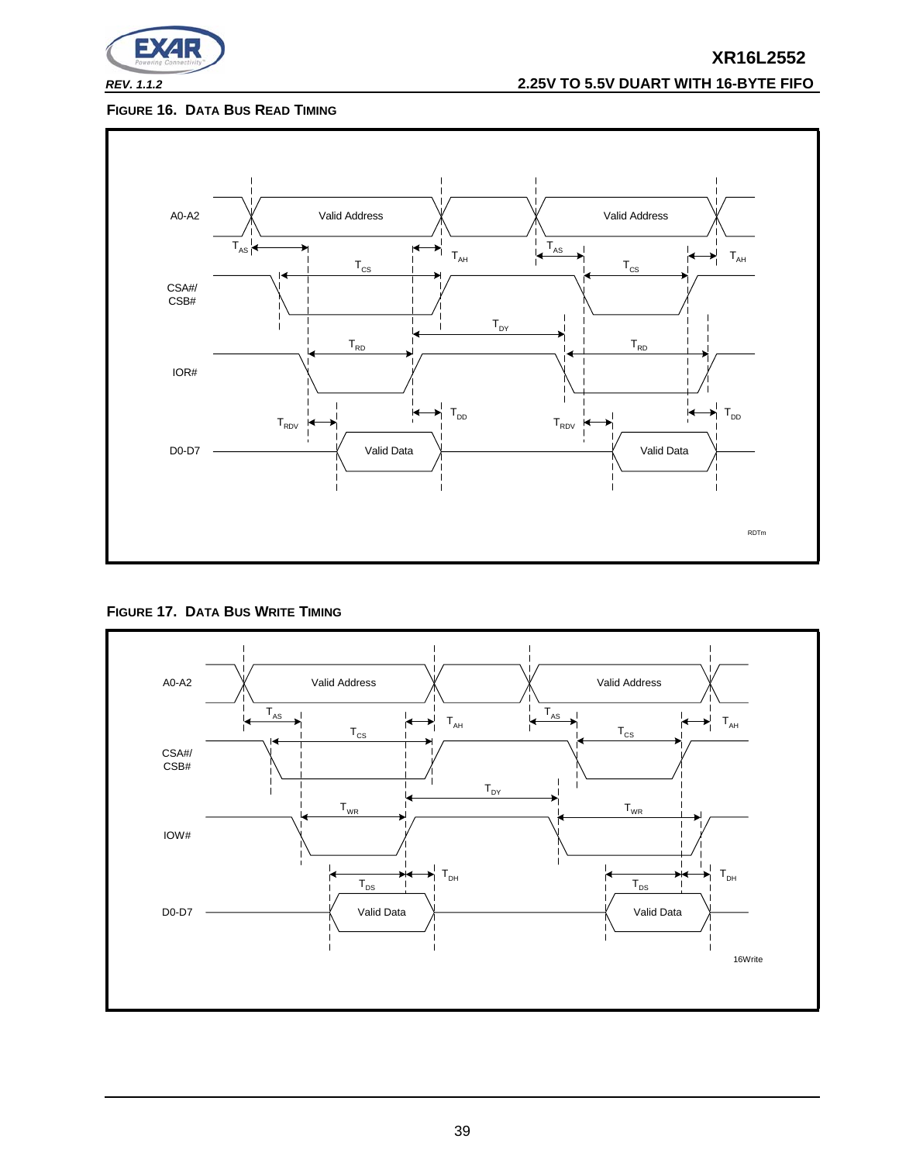

## *REV. 1.1.2* **2.25V TO 5.5V DUART WITH 16-BYTE FIFO**

## **FIGURE 16. DATA BUS READ TIMING**



**FIGURE 17. DATA BUS WRITE TIMING**

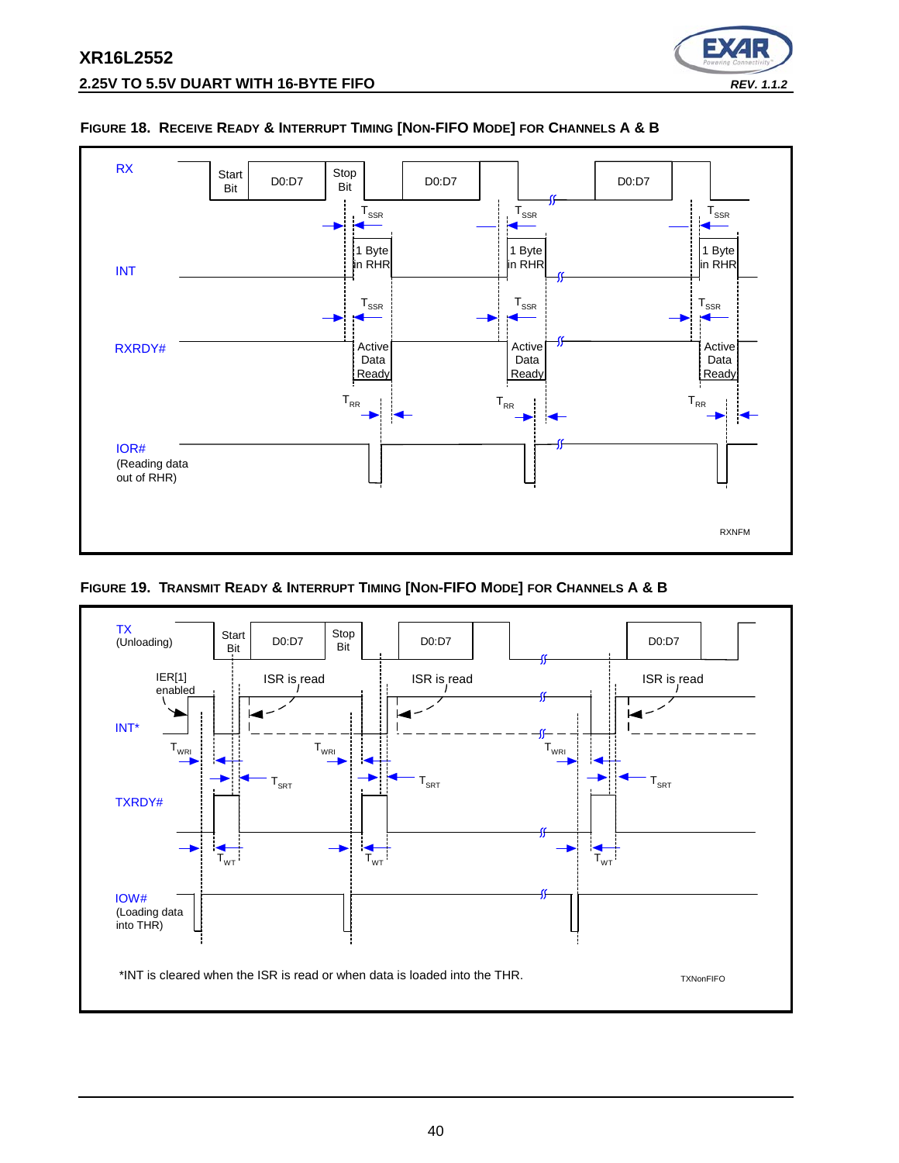



### **FIGURE 18. RECEIVE READY & INTERRUPT TIMING [NON-FIFO MODE] FOR CHANNELS A & B**

**FIGURE 19. TRANSMIT READY & INTERRUPT TIMING [NON-FIFO MODE] FOR CHANNELS A & B**

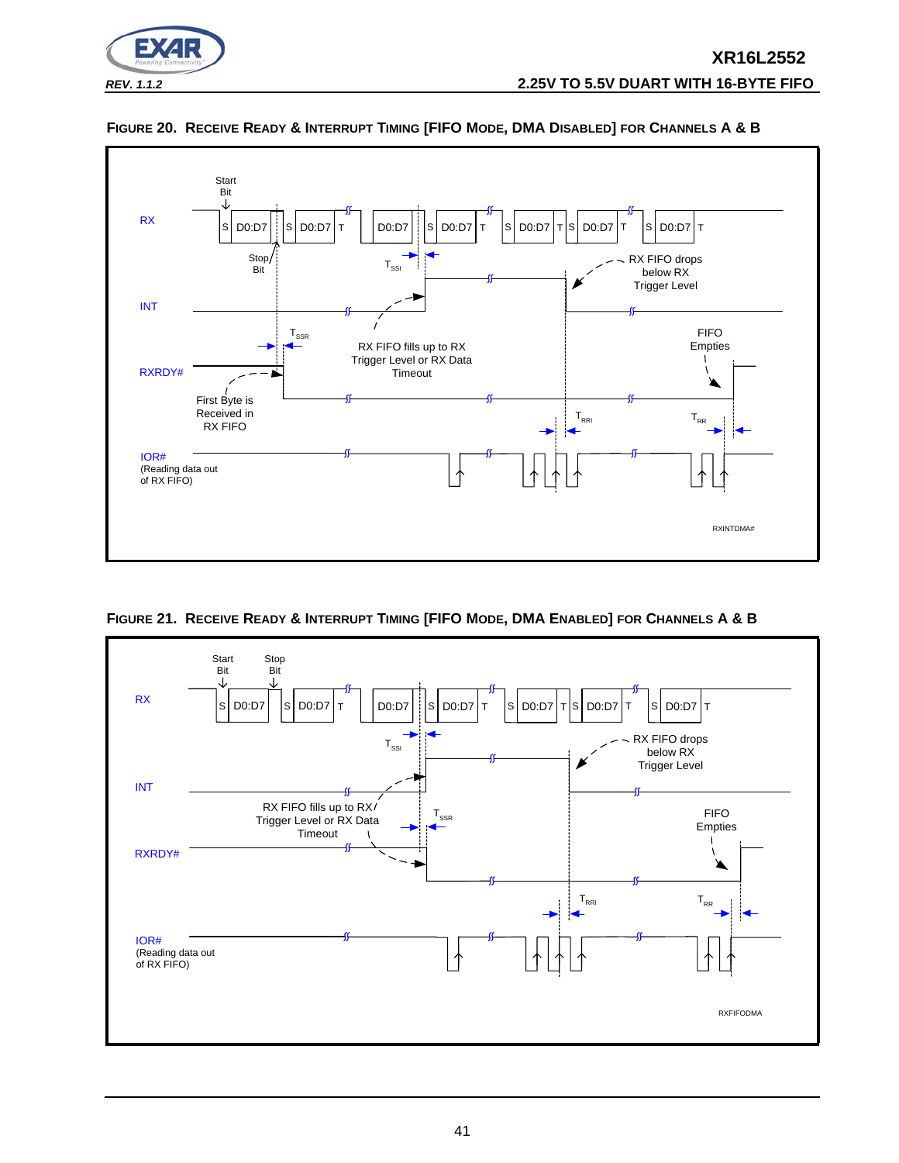





**FIGURE 21. RECEIVE READY & INTERRUPT TIMING [FIFO MODE, DMA ENABLED] FOR CHANNELS A & B**

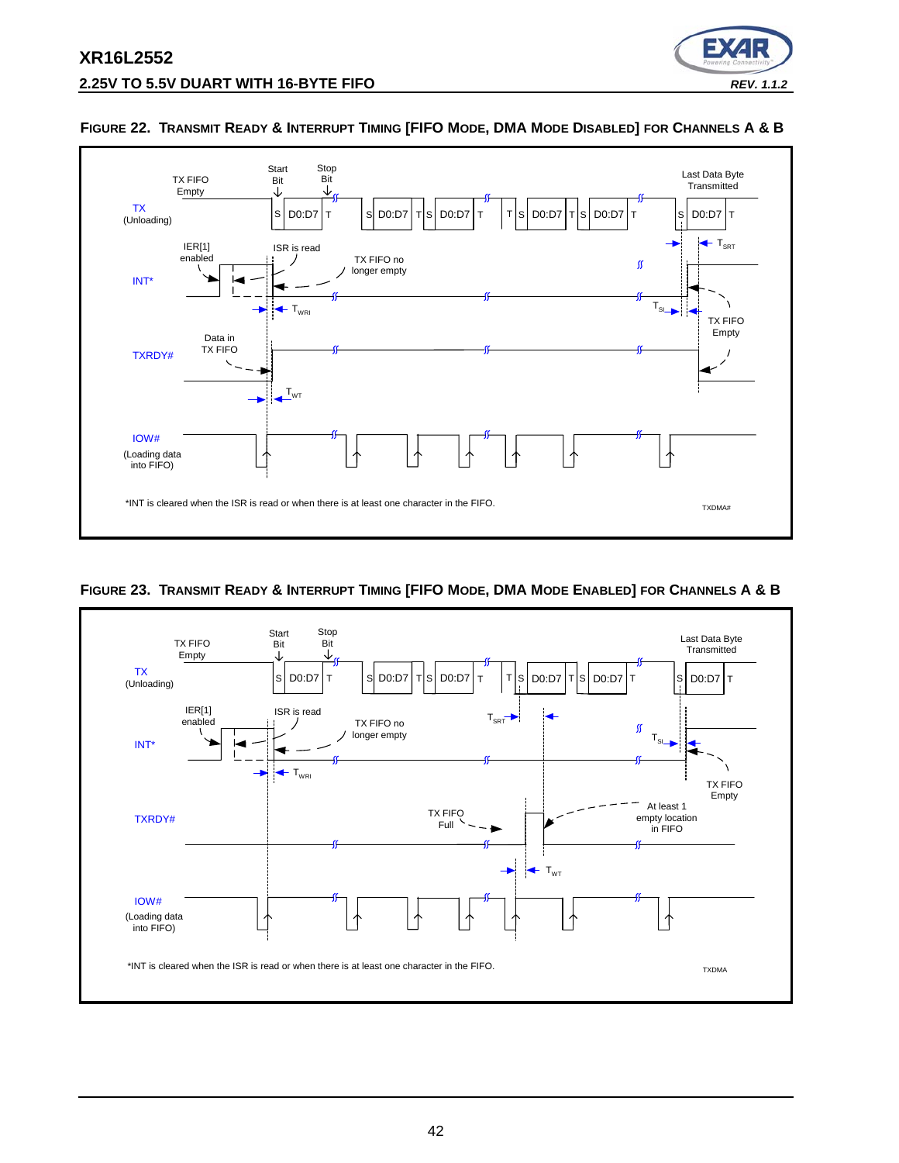



#### **FIGURE 22. TRANSMIT READY & INTERRUPT TIMING [FIFO MODE, DMA MODE DISABLED] FOR CHANNELS A & B**

## **FIGURE 23. TRANSMIT READY & INTERRUPT TIMING [FIFO MODE, DMA MODE ENABLED] FOR CHANNELS A & B**

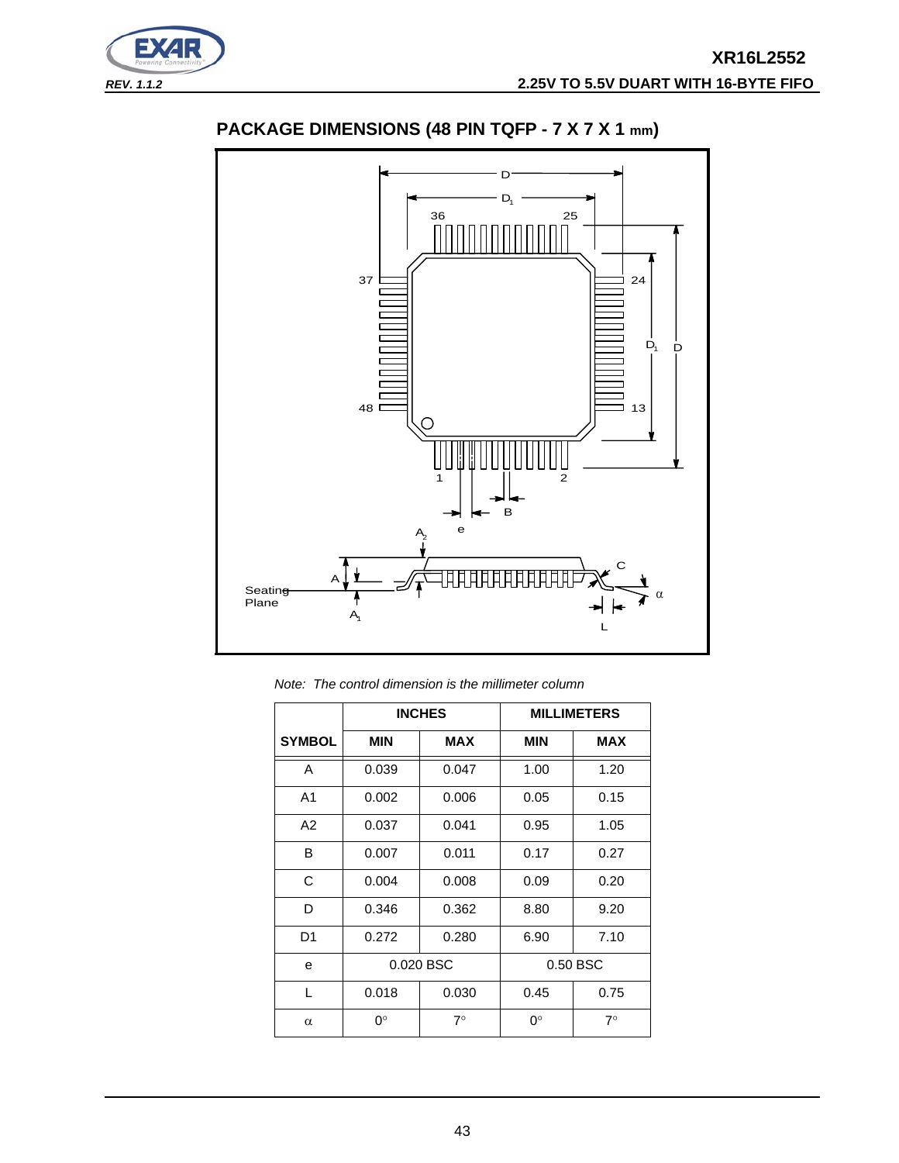



# **PACKAGE DIMENSIONS (48 PIN TQFP - 7 X 7 X 1 mm)**

*Note: The control dimension is the millimeter column*

|                |            | <b>INCHES</b> |             | <b>MILLIMETERS</b> |
|----------------|------------|---------------|-------------|--------------------|
| <b>SYMBOL</b>  | <b>MIN</b> | <b>MAX</b>    | <b>MIN</b>  | <b>MAX</b>         |
| A              | 0.039      | 0.047         | 1.00        | 1.20               |
| A <sub>1</sub> | 0.002      | 0.006         | 0.05        | 0.15               |
| A2             | 0.037      | 0.041         | 0.95        | 1.05               |
| B              | 0.007      | 0.011         | 0.17        | 0.27               |
| C              | 0.004      | 0.008         | 0.09        | 0.20               |
| D              | 0.346      | 0.362         | 8.80        | 9.20               |
| D <sub>1</sub> | 0.272      | 0.280         | 6.90        | 7.10               |
| e              |            | 0.020 BSC     |             | 0.50 BSC           |
| L              | 0.018      | 0.030         | 0.45        | 0.75               |
| $\alpha$       | 0°         | $7^\circ$     | $0^{\circ}$ | $7^\circ$          |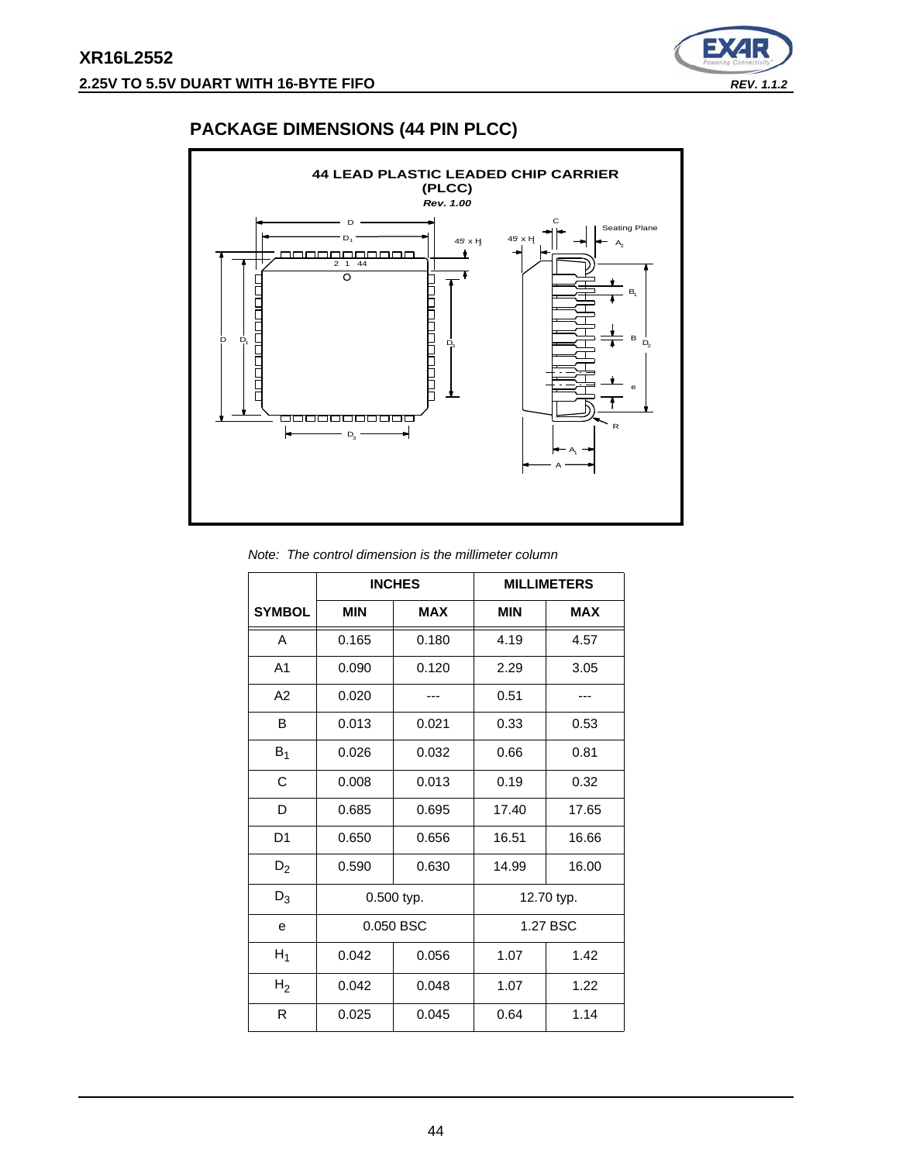

# **PACKAGE DIMENSIONS (44 PIN PLCC)**



|  |  | Note: The control dimension is the millimeter column |
|--|--|------------------------------------------------------|
|  |  |                                                      |

|                |                          | <b>INCHES</b> |            | <b>MILLIMETERS</b> |
|----------------|--------------------------|---------------|------------|--------------------|
| <b>SYMBOL</b>  | <b>MIN</b><br><b>MAX</b> |               | <b>MIN</b> | <b>MAX</b>         |
| A              | 0.165                    | 0.180         | 4.19       | 4.57               |
| A <sub>1</sub> | 0.090                    | 0.120         | 2.29       | 3.05               |
| A2             | 0.020                    |               | 0.51       | ---                |
| B              | 0.013                    | 0.021         | 0.33       | 0.53               |
| $B_1$          | 0.026                    | 0.032         | 0.66       | 0.81               |
| C              | 0.008                    | 0.013         | 0.19       | 0.32               |
| D              | 0.685                    | 0.695         | 17.40      | 17.65              |
| D <sub>1</sub> | 0.650                    | 0.656         | 16.51      | 16.66              |
| $D_2$          | 0.590                    | 0.630         | 14.99      | 16.00              |
| $D_3$          |                          | 0.500 typ.    |            | 12.70 typ.         |
| e              |                          | 0.050 BSC     |            | 1.27 BSC           |
| $H_1$          | 0.042                    | 0.056         | 1.07       | 1.42               |
| H <sub>2</sub> | 0.042                    | 0.048         | 1.07       | 1.22               |
| R              | 0.025                    | 0.045         | 0.64       | 1.14               |